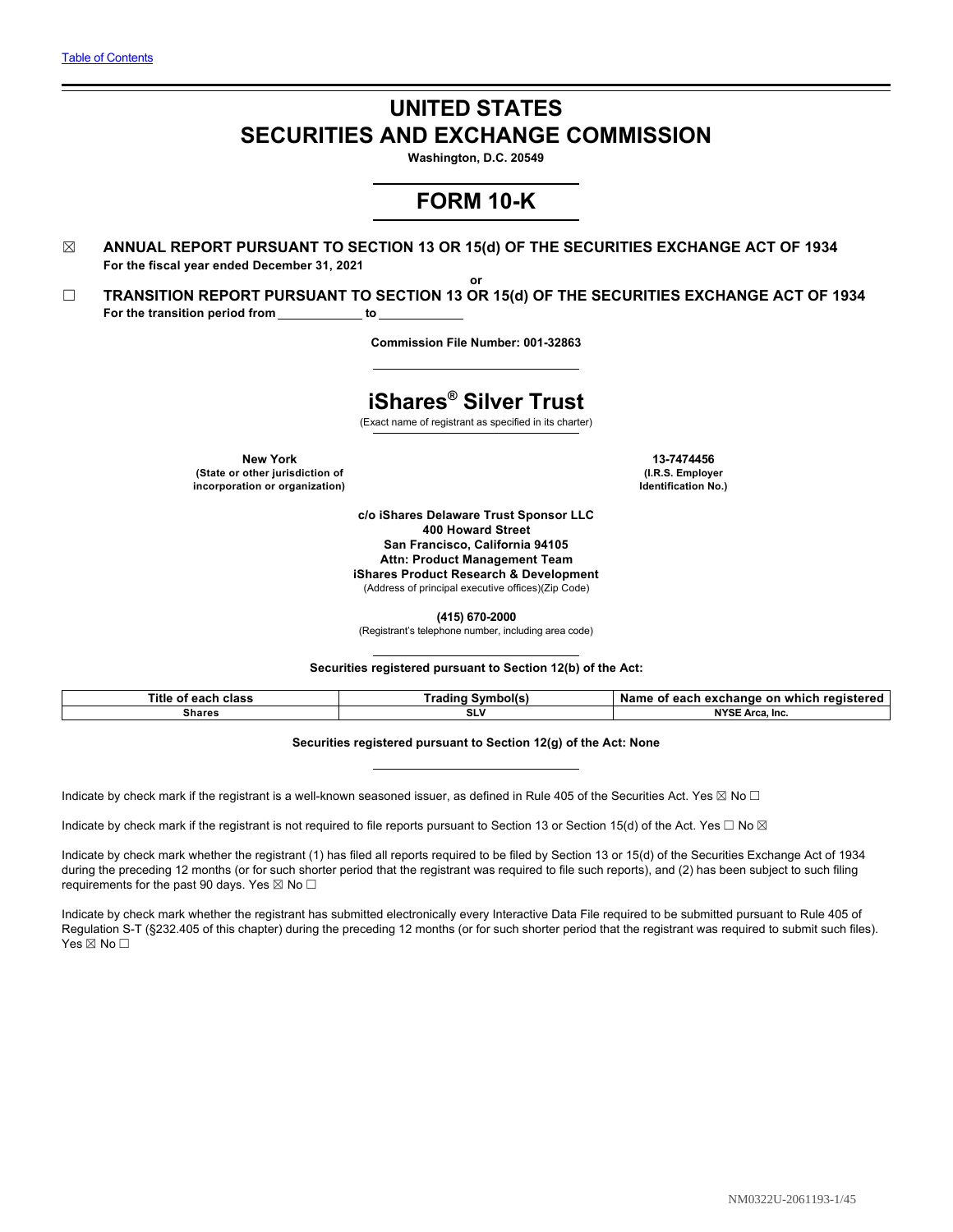# **UNITED STATES SECURITIES AND EXCHANGE COMMISSION**

**Washington, D.C. 20549**

# **FORM 10-K**

- ☒ **ANNUAL REPORT PURSUANT TO SECTION 13 OR 15(d) OF THE SECURITIES EXCHANGE ACT OF 1934 For the fiscal year ended December 31, 2021**
- ☐ **TRANSITION REPORT PURSUANT TO SECTION 13 OR 15(d) OF THE SECURITIES EXCHANGE ACT OF 1934 For the transition period from to**

**or**

**Commission File Number: 001-32863**

# **iShares® Silver Trust**

(Exact name of registrant as specified in its charter)

**New York 13-7474456 (State or other jurisdiction of incorporation or organization)**

**(I.R.S. Employer Identification No.)**

**c/o iShares Delaware Trust Sponsor LLC 400 Howard Street San Francisco, California 94105 Attn: Product Management Team iShares Product Research & Development** (Address of principal executive offices)(Zip Code)

**(415) 670-2000**

(Registrant's telephone number, including area code)

**Securities registered pursuant to Section 12(b) of the Act:**

| Title<br>class<br>each<br>ΩТ | . .<br>----<br><br>.<br>ragino | i exchange on<br>registered<br>Name<br>each<br>which<br>ΩŤ |
|------------------------------|--------------------------------|------------------------------------------------------------|
| <b>Shares</b>                | <b>SLV</b>                     | NYSE Arca, Inc.                                            |

#### **Securities registered pursuant to Section 12(g) of the Act: None**

Indicate by check mark if the registrant is a well-known seasoned issuer, as defined in Rule 405 of the Securities Act. Yes  $\boxtimes$  No  $\Box$ 

Indicate by check mark if the registrant is not required to file reports pursuant to Section 13 or Section 15(d) of the Act. Yes  $\Box$  No  $\boxtimes$ 

Indicate by check mark whether the registrant (1) has filed all reports required to be filed by Section 13 or 15(d) of the Securities Exchange Act of 1934 during the preceding 12 months (or for such shorter period that the registrant was required to file such reports), and (2) has been subject to such filing requirements for the past 90 days. Yes ⊠ No □

Indicate by check mark whether the registrant has submitted electronically every Interactive Data File required to be submitted pursuant to Rule 405 of Regulation S-T (§232.405 of this chapter) during the preceding 12 months (or for such shorter period that the registrant was required to submit such files). Yes ⊠ No □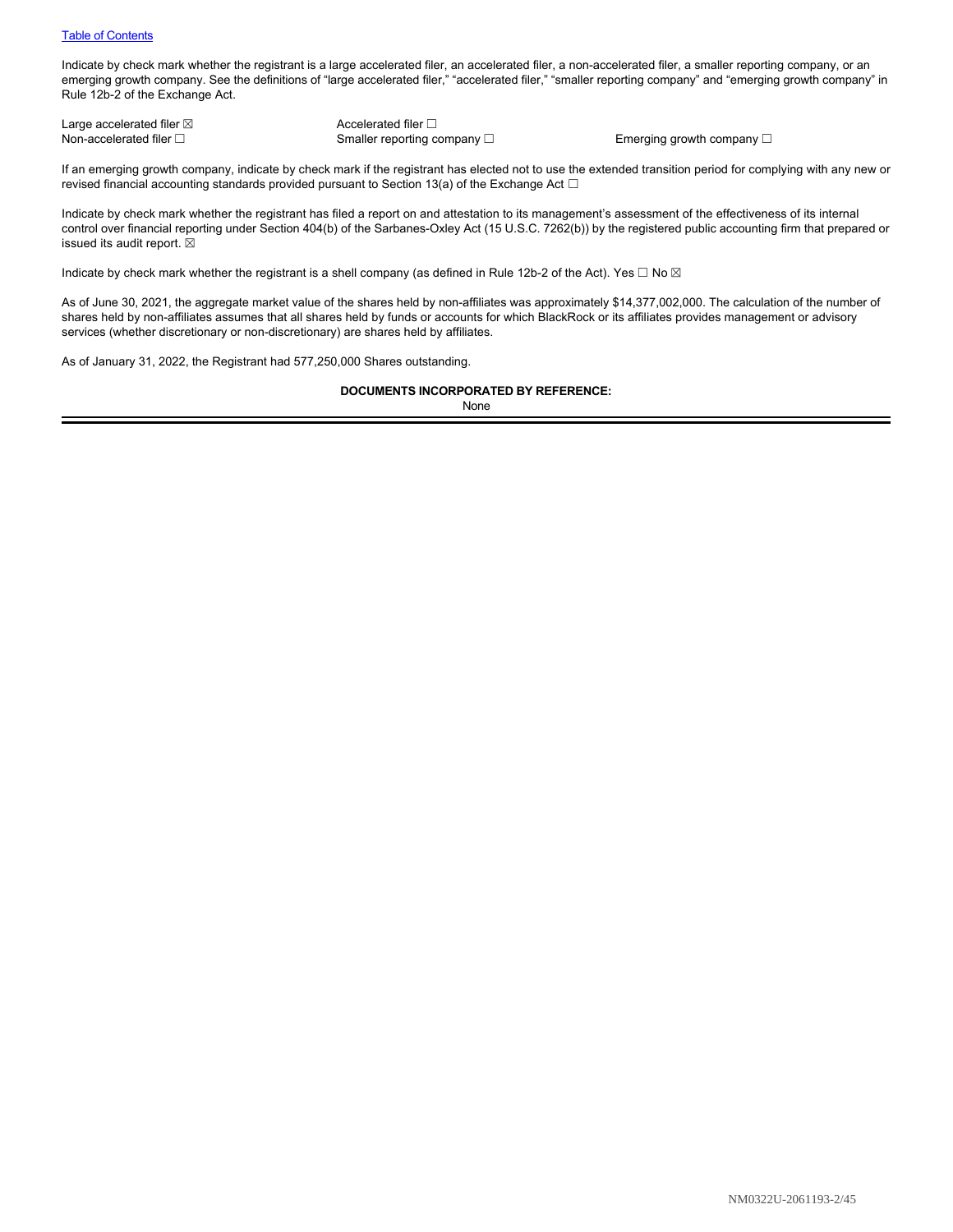Indicate by check mark whether the registrant is a large accelerated filer, an accelerated filer, a non-accelerated filer, a smaller reporting company, or an emerging growth company. See the definitions of "large accelerated filer," "accelerated filer," "smaller reporting company" and "emerging growth company" in Rule 12b-2 of the Exchange Act.

Large accelerated filer  $⊠$  Accelerated filer  $□$ 

Non-accelerated filer □ smaller reporting company □ Temerging growth company □

If an emerging growth company, indicate by check mark if the registrant has elected not to use the extended transition period for complying with any new or revised financial accounting standards provided pursuant to Section 13(a) of the Exchange Act  $\Box$ 

Indicate by check mark whether the registrant has filed a report on and attestation to its management's assessment of the effectiveness of its internal control over financial reporting under Section 404(b) of the Sarbanes-Oxley Act (15 U.S.C. 7262(b)) by the registered public accounting firm that prepared or issued its audit report. ☒

Indicate by check mark whether the registrant is a shell company (as defined in Rule 12b-2 of the Act). Yes  $\Box$  No  $\boxtimes$ 

As of June 30, 2021, the aggregate market value of the shares held by non-affiliates was approximately \$14,377,002,000. The calculation of the number of shares held by non-affiliates assumes that all shares held by funds or accounts for which BlackRock or its affiliates provides management or advisory services (whether discretionary or non-discretionary) are shares held by affiliates.

As of January 31, 2022, the Registrant had 577,250,000 Shares outstanding.

# **DOCUMENTS INCORPORATED BY REFERENCE:**

None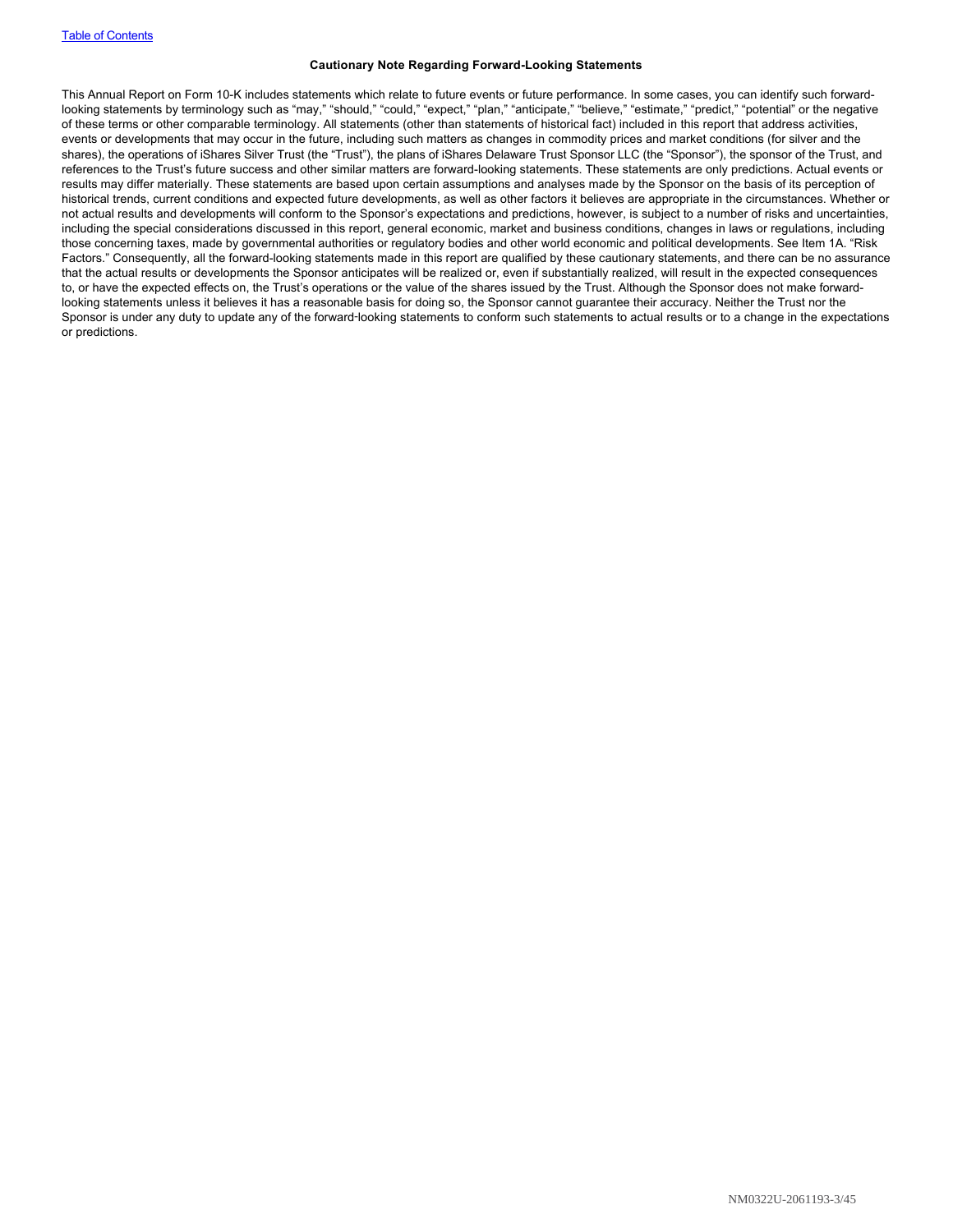#### **Cautionary Note Regarding Forward-Looking Statements**

This Annual Report on Form 10-K includes statements which relate to future events or future performance. In some cases, you can identify such forwardlooking statements by terminology such as "may," "should," "could," "expect," "plan," "anticipate," "believe," "estimate," "predict," "potential" or the negative of these terms or other comparable terminology. All statements (other than statements of historical fact) included in this report that address activities, events or developments that may occur in the future, including such matters as changes in commodity prices and market conditions (for silver and the shares), the operations of iShares Silver Trust (the "Trust"), the plans of iShares Delaware Trust Sponsor LLC (the "Sponsor"), the sponsor of the Trust, and references to the Trust's future success and other similar matters are forward-looking statements. These statements are only predictions. Actual events or results may differ materially. These statements are based upon certain assumptions and analyses made by the Sponsor on the basis of its perception of historical trends, current conditions and expected future developments, as well as other factors it believes are appropriate in the circumstances. Whether or not actual results and developments will conform to the Sponsor's expectations and predictions, however, is subject to a number of risks and uncertainties, including the special considerations discussed in this report, general economic, market and business conditions, changes in laws or regulations, including those concerning taxes, made by governmental authorities or regulatory bodies and other world economic and political developments. See Item 1A. "Risk Factors." Consequently, all the forward-looking statements made in this report are qualified by these cautionary statements, and there can be no assurance that the actual results or developments the Sponsor anticipates will be realized or, even if substantially realized, will result in the expected consequences to, or have the expected effects on, the Trust's operations or the value of the shares issued by the Trust. Although the Sponsor does not make forwardlooking statements unless it believes it has a reasonable basis for doing so, the Sponsor cannot guarantee their accuracy. Neither the Trust nor the Sponsor is under any duty to update any of the forward-looking statements to conform such statements to actual results or to a change in the expectations or predictions.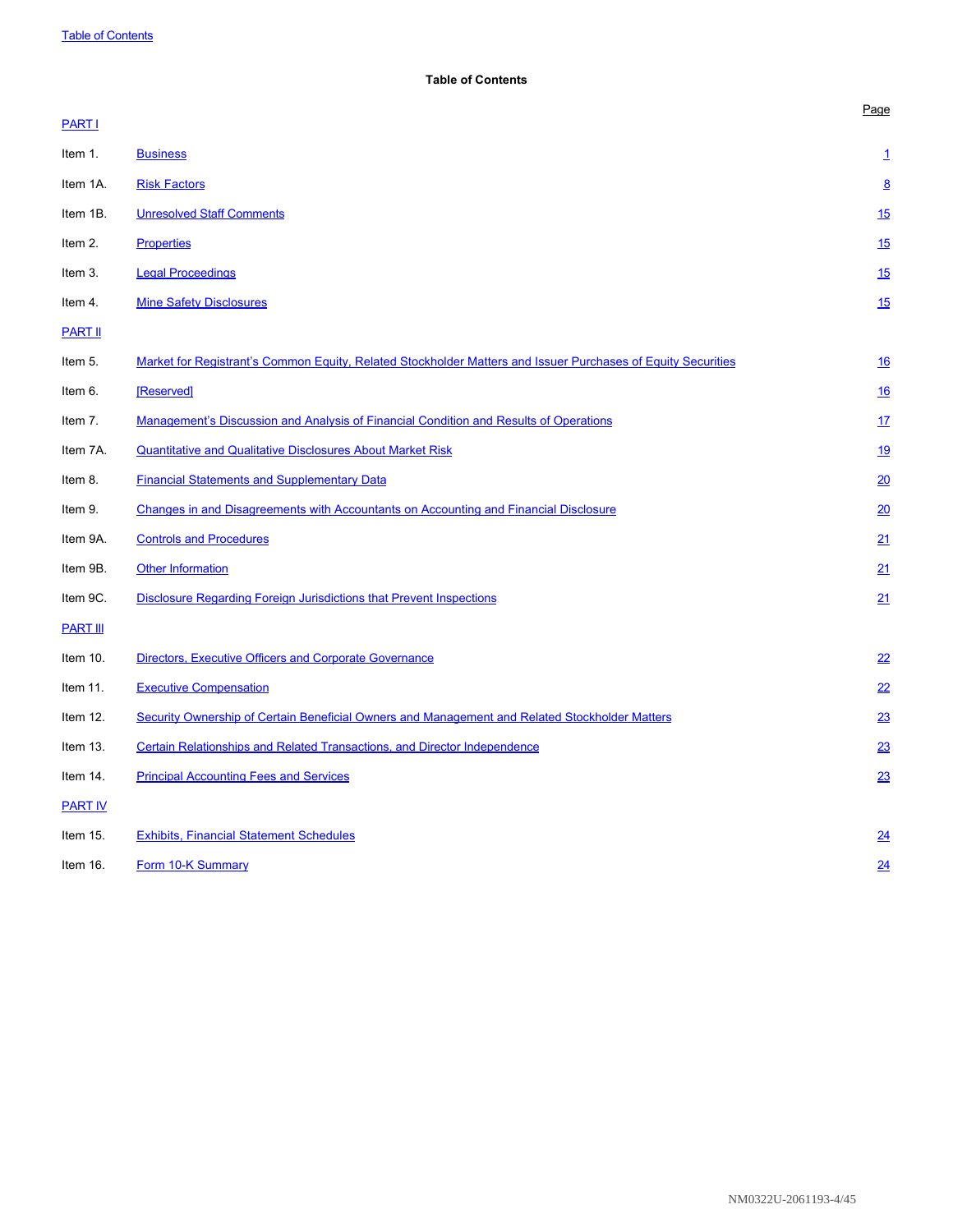<span id="page-3-0"></span>

| <b>PART I</b>   |                                                                                                              | Page            |
|-----------------|--------------------------------------------------------------------------------------------------------------|-----------------|
| Item 1.         | <b>Business</b>                                                                                              | $\overline{1}$  |
| Item 1A.        | <b>Risk Factors</b>                                                                                          | $\underline{8}$ |
| Item 1B.        | <b>Unresolved Staff Comments</b>                                                                             | 15              |
| Item 2.         | <b>Properties</b>                                                                                            | 15              |
| Item 3.         | <b>Legal Proceedings</b>                                                                                     | 15              |
| Item 4.         | <b>Mine Safety Disclosures</b>                                                                               | 15              |
| <b>PART II</b>  |                                                                                                              |                 |
| Item 5.         | Market for Registrant's Common Equity, Related Stockholder Matters and Issuer Purchases of Equity Securities | 16              |
| Item 6.         | [Reserved]                                                                                                   | 16              |
| Item 7.         | <b>Management's Discussion and Analysis of Financial Condition and Results of Operations</b>                 | 17              |
| Item 7A.        | <b>Quantitative and Qualitative Disclosures About Market Risk</b>                                            | <u>19</u>       |
| Item 8.         | <b>Financial Statements and Supplementary Data</b>                                                           | 20              |
| Item 9.         | Changes in and Disagreements with Accountants on Accounting and Financial Disclosure                         | 20              |
| Item 9A.        | <b>Controls and Procedures</b>                                                                               | 21              |
| Item 9B.        | <b>Other Information</b>                                                                                     | 21              |
| Item 9C.        | Disclosure Regarding Foreign Jurisdictions that Prevent Inspections                                          | 21              |
| <b>PART III</b> |                                                                                                              |                 |
| Item 10.        | <b>Directors, Executive Officers and Corporate Governance</b>                                                | 22              |
| Item 11.        | <b>Executive Compensation</b>                                                                                | 22              |
| Item 12.        | Security Ownership of Certain Beneficial Owners and Management and Related Stockholder Matters               | 23              |
| Item 13.        | Certain Relationships and Related Transactions, and Director Independence                                    | 23              |
| Item 14.        | <b>Principal Accounting Fees and Services</b>                                                                | 23              |
| <b>PART IV</b>  |                                                                                                              |                 |
| Item 15.        | <b>Exhibits, Financial Statement Schedules</b>                                                               | 24              |
| Item 16.        | Form 10-K Summary                                                                                            | 24              |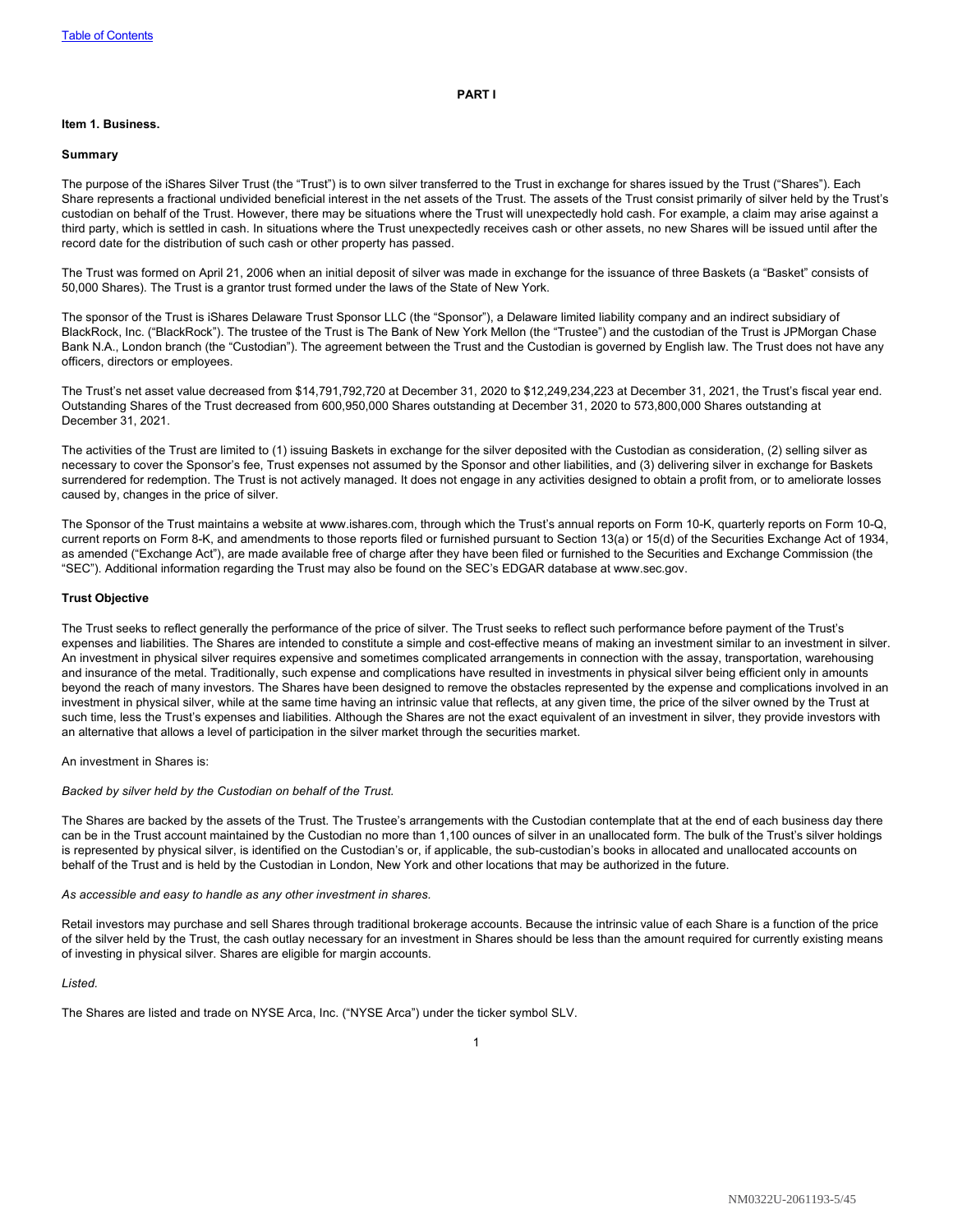# <span id="page-4-0"></span>**PART I**

# <span id="page-4-1"></span>**Item 1. Business.**

#### **Summary**

The purpose of the iShares Silver Trust (the "Trust") is to own silver transferred to the Trust in exchange for shares issued by the Trust ("Shares"). Each Share represents a fractional undivided beneficial interest in the net assets of the Trust. The assets of the Trust consist primarily of silver held by the Trust's custodian on behalf of the Trust. However, there may be situations where the Trust will unexpectedly hold cash. For example, a claim may arise against a third party, which is settled in cash. In situations where the Trust unexpectedly receives cash or other assets, no new Shares will be issued until after the record date for the distribution of such cash or other property has passed.

The Trust was formed on April 21, 2006 when an initial deposit of silver was made in exchange for the issuance of three Baskets (a "Basket" consists of 50,000 Shares). The Trust is a grantor trust formed under the laws of the State of New York.

The sponsor of the Trust is iShares Delaware Trust Sponsor LLC (the "Sponsor"), a Delaware limited liability company and an indirect subsidiary of BlackRock, Inc. ("BlackRock"). The trustee of the Trust is The Bank of New York Mellon (the "Trustee") and the custodian of the Trust is JPMorgan Chase Bank N.A., London branch (the "Custodian"). The agreement between the Trust and the Custodian is governed by English law. The Trust does not have any officers, directors or employees.

The Trust's net asset value decreased from \$14,791,792,720 at December 31, 2020 to \$12,249,234,223 at December 31, 2021, the Trust's fiscal year end. Outstanding Shares of the Trust decreased from 600,950,000 Shares outstanding at December 31, 2020 to 573,800,000 Shares outstanding at December 31, 2021.

The activities of the Trust are limited to (1) issuing Baskets in exchange for the silver deposited with the Custodian as consideration, (2) selling silver as necessary to cover the Sponsor's fee, Trust expenses not assumed by the Sponsor and other liabilities, and (3) delivering silver in exchange for Baskets surrendered for redemption. The Trust is not actively managed. It does not engage in any activities designed to obtain a profit from, or to ameliorate losses caused by, changes in the price of silver.

The Sponsor of the Trust maintains a website at www.ishares.com, through which the Trust's annual reports on Form 10-K, quarterly reports on Form 10-Q, current reports on Form 8-K, and amendments to those reports filed or furnished pursuant to Section 13(a) or 15(d) of the Securities Exchange Act of 1934, as amended ("Exchange Act"), are made available free of charge after they have been filed or furnished to the Securities and Exchange Commission (the "SEC"). Additional information regarding the Trust may also be found on the SEC's EDGAR database at www.sec.gov.

# **Trust Objective**

The Trust seeks to reflect generally the performance of the price of silver. The Trust seeks to reflect such performance before payment of the Trust's expenses and liabilities. The Shares are intended to constitute a simple and cost-effective means of making an investment similar to an investment in silver. An investment in physical silver requires expensive and sometimes complicated arrangements in connection with the assay, transportation, warehousing and insurance of the metal. Traditionally, such expense and complications have resulted in investments in physical silver being efficient only in amounts beyond the reach of many investors. The Shares have been designed to remove the obstacles represented by the expense and complications involved in an investment in physical silver, while at the same time having an intrinsic value that reflects, at any given time, the price of the silver owned by the Trust at such time, less the Trust's expenses and liabilities. Although the Shares are not the exact equivalent of an investment in silver, they provide investors with an alternative that allows a level of participation in the silver market through the securities market.

#### An investment in Shares is:

#### *Backed by silver held by the Custodian on behalf of the Trust.*

The Shares are backed by the assets of the Trust. The Trustee's arrangements with the Custodian contemplate that at the end of each business day there can be in the Trust account maintained by the Custodian no more than 1,100 ounces of silver in an unallocated form. The bulk of the Trust's silver holdings is represented by physical silver, is identified on the Custodian's or, if applicable, the sub-custodian's books in allocated and unallocated accounts on behalf of the Trust and is held by the Custodian in London, New York and other locations that may be authorized in the future.

#### *As accessible and easy to handle as any other investment in shares.*

Retail investors may purchase and sell Shares through traditional brokerage accounts. Because the intrinsic value of each Share is a function of the price of the silver held by the Trust, the cash outlay necessary for an investment in Shares should be less than the amount required for currently existing means of investing in physical silver. Shares are eligible for margin accounts.

#### *Listed.*

The Shares are listed and trade on NYSE Arca, Inc. ("NYSE Arca") under the ticker symbol SLV.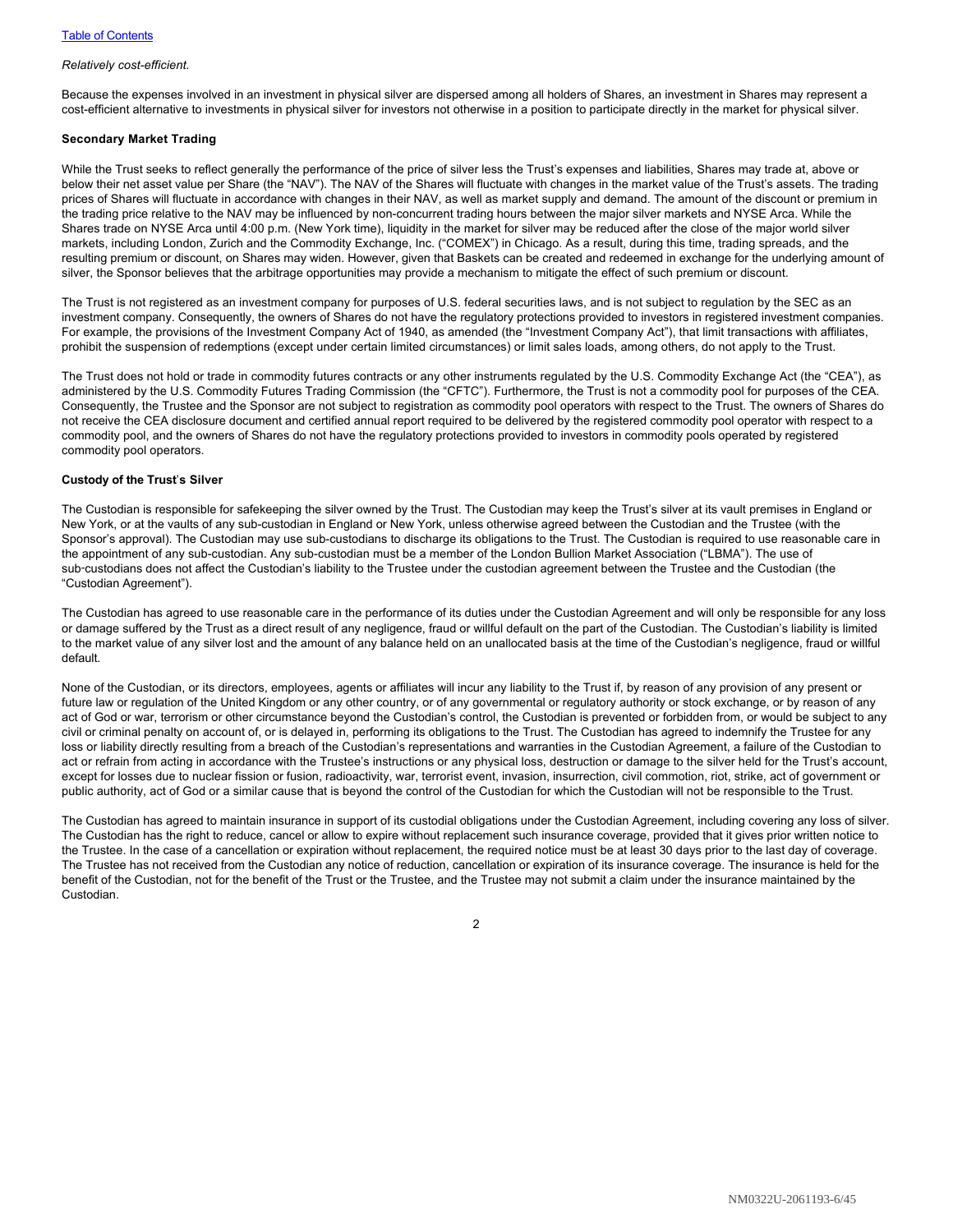#### *Relatively cost-efficient.*

Because the expenses involved in an investment in physical silver are dispersed among all holders of Shares, an investment in Shares may represent a cost-efficient alternative to investments in physical silver for investors not otherwise in a position to participate directly in the market for physical silver.

#### **Secondary Market Trading**

While the Trust seeks to reflect generally the performance of the price of silver less the Trust's expenses and liabilities, Shares may trade at, above or below their net asset value per Share (the "NAV"). The NAV of the Shares will fluctuate with changes in the market value of the Trust's assets. The trading prices of Shares will fluctuate in accordance with changes in their NAV, as well as market supply and demand. The amount of the discount or premium in the trading price relative to the NAV may be influenced by non-concurrent trading hours between the major silver markets and NYSE Arca. While the Shares trade on NYSE Arca until 4:00 p.m. (New York time), liquidity in the market for silver may be reduced after the close of the major world silver markets, including London, Zurich and the Commodity Exchange, Inc. ("COMEX") in Chicago. As a result, during this time, trading spreads, and the resulting premium or discount, on Shares may widen. However, given that Baskets can be created and redeemed in exchange for the underlying amount of silver, the Sponsor believes that the arbitrage opportunities may provide a mechanism to mitigate the effect of such premium or discount.

The Trust is not registered as an investment company for purposes of U.S. federal securities laws, and is not subject to regulation by the SEC as an investment company. Consequently, the owners of Shares do not have the regulatory protections provided to investors in registered investment companies. For example, the provisions of the Investment Company Act of 1940, as amended (the "Investment Company Act"), that limit transactions with affiliates, prohibit the suspension of redemptions (except under certain limited circumstances) or limit sales loads, among others, do not apply to the Trust.

The Trust does not hold or trade in commodity futures contracts or any other instruments regulated by the U.S. Commodity Exchange Act (the "CEA"), as administered by the U.S. Commodity Futures Trading Commission (the "CFTC"). Furthermore, the Trust is not a commodity pool for purposes of the CEA. Consequently, the Trustee and the Sponsor are not subject to registration as commodity pool operators with respect to the Trust. The owners of Shares do not receive the CEA disclosure document and certified annual report required to be delivered by the registered commodity pool operator with respect to a commodity pool, and the owners of Shares do not have the regulatory protections provided to investors in commodity pools operated by registered commodity pool operators.

## **Custody of the Trust**'**s Silver**

The Custodian is responsible for safekeeping the silver owned by the Trust. The Custodian may keep the Trust's silver at its vault premises in England or New York, or at the vaults of any sub-custodian in England or New York, unless otherwise agreed between the Custodian and the Trustee (with the Sponsor's approval). The Custodian may use sub-custodians to discharge its obligations to the Trust. The Custodian is required to use reasonable care in the appointment of any sub-custodian. Any sub-custodian must be a member of the London Bullion Market Association ("LBMA"). The use of sub-custodians does not affect the Custodian's liability to the Trustee under the custodian agreement between the Trustee and the Custodian (the "Custodian Agreement").

The Custodian has agreed to use reasonable care in the performance of its duties under the Custodian Agreement and will only be responsible for any loss or damage suffered by the Trust as a direct result of any negligence, fraud or willful default on the part of the Custodian. The Custodian's liability is limited to the market value of any silver lost and the amount of any balance held on an unallocated basis at the time of the Custodian's negligence, fraud or willful default.

None of the Custodian, or its directors, employees, agents or affiliates will incur any liability to the Trust if, by reason of any provision of any present or future law or regulation of the United Kingdom or any other country, or of any governmental or regulatory authority or stock exchange, or by reason of any act of God or war, terrorism or other circumstance beyond the Custodian's control, the Custodian is prevented or forbidden from, or would be subject to any civil or criminal penalty on account of, or is delayed in, performing its obligations to the Trust. The Custodian has agreed to indemnify the Trustee for any loss or liability directly resulting from a breach of the Custodian's representations and warranties in the Custodian Agreement, a failure of the Custodian to act or refrain from acting in accordance with the Trustee's instructions or any physical loss, destruction or damage to the silver held for the Trust's account, except for losses due to nuclear fission or fusion, radioactivity, war, terrorist event, invasion, insurrection, civil commotion, riot, strike, act of government or public authority, act of God or a similar cause that is beyond the control of the Custodian for which the Custodian will not be responsible to the Trust.

The Custodian has agreed to maintain insurance in support of its custodial obligations under the Custodian Agreement, including covering any loss of silver. The Custodian has the right to reduce, cancel or allow to expire without replacement such insurance coverage, provided that it gives prior written notice to the Trustee. In the case of a cancellation or expiration without replacement, the required notice must be at least 30 days prior to the last day of coverage. The Trustee has not received from the Custodian any notice of reduction, cancellation or expiration of its insurance coverage. The insurance is held for the benefit of the Custodian, not for the benefit of the Trust or the Trustee, and the Trustee may not submit a claim under the insurance maintained by the Custodian.

2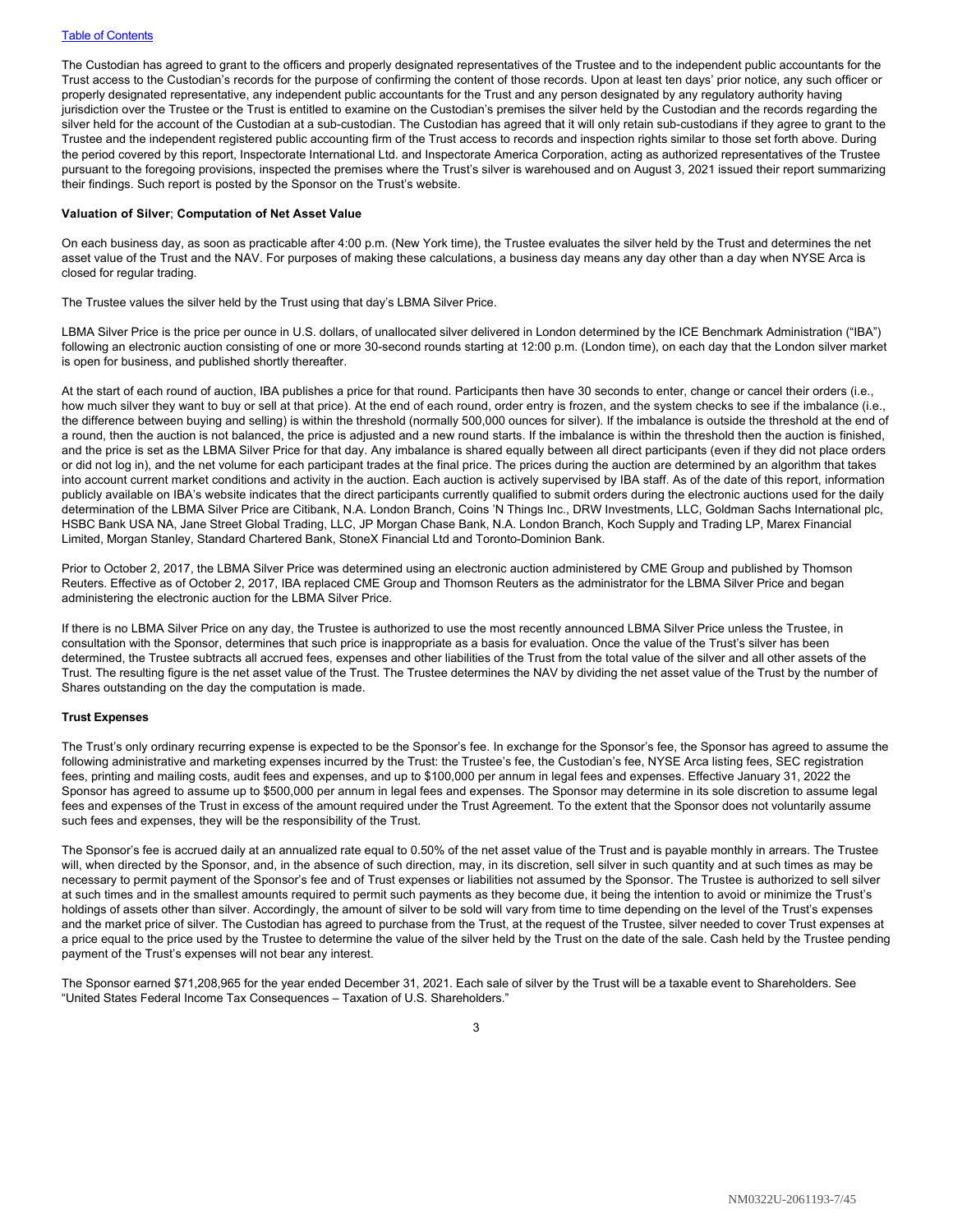The Custodian has agreed to grant to the officers and properly designated representatives of the Trustee and to the independent public accountants for the Trust access to the Custodian's records for the purpose of confirming the content of those records. Upon at least ten days' prior notice, any such officer or properly designated representative, any independent public accountants for the Trust and any person designated by any regulatory authority having jurisdiction over the Trustee or the Trust is entitled to examine on the Custodian's premises the silver held by the Custodian and the records regarding the silver held for the account of the Custodian at a sub-custodian. The Custodian has agreed that it will only retain sub-custodians if they agree to grant to the Trustee and the independent registered public accounting firm of the Trust access to records and inspection rights similar to those set forth above. During the period covered by this report, Inspectorate International Ltd. and Inspectorate America Corporation, acting as authorized representatives of the Trustee pursuant to the foregoing provisions, inspected the premises where the Trust's silver is warehoused and on August 3, 2021 issued their report summarizing their findings. Such report is posted by the Sponsor on the Trust's website.

#### **Valuation of Silver**; **Computation of Net Asset Value**

On each business day, as soon as practicable after 4:00 p.m. (New York time), the Trustee evaluates the silver held by the Trust and determines the net asset value of the Trust and the NAV. For purposes of making these calculations, a business day means any day other than a day when NYSE Arca is closed for regular trading.

The Trustee values the silver held by the Trust using that day's LBMA Silver Price.

LBMA Silver Price is the price per ounce in U.S. dollars, of unallocated silver delivered in London determined by the ICE Benchmark Administration ("IBA") following an electronic auction consisting of one or more 30-second rounds starting at 12:00 p.m. (London time), on each day that the London silver market is open for business, and published shortly thereafter.

At the start of each round of auction, IBA publishes a price for that round. Participants then have 30 seconds to enter, change or cancel their orders (i.e., how much silver they want to buy or sell at that price). At the end of each round, order entry is frozen, and the system checks to see if the imbalance (i.e., the difference between buying and selling) is within the threshold (normally 500,000 ounces for silver). If the imbalance is outside the threshold at the end of a round, then the auction is not balanced, the price is adjusted and a new round starts. If the imbalance is within the threshold then the auction is finished, and the price is set as the LBMA Silver Price for that day. Any imbalance is shared equally between all direct participants (even if they did not place orders or did not log in), and the net volume for each participant trades at the final price. The prices during the auction are determined by an algorithm that takes into account current market conditions and activity in the auction. Each auction is actively supervised by IBA staff. As of the date of this report, information publicly available on IBA's website indicates that the direct participants currently qualified to submit orders during the electronic auctions used for the daily determination of the LBMA Silver Price are Citibank, N.A. London Branch, Coins 'N Things Inc., DRW Investments, LLC, Goldman Sachs International plc, HSBC Bank USA NA, Jane Street Global Trading, LLC, JP Morgan Chase Bank, N.A. London Branch, Koch Supply and Trading LP, Marex Financial Limited, Morgan Stanley, Standard Chartered Bank, StoneX Financial Ltd and Toronto-Dominion Bank.

Prior to October 2, 2017, the LBMA Silver Price was determined using an electronic auction administered by CME Group and published by Thomson Reuters. Effective as of October 2, 2017, IBA replaced CME Group and Thomson Reuters as the administrator for the LBMA Silver Price and began administering the electronic auction for the LBMA Silver Price.

If there is no LBMA Silver Price on any day, the Trustee is authorized to use the most recently announced LBMA Silver Price unless the Trustee, in consultation with the Sponsor, determines that such price is inappropriate as a basis for evaluation. Once the value of the Trust's silver has been determined, the Trustee subtracts all accrued fees, expenses and other liabilities of the Trust from the total value of the silver and all other assets of the Trust. The resulting figure is the net asset value of the Trust. The Trustee determines the NAV by dividing the net asset value of the Trust by the number of Shares outstanding on the day the computation is made.

#### **Trust Expenses**

The Trust's only ordinary recurring expense is expected to be the Sponsor's fee. In exchange for the Sponsor's fee, the Sponsor has agreed to assume the following administrative and marketing expenses incurred by the Trust: the Trustee's fee, the Custodian's fee, NYSE Arca listing fees, SEC registration fees, printing and mailing costs, audit fees and expenses, and up to \$100,000 per annum in legal fees and expenses. Effective January 31, 2022 the Sponsor has agreed to assume up to \$500,000 per annum in legal fees and expenses. The Sponsor may determine in its sole discretion to assume legal fees and expenses of the Trust in excess of the amount required under the Trust Agreement. To the extent that the Sponsor does not voluntarily assume such fees and expenses, they will be the responsibility of the Trust.

The Sponsor's fee is accrued daily at an annualized rate equal to 0.50% of the net asset value of the Trust and is payable monthly in arrears. The Trustee will, when directed by the Sponsor, and, in the absence of such direction, may, in its discretion, sell silver in such quantity and at such times as may be necessary to permit payment of the Sponsor's fee and of Trust expenses or liabilities not assumed by the Sponsor. The Trustee is authorized to sell silver at such times and in the smallest amounts required to permit such payments as they become due, it being the intention to avoid or minimize the Trust's holdings of assets other than silver. Accordingly, the amount of silver to be sold will vary from time to time depending on the level of the Trust's expenses and the market price of silver. The Custodian has agreed to purchase from the Trust, at the request of the Trustee, silver needed to cover Trust expenses at a price equal to the price used by the Trustee to determine the value of the silver held by the Trust on the date of the sale. Cash held by the Trustee pending payment of the Trust's expenses will not bear any interest.

The Sponsor earned \$71,208,965 for the year ended December 31, 2021. Each sale of silver by the Trust will be a taxable event to Shareholders. See "United States Federal Income Tax Consequences – Taxation of U.S. Shareholders."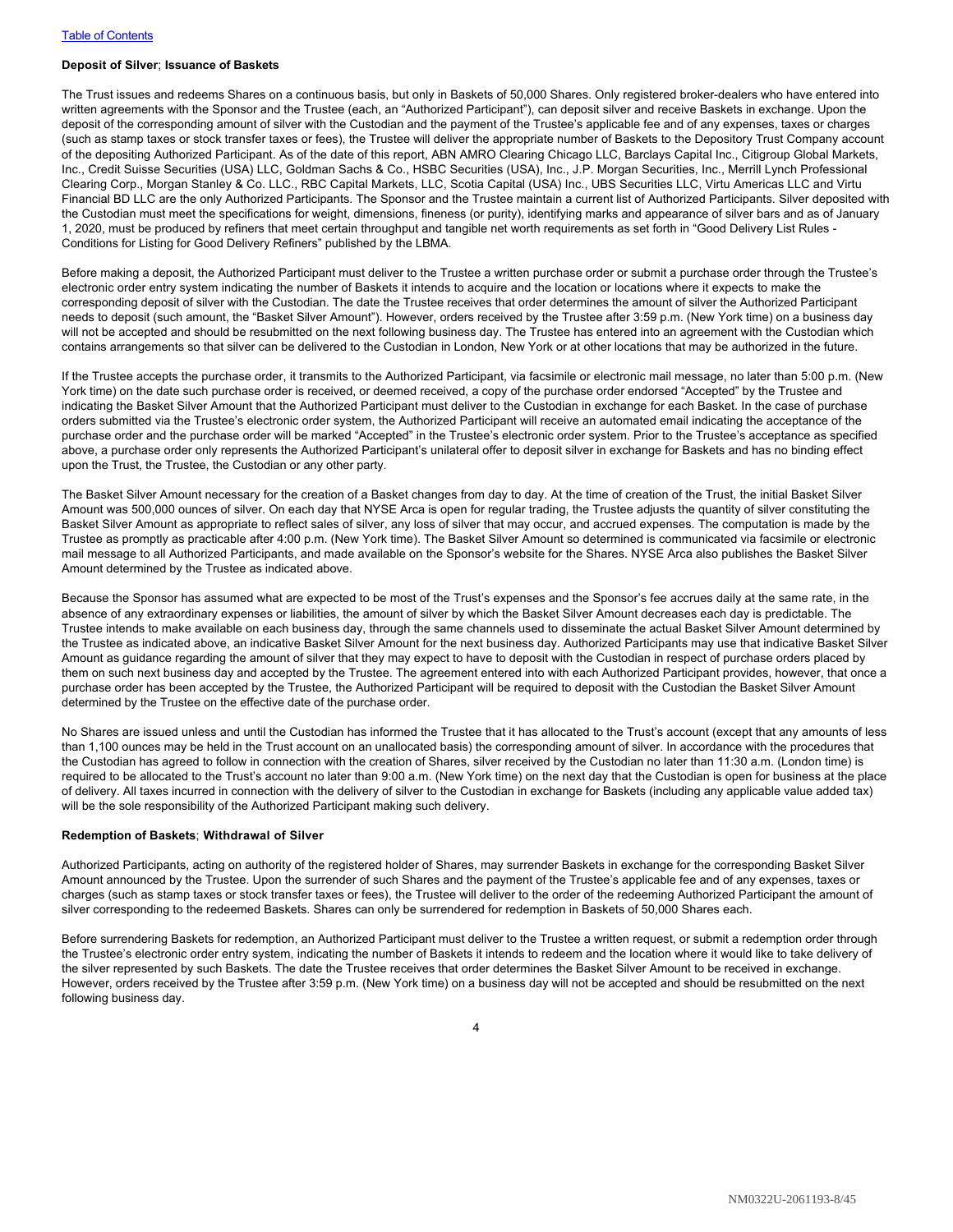# **Deposit of Silver**; **Issuance of Baskets**

The Trust issues and redeems Shares on a continuous basis, but only in Baskets of 50,000 Shares. Only registered broker-dealers who have entered into written agreements with the Sponsor and the Trustee (each, an "Authorized Participant"), can deposit silver and receive Baskets in exchange. Upon the deposit of the corresponding amount of silver with the Custodian and the payment of the Trustee's applicable fee and of any expenses, taxes or charges (such as stamp taxes or stock transfer taxes or fees), the Trustee will deliver the appropriate number of Baskets to the Depository Trust Company account of the depositing Authorized Participant. As of the date of this report, ABN AMRO Clearing Chicago LLC, Barclays Capital Inc., Citigroup Global Markets, Inc., Credit Suisse Securities (USA) LLC, Goldman Sachs & Co., HSBC Securities (USA), Inc., J.P. Morgan Securities, Inc., Merrill Lynch Professional Clearing Corp., Morgan Stanley & Co. LLC., RBC Capital Markets, LLC, Scotia Capital (USA) Inc., UBS Securities LLC, Virtu Americas LLC and Virtu Financial BD LLC are the only Authorized Participants. The Sponsor and the Trustee maintain a current list of Authorized Participants. Silver deposited with the Custodian must meet the specifications for weight, dimensions, fineness (or purity), identifying marks and appearance of silver bars and as of January 1, 2020, must be produced by refiners that meet certain throughput and tangible net worth requirements as set forth in "Good Delivery List Rules - Conditions for Listing for Good Delivery Refiners" published by the LBMA.

Before making a deposit, the Authorized Participant must deliver to the Trustee a written purchase order or submit a purchase order through the Trustee's electronic order entry system indicating the number of Baskets it intends to acquire and the location or locations where it expects to make the corresponding deposit of silver with the Custodian. The date the Trustee receives that order determines the amount of silver the Authorized Participant needs to deposit (such amount, the "Basket Silver Amount"). However, orders received by the Trustee after 3:59 p.m. (New York time) on a business day will not be accepted and should be resubmitted on the next following business day. The Trustee has entered into an agreement with the Custodian which contains arrangements so that silver can be delivered to the Custodian in London, New York or at other locations that may be authorized in the future.

If the Trustee accepts the purchase order, it transmits to the Authorized Participant, via facsimile or electronic mail message, no later than 5:00 p.m. (New York time) on the date such purchase order is received, or deemed received, a copy of the purchase order endorsed "Accepted" by the Trustee and indicating the Basket Silver Amount that the Authorized Participant must deliver to the Custodian in exchange for each Basket. In the case of purchase orders submitted via the Trustee's electronic order system, the Authorized Participant will receive an automated email indicating the acceptance of the purchase order and the purchase order will be marked "Accepted" in the Trustee's electronic order system. Prior to the Trustee's acceptance as specified above, a purchase order only represents the Authorized Participant's unilateral offer to deposit silver in exchange for Baskets and has no binding effect upon the Trust, the Trustee, the Custodian or any other party.

The Basket Silver Amount necessary for the creation of a Basket changes from day to day. At the time of creation of the Trust, the initial Basket Silver Amount was 500,000 ounces of silver. On each day that NYSE Arca is open for regular trading, the Trustee adjusts the quantity of silver constituting the Basket Silver Amount as appropriate to reflect sales of silver, any loss of silver that may occur, and accrued expenses. The computation is made by the Trustee as promptly as practicable after 4:00 p.m. (New York time). The Basket Silver Amount so determined is communicated via facsimile or electronic mail message to all Authorized Participants, and made available on the Sponsor's website for the Shares. NYSE Arca also publishes the Basket Silver Amount determined by the Trustee as indicated above.

Because the Sponsor has assumed what are expected to be most of the Trust's expenses and the Sponsor's fee accrues daily at the same rate, in the absence of any extraordinary expenses or liabilities, the amount of silver by which the Basket Silver Amount decreases each day is predictable. The Trustee intends to make available on each business day, through the same channels used to disseminate the actual Basket Silver Amount determined by the Trustee as indicated above, an indicative Basket Silver Amount for the next business day. Authorized Participants may use that indicative Basket Silver Amount as guidance regarding the amount of silver that they may expect to have to deposit with the Custodian in respect of purchase orders placed by them on such next business day and accepted by the Trustee. The agreement entered into with each Authorized Participant provides, however, that once a purchase order has been accepted by the Trustee, the Authorized Participant will be required to deposit with the Custodian the Basket Silver Amount determined by the Trustee on the effective date of the purchase order.

No Shares are issued unless and until the Custodian has informed the Trustee that it has allocated to the Trust's account (except that any amounts of less than 1,100 ounces may be held in the Trust account on an unallocated basis) the corresponding amount of silver. In accordance with the procedures that the Custodian has agreed to follow in connection with the creation of Shares, silver received by the Custodian no later than 11:30 a.m. (London time) is required to be allocated to the Trust's account no later than 9:00 a.m. (New York time) on the next day that the Custodian is open for business at the place of delivery. All taxes incurred in connection with the delivery of silver to the Custodian in exchange for Baskets (including any applicable value added tax) will be the sole responsibility of the Authorized Participant making such delivery.

#### **Redemption of Baskets**; **Withdrawal of Silver**

Authorized Participants, acting on authority of the registered holder of Shares, may surrender Baskets in exchange for the corresponding Basket Silver Amount announced by the Trustee. Upon the surrender of such Shares and the payment of the Trustee's applicable fee and of any expenses, taxes or charges (such as stamp taxes or stock transfer taxes or fees), the Trustee will deliver to the order of the redeeming Authorized Participant the amount of silver corresponding to the redeemed Baskets. Shares can only be surrendered for redemption in Baskets of 50,000 Shares each.

Before surrendering Baskets for redemption, an Authorized Participant must deliver to the Trustee a written request, or submit a redemption order through the Trustee's electronic order entry system, indicating the number of Baskets it intends to redeem and the location where it would like to take delivery of the silver represented by such Baskets. The date the Trustee receives that order determines the Basket Silver Amount to be received in exchange. However, orders received by the Trustee after 3:59 p.m. (New York time) on a business day will not be accepted and should be resubmitted on the next following business day.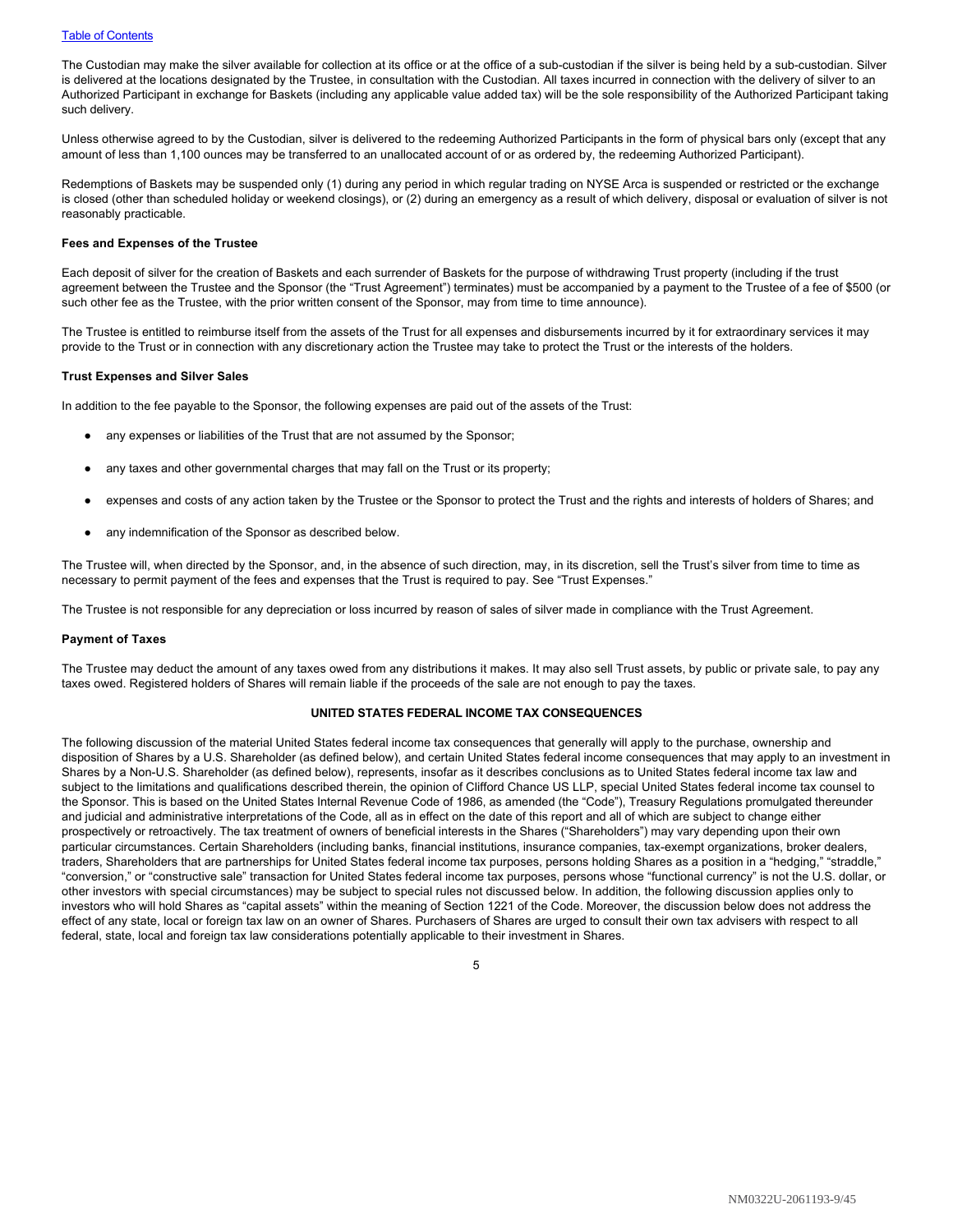The Custodian may make the silver available for collection at its office or at the office of a sub-custodian if the silver is being held by a sub-custodian. Silver is delivered at the locations designated by the Trustee, in consultation with the Custodian. All taxes incurred in connection with the delivery of silver to an Authorized Participant in exchange for Baskets (including any applicable value added tax) will be the sole responsibility of the Authorized Participant taking such delivery.

Unless otherwise agreed to by the Custodian, silver is delivered to the redeeming Authorized Participants in the form of physical bars only (except that any amount of less than 1,100 ounces may be transferred to an unallocated account of or as ordered by, the redeeming Authorized Participant).

Redemptions of Baskets may be suspended only (1) during any period in which regular trading on NYSE Arca is suspended or restricted or the exchange is closed (other than scheduled holiday or weekend closings), or (2) during an emergency as a result of which delivery, disposal or evaluation of silver is not reasonably practicable.

#### **Fees and Expenses of the Trustee**

Each deposit of silver for the creation of Baskets and each surrender of Baskets for the purpose of withdrawing Trust property (including if the trust agreement between the Trustee and the Sponsor (the "Trust Agreement") terminates) must be accompanied by a payment to the Trustee of a fee of \$500 (or such other fee as the Trustee, with the prior written consent of the Sponsor, may from time to time announce).

The Trustee is entitled to reimburse itself from the assets of the Trust for all expenses and disbursements incurred by it for extraordinary services it may provide to the Trust or in connection with any discretionary action the Trustee may take to protect the Trust or the interests of the holders.

#### **Trust Expenses and Silver Sales**

In addition to the fee payable to the Sponsor, the following expenses are paid out of the assets of the Trust:

- any expenses or liabilities of the Trust that are not assumed by the Sponsor;
- any taxes and other governmental charges that may fall on the Trust or its property;
- expenses and costs of any action taken by the Trustee or the Sponsor to protect the Trust and the rights and interests of holders of Shares; and
- any indemnification of the Sponsor as described below.

The Trustee will, when directed by the Sponsor, and, in the absence of such direction, may, in its discretion, sell the Trust's silver from time to time as necessary to permit payment of the fees and expenses that the Trust is required to pay. See "Trust Expenses."

The Trustee is not responsible for any depreciation or loss incurred by reason of sales of silver made in compliance with the Trust Agreement.

#### **Payment of Taxes**

The Trustee may deduct the amount of any taxes owed from any distributions it makes. It may also sell Trust assets, by public or private sale, to pay any taxes owed. Registered holders of Shares will remain liable if the proceeds of the sale are not enough to pay the taxes.

#### **UNITED STATES FEDERAL INCOME TAX CONSEQUENCES**

The following discussion of the material United States federal income tax consequences that generally will apply to the purchase, ownership and disposition of Shares by a U.S. Shareholder (as defined below), and certain United States federal income consequences that may apply to an investment in Shares by a Non-U.S. Shareholder (as defined below), represents, insofar as it describes conclusions as to United States federal income tax law and subject to the limitations and qualifications described therein, the opinion of Clifford Chance US LLP, special United States federal income tax counsel to the Sponsor. This is based on the United States Internal Revenue Code of 1986, as amended (the "Code"), Treasury Regulations promulgated thereunder and judicial and administrative interpretations of the Code, all as in effect on the date of this report and all of which are subject to change either prospectively or retroactively. The tax treatment of owners of beneficial interests in the Shares ("Shareholders") may vary depending upon their own particular circumstances. Certain Shareholders (including banks, financial institutions, insurance companies, tax-exempt organizations, broker dealers, traders, Shareholders that are partnerships for United States federal income tax purposes, persons holding Shares as a position in a "hedging," "straddle," "conversion," or "constructive sale" transaction for United States federal income tax purposes, persons whose "functional currency" is not the U.S. dollar, or other investors with special circumstances) may be subject to special rules not discussed below. In addition, the following discussion applies only to investors who will hold Shares as "capital assets" within the meaning of Section 1221 of the Code. Moreover, the discussion below does not address the effect of any state, local or foreign tax law on an owner of Shares. Purchasers of Shares are urged to consult their own tax advisers with respect to all federal, state, local and foreign tax law considerations potentially applicable to their investment in Shares.

5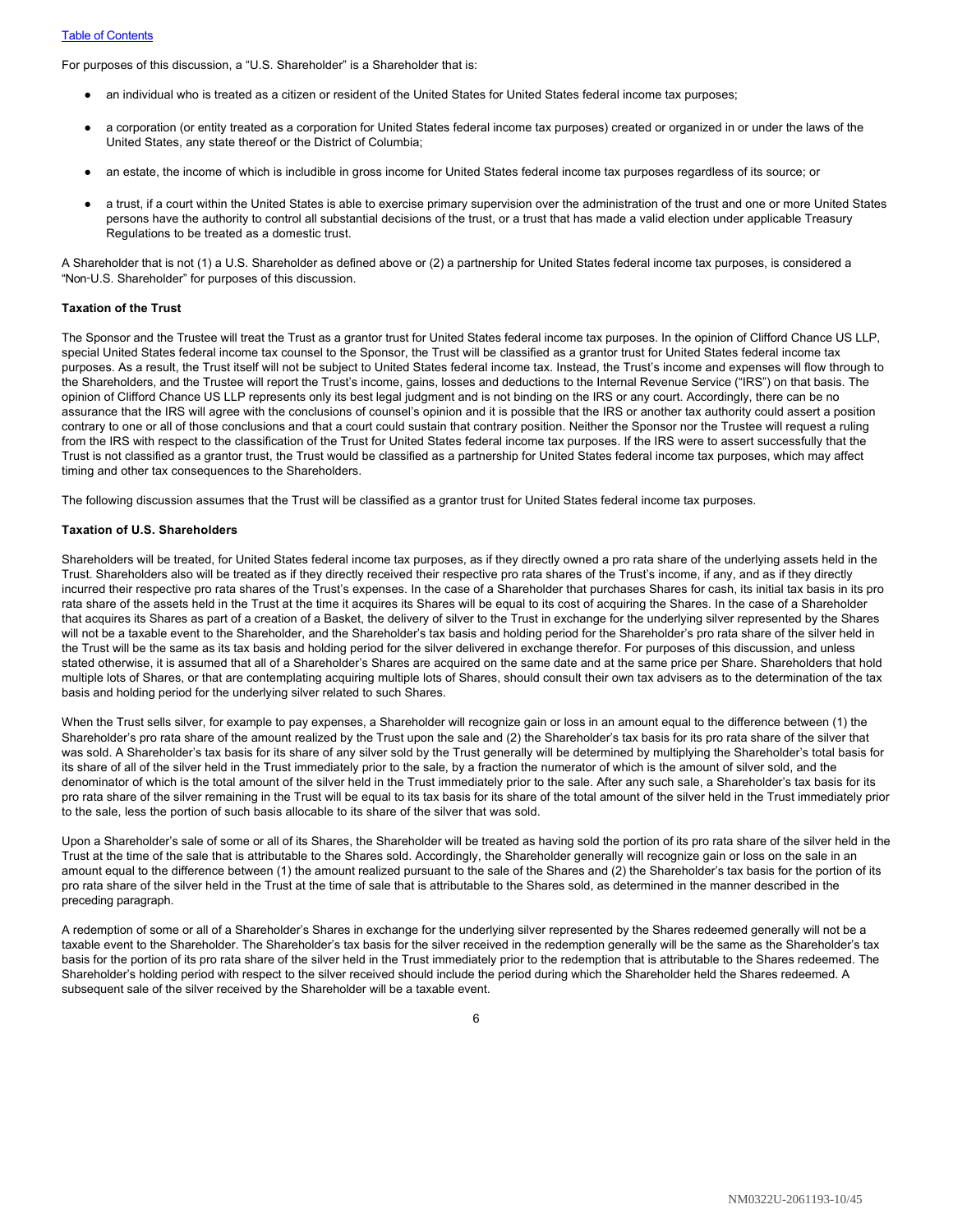For purposes of this discussion, a "U.S. Shareholder" is a Shareholder that is:

- an individual who is treated as a citizen or resident of the United States for United States federal income tax purposes;
- a corporation (or entity treated as a corporation for United States federal income tax purposes) created or organized in or under the laws of the United States, any state thereof or the District of Columbia;
- an estate, the income of which is includible in gross income for United States federal income tax purposes regardless of its source; or
- a trust, if a court within the United States is able to exercise primary supervision over the administration of the trust and one or more United States persons have the authority to control all substantial decisions of the trust, or a trust that has made a valid election under applicable Treasury Regulations to be treated as a domestic trust.

A Shareholder that is not (1) a U.S. Shareholder as defined above or (2) a partnership for United States federal income tax purposes, is considered a "Non‑U.S. Shareholder" for purposes of this discussion.

# **Taxation of the Trust**

The Sponsor and the Trustee will treat the Trust as a grantor trust for United States federal income tax purposes. In the opinion of Clifford Chance US LLP, special United States federal income tax counsel to the Sponsor, the Trust will be classified as a grantor trust for United States federal income tax purposes. As a result, the Trust itself will not be subject to United States federal income tax. Instead, the Trust's income and expenses will flow through to the Shareholders, and the Trustee will report the Trust's income, gains, losses and deductions to the Internal Revenue Service ("IRS") on that basis. The opinion of Clifford Chance US LLP represents only its best legal judgment and is not binding on the IRS or any court. Accordingly, there can be no assurance that the IRS will agree with the conclusions of counsel's opinion and it is possible that the IRS or another tax authority could assert a position contrary to one or all of those conclusions and that a court could sustain that contrary position. Neither the Sponsor nor the Trustee will request a ruling from the IRS with respect to the classification of the Trust for United States federal income tax purposes. If the IRS were to assert successfully that the Trust is not classified as a grantor trust, the Trust would be classified as a partnership for United States federal income tax purposes, which may affect timing and other tax consequences to the Shareholders.

The following discussion assumes that the Trust will be classified as a grantor trust for United States federal income tax purposes.

# **Taxation of U.S. Shareholders**

Shareholders will be treated, for United States federal income tax purposes, as if they directly owned a pro rata share of the underlying assets held in the Trust. Shareholders also will be treated as if they directly received their respective pro rata shares of the Trust's income, if any, and as if they directly incurred their respective pro rata shares of the Trust's expenses. In the case of a Shareholder that purchases Shares for cash, its initial tax basis in its pro rata share of the assets held in the Trust at the time it acquires its Shares will be equal to its cost of acquiring the Shares. In the case of a Shareholder that acquires its Shares as part of a creation of a Basket, the delivery of silver to the Trust in exchange for the underlying silver represented by the Shares will not be a taxable event to the Shareholder, and the Shareholder's tax basis and holding period for the Shareholder's pro rata share of the silver held in the Trust will be the same as its tax basis and holding period for the silver delivered in exchange therefor. For purposes of this discussion, and unless stated otherwise, it is assumed that all of a Shareholder's Shares are acquired on the same date and at the same price per Share. Shareholders that hold multiple lots of Shares, or that are contemplating acquiring multiple lots of Shares, should consult their own tax advisers as to the determination of the tax basis and holding period for the underlying silver related to such Shares.

When the Trust sells silver, for example to pay expenses, a Shareholder will recognize gain or loss in an amount equal to the difference between (1) the Shareholder's pro rata share of the amount realized by the Trust upon the sale and (2) the Shareholder's tax basis for its pro rata share of the silver that was sold. A Shareholder's tax basis for its share of any silver sold by the Trust generally will be determined by multiplying the Shareholder's total basis for its share of all of the silver held in the Trust immediately prior to the sale, by a fraction the numerator of which is the amount of silver sold, and the denominator of which is the total amount of the silver held in the Trust immediately prior to the sale. After any such sale, a Shareholder's tax basis for its pro rata share of the silver remaining in the Trust will be equal to its tax basis for its share of the total amount of the silver held in the Trust immediately prior to the sale, less the portion of such basis allocable to its share of the silver that was sold.

Upon a Shareholder's sale of some or all of its Shares, the Shareholder will be treated as having sold the portion of its pro rata share of the silver held in the Trust at the time of the sale that is attributable to the Shares sold. Accordingly, the Shareholder generally will recognize gain or loss on the sale in an amount equal to the difference between (1) the amount realized pursuant to the sale of the Shares and (2) the Shareholder's tax basis for the portion of its pro rata share of the silver held in the Trust at the time of sale that is attributable to the Shares sold, as determined in the manner described in the preceding paragraph.

A redemption of some or all of a Shareholder's Shares in exchange for the underlying silver represented by the Shares redeemed generally will not be a taxable event to the Shareholder. The Shareholder's tax basis for the silver received in the redemption generally will be the same as the Shareholder's tax basis for the portion of its pro rata share of the silver held in the Trust immediately prior to the redemption that is attributable to the Shares redeemed. The Shareholder's holding period with respect to the silver received should include the period during which the Shareholder held the Shares redeemed. A subsequent sale of the silver received by the Shareholder will be a taxable event.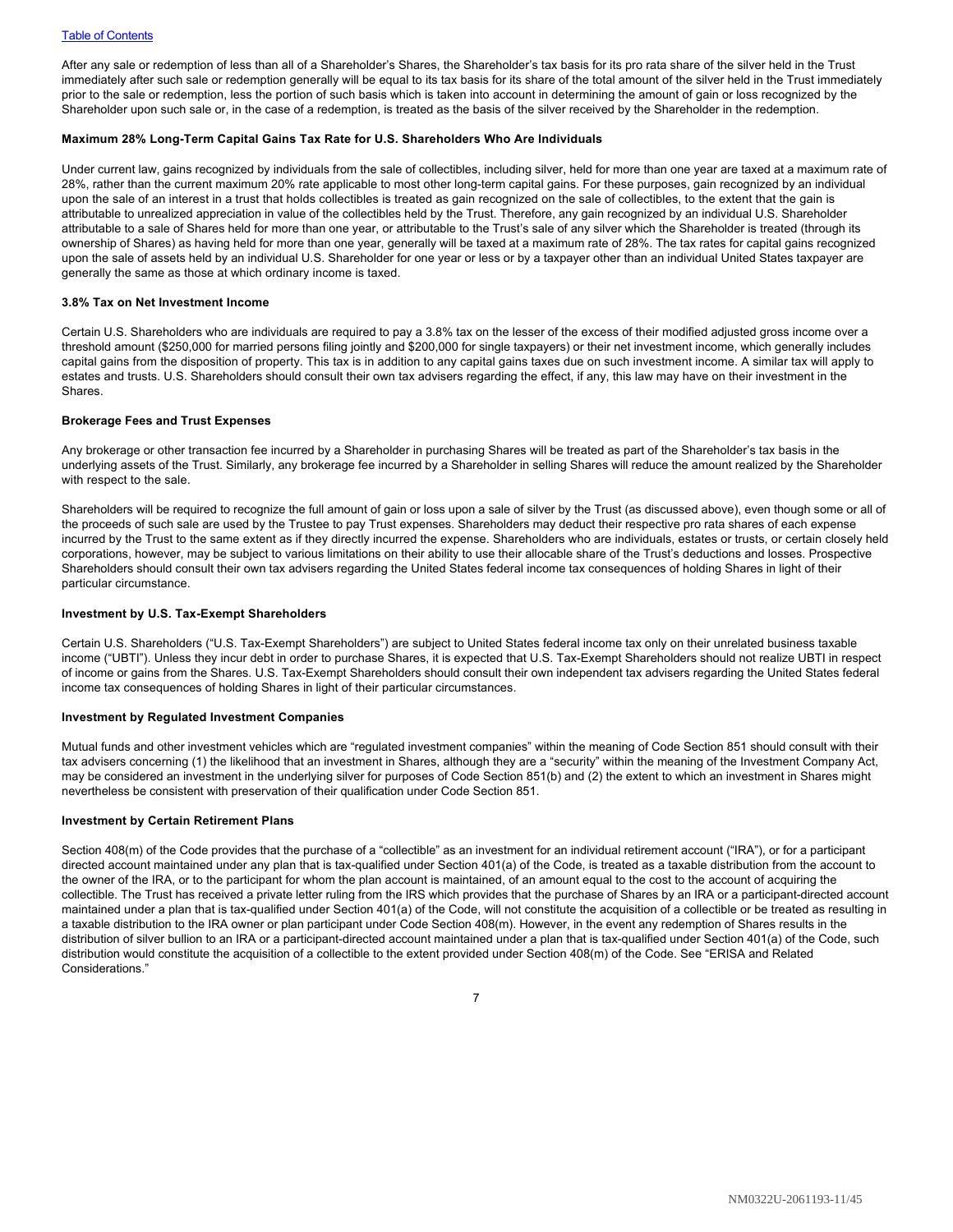After any sale or redemption of less than all of a Shareholder's Shares, the Shareholder's tax basis for its pro rata share of the silver held in the Trust immediately after such sale or redemption generally will be equal to its tax basis for its share of the total amount of the silver held in the Trust immediately prior to the sale or redemption, less the portion of such basis which is taken into account in determining the amount of gain or loss recognized by the Shareholder upon such sale or, in the case of a redemption, is treated as the basis of the silver received by the Shareholder in the redemption.

# **Maximum 28% Long-Term Capital Gains Tax Rate for U.S. Shareholders Who Are Individuals**

Under current law, gains recognized by individuals from the sale of collectibles, including silver, held for more than one year are taxed at a maximum rate of 28%, rather than the current maximum 20% rate applicable to most other long-term capital gains. For these purposes, gain recognized by an individual upon the sale of an interest in a trust that holds collectibles is treated as gain recognized on the sale of collectibles, to the extent that the gain is attributable to unrealized appreciation in value of the collectibles held by the Trust. Therefore, any gain recognized by an individual U.S. Shareholder attributable to a sale of Shares held for more than one year, or attributable to the Trust's sale of any silver which the Shareholder is treated (through its ownership of Shares) as having held for more than one year, generally will be taxed at a maximum rate of 28%. The tax rates for capital gains recognized upon the sale of assets held by an individual U.S. Shareholder for one year or less or by a taxpayer other than an individual United States taxpayer are generally the same as those at which ordinary income is taxed.

# **3.8% Tax on Net Investment Income**

Certain U.S. Shareholders who are individuals are required to pay a 3.8% tax on the lesser of the excess of their modified adjusted gross income over a threshold amount (\$250,000 for married persons filing jointly and \$200,000 for single taxpayers) or their net investment income, which generally includes capital gains from the disposition of property. This tax is in addition to any capital gains taxes due on such investment income. A similar tax will apply to estates and trusts. U.S. Shareholders should consult their own tax advisers regarding the effect, if any, this law may have on their investment in the Shares.

# **Brokerage Fees and Trust Expenses**

Any brokerage or other transaction fee incurred by a Shareholder in purchasing Shares will be treated as part of the Shareholder's tax basis in the underlying assets of the Trust. Similarly, any brokerage fee incurred by a Shareholder in selling Shares will reduce the amount realized by the Shareholder with respect to the sale.

Shareholders will be required to recognize the full amount of gain or loss upon a sale of silver by the Trust (as discussed above), even though some or all of the proceeds of such sale are used by the Trustee to pay Trust expenses. Shareholders may deduct their respective pro rata shares of each expense incurred by the Trust to the same extent as if they directly incurred the expense. Shareholders who are individuals, estates or trusts, or certain closely held corporations, however, may be subject to various limitations on their ability to use their allocable share of the Trust's deductions and losses. Prospective Shareholders should consult their own tax advisers regarding the United States federal income tax consequences of holding Shares in light of their particular circumstance.

# **Investment by U.S. Tax-Exempt Shareholders**

Certain U.S. Shareholders ("U.S. Tax-Exempt Shareholders") are subject to United States federal income tax only on their unrelated business taxable income ("UBTI"). Unless they incur debt in order to purchase Shares, it is expected that U.S. Tax-Exempt Shareholders should not realize UBTI in respect of income or gains from the Shares. U.S. Tax-Exempt Shareholders should consult their own independent tax advisers regarding the United States federal income tax consequences of holding Shares in light of their particular circumstances.

#### **Investment by Regulated Investment Companies**

Mutual funds and other investment vehicles which are "regulated investment companies" within the meaning of Code Section 851 should consult with their tax advisers concerning (1) the likelihood that an investment in Shares, although they are a "security" within the meaning of the Investment Company Act, may be considered an investment in the underlying silver for purposes of Code Section 851(b) and (2) the extent to which an investment in Shares might nevertheless be consistent with preservation of their qualification under Code Section 851.

#### **Investment by Certain Retirement Plans**

Section 408(m) of the Code provides that the purchase of a "collectible" as an investment for an individual retirement account ("IRA"), or for a participant directed account maintained under any plan that is tax-qualified under Section 401(a) of the Code, is treated as a taxable distribution from the account to the owner of the IRA, or to the participant for whom the plan account is maintained, of an amount equal to the cost to the account of acquiring the collectible. The Trust has received a private letter ruling from the IRS which provides that the purchase of Shares by an IRA or a participant-directed account maintained under a plan that is tax-qualified under Section 401(a) of the Code, will not constitute the acquisition of a collectible or be treated as resulting in a taxable distribution to the IRA owner or plan participant under Code Section 408(m). However, in the event any redemption of Shares results in the distribution of silver bullion to an IRA or a participant-directed account maintained under a plan that is tax-qualified under Section 401(a) of the Code, such distribution would constitute the acquisition of a collectible to the extent provided under Section 408(m) of the Code. See "ERISA and Related Considerations."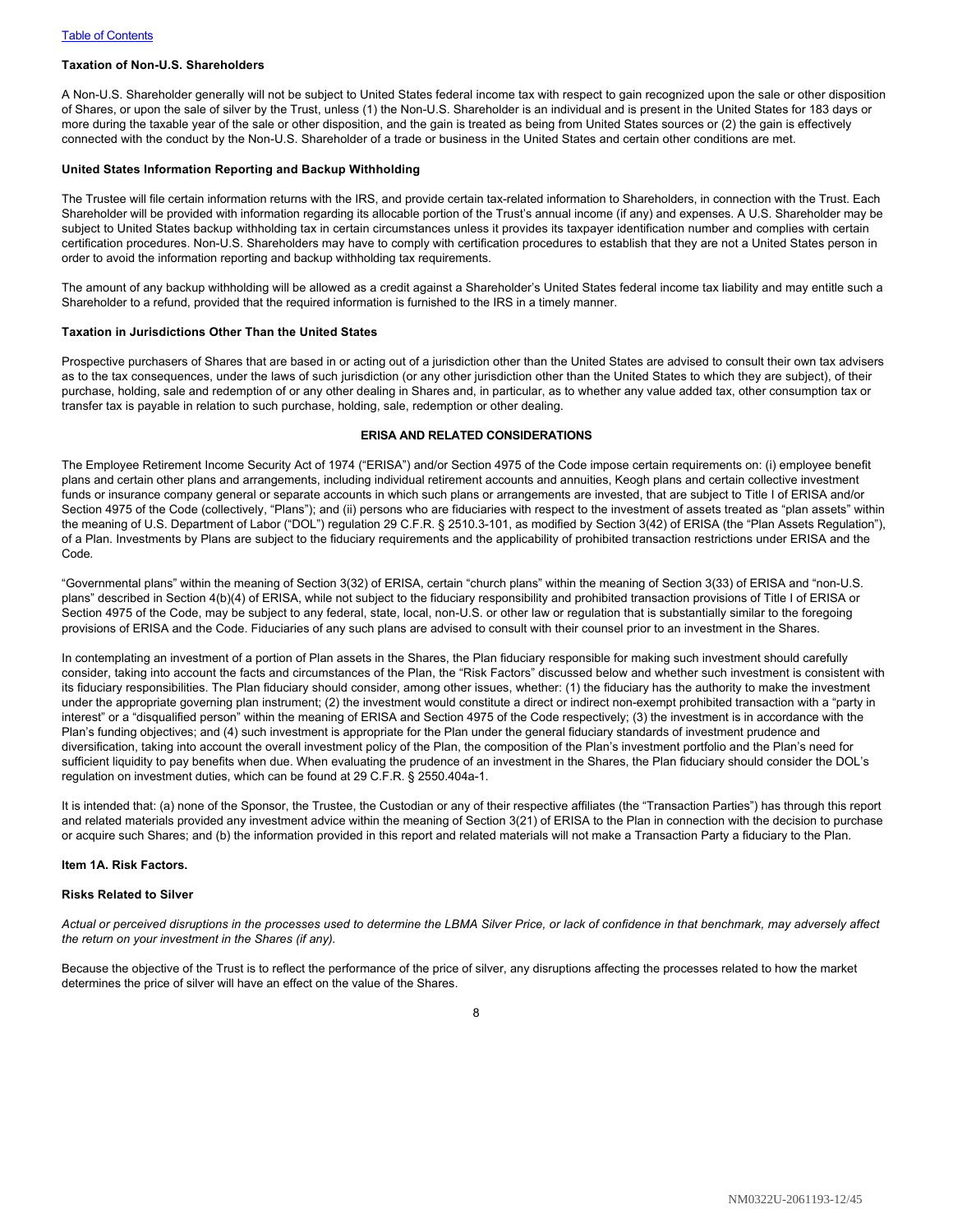# **Taxation of Non-U.S. Shareholders**

A Non-U.S. Shareholder generally will not be subject to United States federal income tax with respect to gain recognized upon the sale or other disposition of Shares, or upon the sale of silver by the Trust, unless (1) the Non-U.S. Shareholder is an individual and is present in the United States for 183 days or more during the taxable year of the sale or other disposition, and the gain is treated as being from United States sources or (2) the gain is effectively connected with the conduct by the Non-U.S. Shareholder of a trade or business in the United States and certain other conditions are met.

#### **United States Information Reporting and Backup Withholding**

The Trustee will file certain information returns with the IRS, and provide certain tax-related information to Shareholders, in connection with the Trust. Each Shareholder will be provided with information regarding its allocable portion of the Trust's annual income (if any) and expenses. A U.S. Shareholder may be subject to United States backup withholding tax in certain circumstances unless it provides its taxpayer identification number and complies with certain certification procedures. Non-U.S. Shareholders may have to comply with certification procedures to establish that they are not a United States person in order to avoid the information reporting and backup withholding tax requirements.

The amount of any backup withholding will be allowed as a credit against a Shareholder's United States federal income tax liability and may entitle such a Shareholder to a refund, provided that the required information is furnished to the IRS in a timely manner.

#### **Taxation in Jurisdictions Other Than the United States**

Prospective purchasers of Shares that are based in or acting out of a jurisdiction other than the United States are advised to consult their own tax advisers as to the tax consequences, under the laws of such jurisdiction (or any other jurisdiction other than the United States to which they are subject), of their purchase, holding, sale and redemption of or any other dealing in Shares and, in particular, as to whether any value added tax, other consumption tax or transfer tax is payable in relation to such purchase, holding, sale, redemption or other dealing.

# **ERISA AND RELATED CONSIDERATIONS**

The Employee Retirement Income Security Act of 1974 ("ERISA") and/or Section 4975 of the Code impose certain requirements on: (i) employee benefit plans and certain other plans and arrangements, including individual retirement accounts and annuities, Keogh plans and certain collective investment funds or insurance company general or separate accounts in which such plans or arrangements are invested, that are subject to Title I of ERISA and/or Section 4975 of the Code (collectively, "Plans"); and (ii) persons who are fiduciaries with respect to the investment of assets treated as "plan assets" within the meaning of U.S. Department of Labor ("DOL") regulation 29 C.F.R. § 2510.3-101, as modified by Section 3(42) of ERISA (the "Plan Assets Regulation"), of a Plan. Investments by Plans are subject to the fiduciary requirements and the applicability of prohibited transaction restrictions under ERISA and the Code.

"Governmental plans" within the meaning of Section 3(32) of ERISA, certain "church plans" within the meaning of Section 3(33) of ERISA and "non-U.S. plans" described in Section 4(b)(4) of ERISA, while not subject to the fiduciary responsibility and prohibited transaction provisions of Title I of ERISA or Section 4975 of the Code, may be subject to any federal, state, local, non-U.S. or other law or regulation that is substantially similar to the foregoing provisions of ERISA and the Code. Fiduciaries of any such plans are advised to consult with their counsel prior to an investment in the Shares.

In contemplating an investment of a portion of Plan assets in the Shares, the Plan fiduciary responsible for making such investment should carefully consider, taking into account the facts and circumstances of the Plan, the "Risk Factors" discussed below and whether such investment is consistent with its fiduciary responsibilities. The Plan fiduciary should consider, among other issues, whether: (1) the fiduciary has the authority to make the investment under the appropriate governing plan instrument; (2) the investment would constitute a direct or indirect non-exempt prohibited transaction with a "party in interest" or a "disqualified person" within the meaning of ERISA and Section 4975 of the Code respectively; (3) the investment is in accordance with the Plan's funding objectives; and (4) such investment is appropriate for the Plan under the general fiduciary standards of investment prudence and diversification, taking into account the overall investment policy of the Plan, the composition of the Plan's investment portfolio and the Plan's need for sufficient liquidity to pay benefits when due. When evaluating the prudence of an investment in the Shares, the Plan fiduciary should consider the DOL's regulation on investment duties, which can be found at 29 C.F.R. § 2550.404a-1.

It is intended that: (a) none of the Sponsor, the Trustee, the Custodian or any of their respective affiliates (the "Transaction Parties") has through this report and related materials provided any investment advice within the meaning of Section 3(21) of ERISA to the Plan in connection with the decision to purchase or acquire such Shares; and (b) the information provided in this report and related materials will not make a Transaction Party a fiduciary to the Plan.

#### <span id="page-11-0"></span>**Item 1A. Risk Factors.**

#### **Risks Related to Silver**

*Actual or perceived disruptions in the processes used to determine the LBMA Silver Price, or lack of confidence in that benchmark, may adversely affect the return on your investment in the Shares (if any).*

Because the objective of the Trust is to reflect the performance of the price of silver, any disruptions affecting the processes related to how the market determines the price of silver will have an effect on the value of the Shares.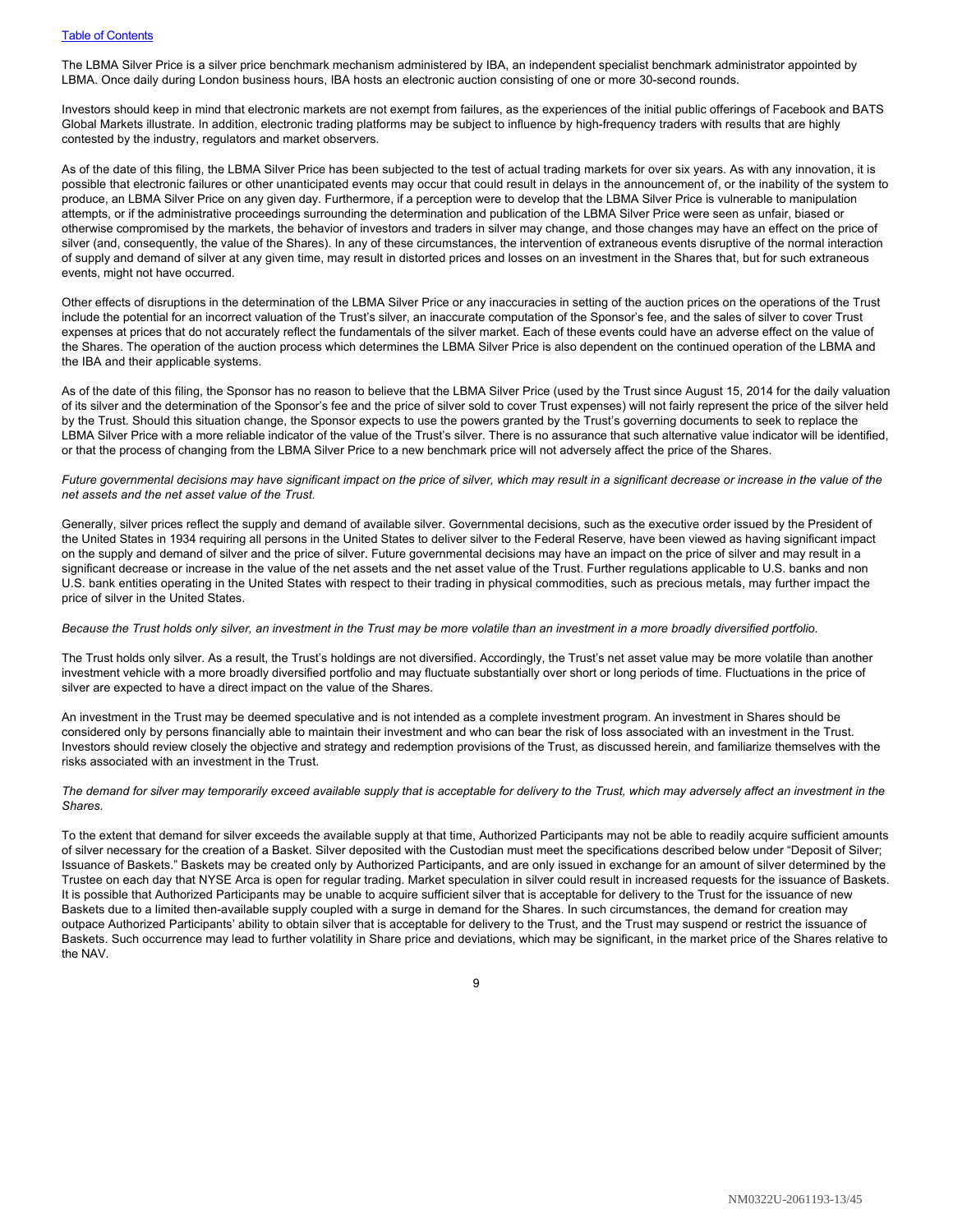The LBMA Silver Price is a silver price benchmark mechanism administered by IBA, an independent specialist benchmark administrator appointed by LBMA. Once daily during London business hours, IBA hosts an electronic auction consisting of one or more 30-second rounds.

Investors should keep in mind that electronic markets are not exempt from failures, as the experiences of the initial public offerings of Facebook and BATS Global Markets illustrate. In addition, electronic trading platforms may be subject to influence by high-frequency traders with results that are highly contested by the industry, regulators and market observers.

As of the date of this filing, the LBMA Silver Price has been subjected to the test of actual trading markets for over six years. As with any innovation, it is possible that electronic failures or other unanticipated events may occur that could result in delays in the announcement of, or the inability of the system to produce, an LBMA Silver Price on any given day. Furthermore, if a perception were to develop that the LBMA Silver Price is vulnerable to manipulation attempts, or if the administrative proceedings surrounding the determination and publication of the LBMA Silver Price were seen as unfair, biased or otherwise compromised by the markets, the behavior of investors and traders in silver may change, and those changes may have an effect on the price of silver (and, consequently, the value of the Shares). In any of these circumstances, the intervention of extraneous events disruptive of the normal interaction of supply and demand of silver at any given time, may result in distorted prices and losses on an investment in the Shares that, but for such extraneous events, might not have occurred.

Other effects of disruptions in the determination of the LBMA Silver Price or any inaccuracies in setting of the auction prices on the operations of the Trust include the potential for an incorrect valuation of the Trust's silver, an inaccurate computation of the Sponsor's fee, and the sales of silver to cover Trust expenses at prices that do not accurately reflect the fundamentals of the silver market. Each of these events could have an adverse effect on the value of the Shares. The operation of the auction process which determines the LBMA Silver Price is also dependent on the continued operation of the LBMA and the IBA and their applicable systems.

As of the date of this filing, the Sponsor has no reason to believe that the LBMA Silver Price (used by the Trust since August 15, 2014 for the daily valuation of its silver and the determination of the Sponsor's fee and the price of silver sold to cover Trust expenses) will not fairly represent the price of the silver held by the Trust. Should this situation change, the Sponsor expects to use the powers granted by the Trust's governing documents to seek to replace the LBMA Silver Price with a more reliable indicator of the value of the Trust's silver. There is no assurance that such alternative value indicator will be identified, or that the process of changing from the LBMA Silver Price to a new benchmark price will not adversely affect the price of the Shares.

*Future governmental decisions may have significant impact on the price of silver, which may result in a significant decrease or increase in the value of the net assets and the net asset value of the Trust.*

Generally, silver prices reflect the supply and demand of available silver. Governmental decisions, such as the executive order issued by the President of the United States in 1934 requiring all persons in the United States to deliver silver to the Federal Reserve, have been viewed as having significant impact on the supply and demand of silver and the price of silver. Future governmental decisions may have an impact on the price of silver and may result in a significant decrease or increase in the value of the net assets and the net asset value of the Trust. Further regulations applicable to U.S. banks and non U.S. bank entities operating in the United States with respect to their trading in physical commodities, such as precious metals, may further impact the price of silver in the United States.

*Because the Trust holds only silver, an investment in the Trust may be more volatile than an investment in a more broadly diversified portfolio.*

The Trust holds only silver. As a result, the Trust's holdings are not diversified. Accordingly, the Trust's net asset value may be more volatile than another investment vehicle with a more broadly diversified portfolio and may fluctuate substantially over short or long periods of time. Fluctuations in the price of silver are expected to have a direct impact on the value of the Shares.

An investment in the Trust may be deemed speculative and is not intended as a complete investment program. An investment in Shares should be considered only by persons financially able to maintain their investment and who can bear the risk of loss associated with an investment in the Trust. Investors should review closely the objective and strategy and redemption provisions of the Trust, as discussed herein, and familiarize themselves with the risks associated with an investment in the Trust.

#### *The demand for silver may temporarily exceed available supply that is acceptable for delivery to the Trust, which may adversely affect an investment in the Shares.*

To the extent that demand for silver exceeds the available supply at that time, Authorized Participants may not be able to readily acquire sufficient amounts of silver necessary for the creation of a Basket. Silver deposited with the Custodian must meet the specifications described below under "Deposit of Silver; Issuance of Baskets." Baskets may be created only by Authorized Participants, and are only issued in exchange for an amount of silver determined by the Trustee on each day that NYSE Arca is open for regular trading. Market speculation in silver could result in increased requests for the issuance of Baskets. It is possible that Authorized Participants may be unable to acquire sufficient silver that is acceptable for delivery to the Trust for the issuance of new Baskets due to a limited then-available supply coupled with a surge in demand for the Shares. In such circumstances, the demand for creation may outpace Authorized Participants' ability to obtain silver that is acceptable for delivery to the Trust, and the Trust may suspend or restrict the issuance of Baskets. Such occurrence may lead to further volatility in Share price and deviations, which may be significant, in the market price of the Shares relative to the NAV.

9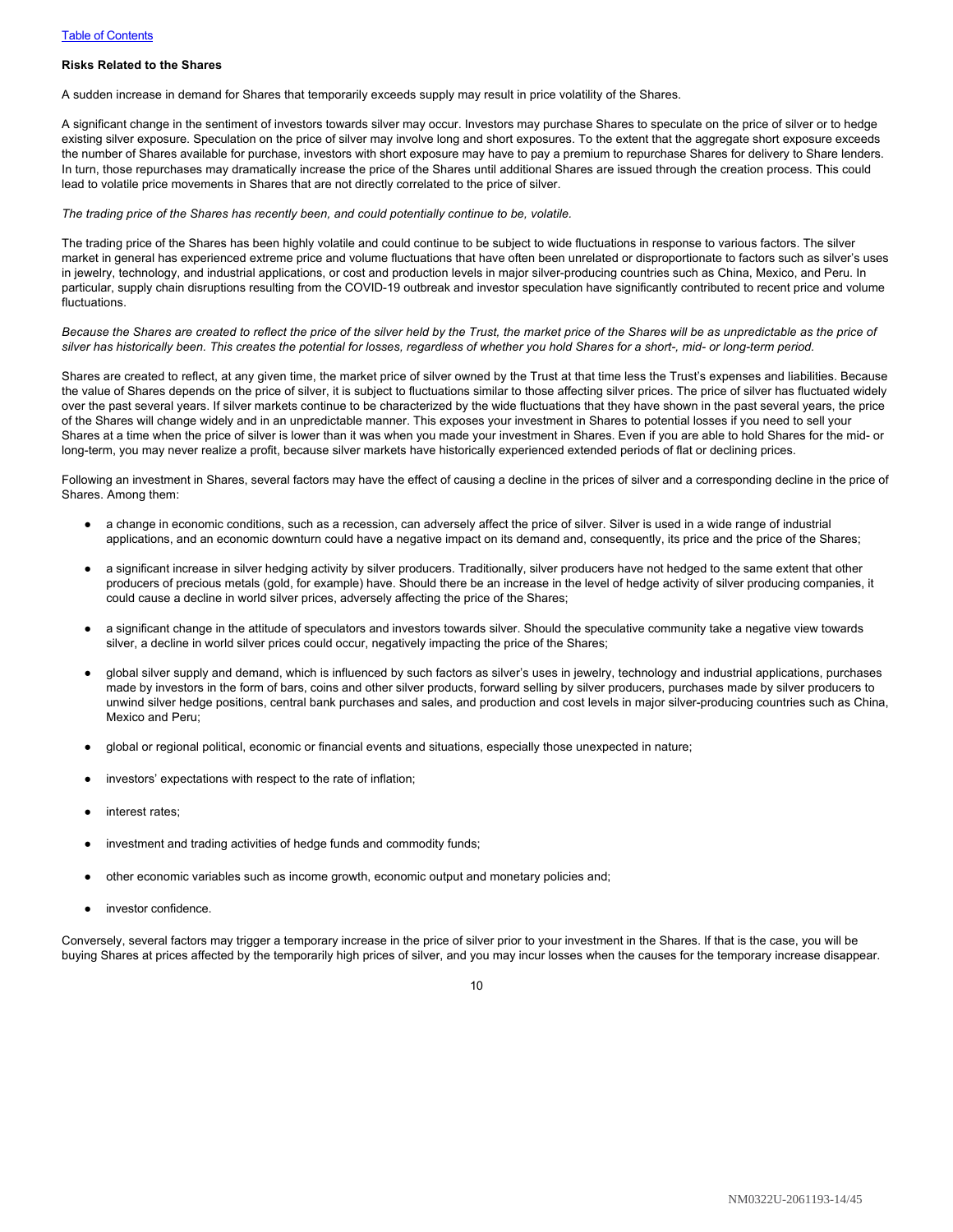# **Risks Related to the Shares**

A sudden increase in demand for Shares that temporarily exceeds supply may result in price volatility of the Shares.

A significant change in the sentiment of investors towards silver may occur. Investors may purchase Shares to speculate on the price of silver or to hedge existing silver exposure. Speculation on the price of silver may involve long and short exposures. To the extent that the aggregate short exposure exceeds the number of Shares available for purchase, investors with short exposure may have to pay a premium to repurchase Shares for delivery to Share lenders. In turn, those repurchases may dramatically increase the price of the Shares until additional Shares are issued through the creation process. This could lead to volatile price movements in Shares that are not directly correlated to the price of silver.

*The trading price of the Shares has recently been, and could potentially continue to be, volatile.*

The trading price of the Shares has been highly volatile and could continue to be subject to wide fluctuations in response to various factors. The silver market in general has experienced extreme price and volume fluctuations that have often been unrelated or disproportionate to factors such as silver's uses in jewelry, technology, and industrial applications, or cost and production levels in major silver-producing countries such as China, Mexico, and Peru. In particular, supply chain disruptions resulting from the COVID-19 outbreak and investor speculation have significantly contributed to recent price and volume fluctuations.

*Because the Shares are created to reflect the price of the silver held by the Trust, the market price of the Shares will be as unpredictable as the price of silver has historically been. This creates the potential for losses, regardless of whether you hold Shares for a short-, mid- or long-term period.*

Shares are created to reflect, at any given time, the market price of silver owned by the Trust at that time less the Trust's expenses and liabilities. Because the value of Shares depends on the price of silver, it is subject to fluctuations similar to those affecting silver prices. The price of silver has fluctuated widely over the past several years. If silver markets continue to be characterized by the wide fluctuations that they have shown in the past several years, the price of the Shares will change widely and in an unpredictable manner. This exposes your investment in Shares to potential losses if you need to sell your Shares at a time when the price of silver is lower than it was when you made your investment in Shares. Even if you are able to hold Shares for the mid- or long-term, you may never realize a profit, because silver markets have historically experienced extended periods of flat or declining prices.

Following an investment in Shares, several factors may have the effect of causing a decline in the prices of silver and a corresponding decline in the price of Shares. Among them:

- a change in economic conditions, such as a recession, can adversely affect the price of silver. Silver is used in a wide range of industrial applications, and an economic downturn could have a negative impact on its demand and, consequently, its price and the price of the Shares;
- a significant increase in silver hedging activity by silver producers. Traditionally, silver producers have not hedged to the same extent that other producers of precious metals (gold, for example) have. Should there be an increase in the level of hedge activity of silver producing companies, it could cause a decline in world silver prices, adversely affecting the price of the Shares;
- a significant change in the attitude of speculators and investors towards silver. Should the speculative community take a negative view towards silver, a decline in world silver prices could occur, negatively impacting the price of the Shares;
- global silver supply and demand, which is influenced by such factors as silver's uses in jewelry, technology and industrial applications, purchases made by investors in the form of bars, coins and other silver products, forward selling by silver producers, purchases made by silver producers to unwind silver hedge positions, central bank purchases and sales, and production and cost levels in major silver-producing countries such as China, Mexico and Peru;
- global or regional political, economic or financial events and situations, especially those unexpected in nature;
- investors' expectations with respect to the rate of inflation;
- interest rates:
- investment and trading activities of hedge funds and commodity funds;
- other economic variables such as income growth, economic output and monetary policies and;
- investor confidence.

Conversely, several factors may trigger a temporary increase in the price of silver prior to your investment in the Shares. If that is the case, you will be buying Shares at prices affected by the temporarily high prices of silver, and you may incur losses when the causes for the temporary increase disappear.

10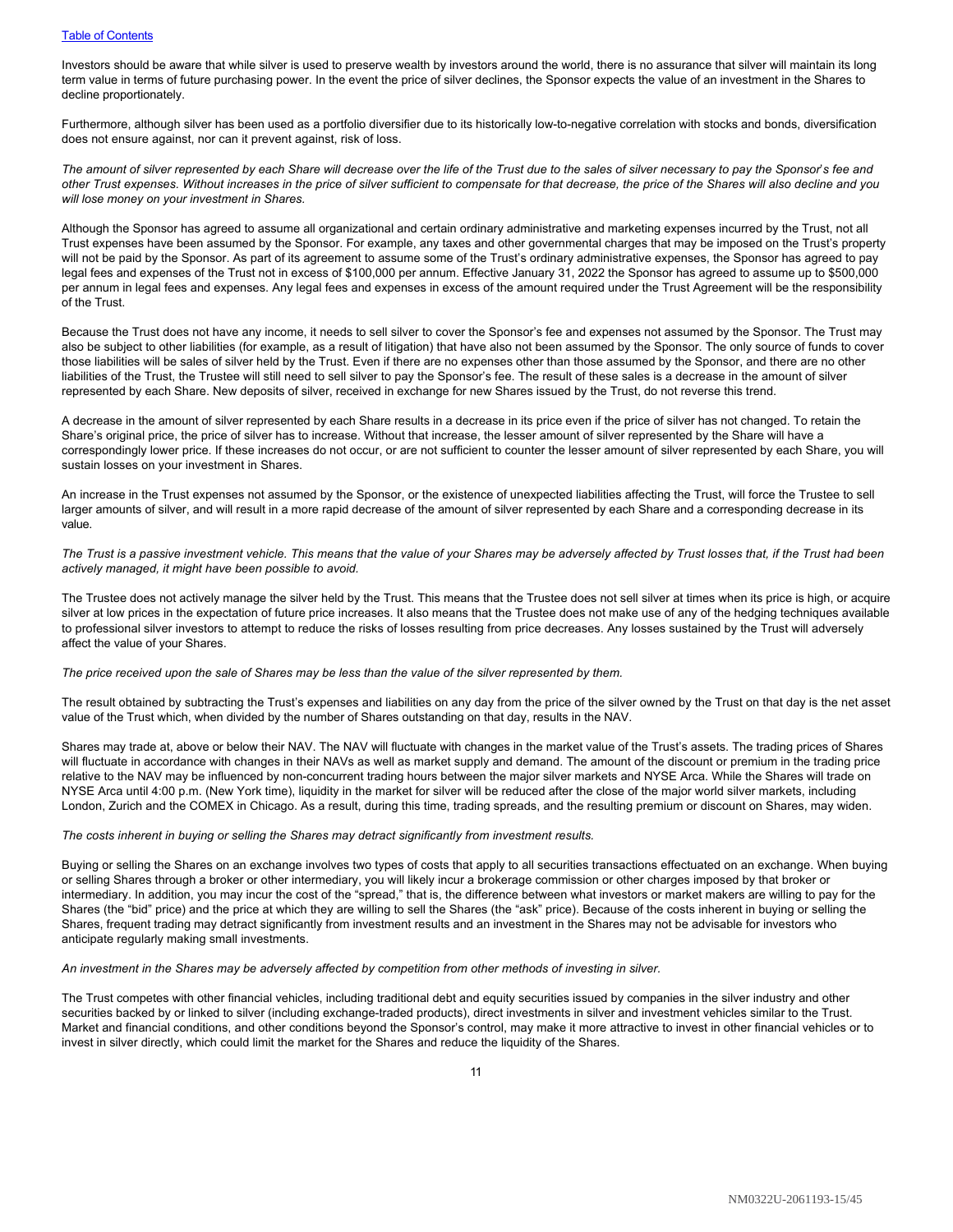Investors should be aware that while silver is used to preserve wealth by investors around the world, there is no assurance that silver will maintain its long term value in terms of future purchasing power. In the event the price of silver declines, the Sponsor expects the value of an investment in the Shares to decline proportionately.

Furthermore, although silver has been used as a portfolio diversifier due to its historically low-to-negative correlation with stocks and bonds, diversification does not ensure against, nor can it prevent against, risk of loss.

*The amount of silver represented by each Share will decrease over the life of the Trust due to the sales of silver necessary to pay the Sponsor*'*s fee and other Trust expenses. Without increases in the price of silver sufficient to compensate for that decrease, the price of the Shares will also decline and you will lose money on your investment in Shares.*

Although the Sponsor has agreed to assume all organizational and certain ordinary administrative and marketing expenses incurred by the Trust, not all Trust expenses have been assumed by the Sponsor. For example, any taxes and other governmental charges that may be imposed on the Trust's property will not be paid by the Sponsor. As part of its agreement to assume some of the Trust's ordinary administrative expenses, the Sponsor has agreed to pay legal fees and expenses of the Trust not in excess of \$100,000 per annum. Effective January 31, 2022 the Sponsor has agreed to assume up to \$500,000 per annum in legal fees and expenses. Any legal fees and expenses in excess of the amount required under the Trust Agreement will be the responsibility of the Trust.

Because the Trust does not have any income, it needs to sell silver to cover the Sponsor's fee and expenses not assumed by the Sponsor. The Trust may also be subject to other liabilities (for example, as a result of litigation) that have also not been assumed by the Sponsor. The only source of funds to cover those liabilities will be sales of silver held by the Trust. Even if there are no expenses other than those assumed by the Sponsor, and there are no other liabilities of the Trust, the Trustee will still need to sell silver to pay the Sponsor's fee. The result of these sales is a decrease in the amount of silver represented by each Share. New deposits of silver, received in exchange for new Shares issued by the Trust, do not reverse this trend.

A decrease in the amount of silver represented by each Share results in a decrease in its price even if the price of silver has not changed. To retain the Share's original price, the price of silver has to increase. Without that increase, the lesser amount of silver represented by the Share will have a correspondingly lower price. If these increases do not occur, or are not sufficient to counter the lesser amount of silver represented by each Share, you will sustain losses on your investment in Shares.

An increase in the Trust expenses not assumed by the Sponsor, or the existence of unexpected liabilities affecting the Trust, will force the Trustee to sell larger amounts of silver, and will result in a more rapid decrease of the amount of silver represented by each Share and a corresponding decrease in its value.

*The Trust is a passive investment vehicle. This means that the value of your Shares may be adversely affected by Trust losses that, if the Trust had been actively managed, it might have been possible to avoid.*

The Trustee does not actively manage the silver held by the Trust. This means that the Trustee does not sell silver at times when its price is high, or acquire silver at low prices in the expectation of future price increases. It also means that the Trustee does not make use of any of the hedging techniques available to professional silver investors to attempt to reduce the risks of losses resulting from price decreases. Any losses sustained by the Trust will adversely affect the value of your Shares.

*The price received upon the sale of Shares may be less than the value of the silver represented by them.*

The result obtained by subtracting the Trust's expenses and liabilities on any day from the price of the silver owned by the Trust on that day is the net asset value of the Trust which, when divided by the number of Shares outstanding on that day, results in the NAV.

Shares may trade at, above or below their NAV. The NAV will fluctuate with changes in the market value of the Trust's assets. The trading prices of Shares will fluctuate in accordance with changes in their NAVs as well as market supply and demand. The amount of the discount or premium in the trading price relative to the NAV may be influenced by non-concurrent trading hours between the major silver markets and NYSE Arca. While the Shares will trade on NYSE Arca until 4:00 p.m. (New York time), liquidity in the market for silver will be reduced after the close of the major world silver markets, including London, Zurich and the COMEX in Chicago. As a result, during this time, trading spreads, and the resulting premium or discount on Shares, may widen.

#### *The costs inherent in buying or selling the Shares may detract significantly from investment results.*

Buying or selling the Shares on an exchange involves two types of costs that apply to all securities transactions effectuated on an exchange. When buying or selling Shares through a broker or other intermediary, you will likely incur a brokerage commission or other charges imposed by that broker or intermediary. In addition, you may incur the cost of the "spread," that is, the difference between what investors or market makers are willing to pay for the Shares (the "bid" price) and the price at which they are willing to sell the Shares (the "ask" price). Because of the costs inherent in buying or selling the Shares, frequent trading may detract significantly from investment results and an investment in the Shares may not be advisable for investors who anticipate regularly making small investments.

*An investment in the Shares may be adversely affected by competition from other methods of investing in silver.*

The Trust competes with other financial vehicles, including traditional debt and equity securities issued by companies in the silver industry and other securities backed by or linked to silver (including exchange-traded products), direct investments in silver and investment vehicles similar to the Trust. Market and financial conditions, and other conditions beyond the Sponsor's control, may make it more attractive to invest in other financial vehicles or to invest in silver directly, which could limit the market for the Shares and reduce the liquidity of the Shares.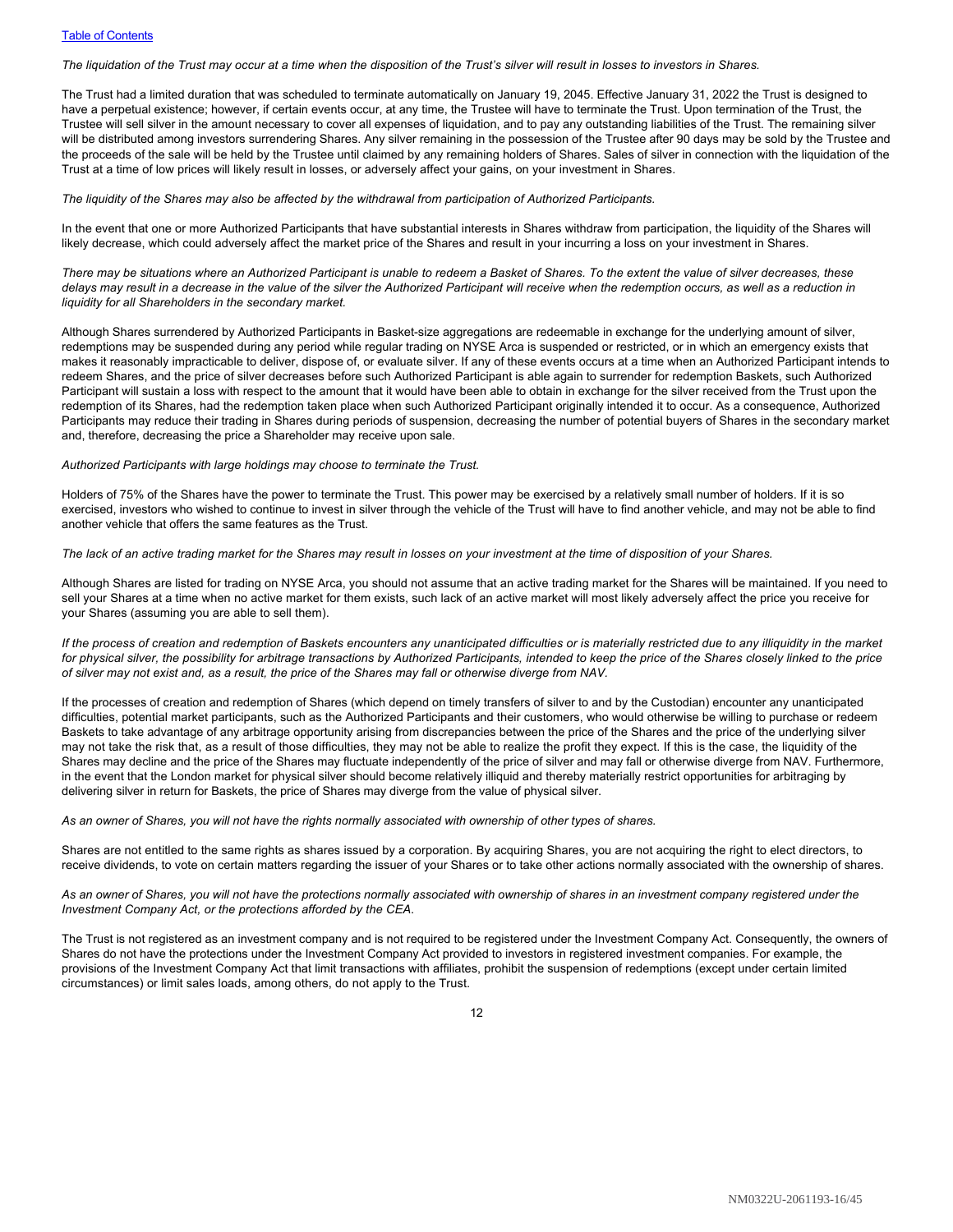*The liquidation of the Trust may occur at a time when the disposition of the Trust's silver will result in losses to investors in Shares.*

The Trust had a limited duration that was scheduled to terminate automatically on January 19, 2045. Effective January 31, 2022 the Trust is designed to have a perpetual existence; however, if certain events occur, at any time, the Trustee will have to terminate the Trust. Upon termination of the Trust, the Trustee will sell silver in the amount necessary to cover all expenses of liquidation, and to pay any outstanding liabilities of the Trust. The remaining silver will be distributed among investors surrendering Shares. Any silver remaining in the possession of the Trustee after 90 days may be sold by the Trustee and the proceeds of the sale will be held by the Trustee until claimed by any remaining holders of Shares. Sales of silver in connection with the liquidation of the Trust at a time of low prices will likely result in losses, or adversely affect your gains, on your investment in Shares.

*The liquidity of the Shares may also be affected by the withdrawal from participation of Authorized Participants.*

In the event that one or more Authorized Participants that have substantial interests in Shares withdraw from participation, the liquidity of the Shares will likely decrease, which could adversely affect the market price of the Shares and result in your incurring a loss on your investment in Shares.

*There may be situations where an Authorized Participant is unable to redeem a Basket of Shares. To the extent the value of silver decreases, these delays may result in a decrease in the value of the silver the Authorized Participant will receive when the redemption occurs, as well as a reduction in liquidity for all Shareholders in the secondary market.*

Although Shares surrendered by Authorized Participants in Basket-size aggregations are redeemable in exchange for the underlying amount of silver, redemptions may be suspended during any period while regular trading on NYSE Arca is suspended or restricted, or in which an emergency exists that makes it reasonably impracticable to deliver, dispose of, or evaluate silver. If any of these events occurs at a time when an Authorized Participant intends to redeem Shares, and the price of silver decreases before such Authorized Participant is able again to surrender for redemption Baskets, such Authorized Participant will sustain a loss with respect to the amount that it would have been able to obtain in exchange for the silver received from the Trust upon the redemption of its Shares, had the redemption taken place when such Authorized Participant originally intended it to occur. As a consequence, Authorized Participants may reduce their trading in Shares during periods of suspension, decreasing the number of potential buyers of Shares in the secondary market and, therefore, decreasing the price a Shareholder may receive upon sale.

*Authorized Participants with large holdings may choose to terminate the Trust.*

Holders of 75% of the Shares have the power to terminate the Trust. This power may be exercised by a relatively small number of holders. If it is so exercised, investors who wished to continue to invest in silver through the vehicle of the Trust will have to find another vehicle, and may not be able to find another vehicle that offers the same features as the Trust.

*The lack of an active trading market for the Shares may result in losses on your investment at the time of disposition of your Shares.*

Although Shares are listed for trading on NYSE Arca, you should not assume that an active trading market for the Shares will be maintained. If you need to sell your Shares at a time when no active market for them exists, such lack of an active market will most likely adversely affect the price you receive for your Shares (assuming you are able to sell them).

*If the process of creation and redemption of Baskets encounters any unanticipated difficulties or is materially restricted due to any illiquidity in the market for physical silver, the possibility for arbitrage transactions by Authorized Participants, intended to keep the price of the Shares closely linked to the price of silver may not exist and, as a result, the price of the Shares may fall or otherwise diverge from NAV.*

If the processes of creation and redemption of Shares (which depend on timely transfers of silver to and by the Custodian) encounter any unanticipated difficulties, potential market participants, such as the Authorized Participants and their customers, who would otherwise be willing to purchase or redeem Baskets to take advantage of any arbitrage opportunity arising from discrepancies between the price of the Shares and the price of the underlying silver may not take the risk that, as a result of those difficulties, they may not be able to realize the profit they expect. If this is the case, the liquidity of the Shares may decline and the price of the Shares may fluctuate independently of the price of silver and may fall or otherwise diverge from NAV. Furthermore, in the event that the London market for physical silver should become relatively illiquid and thereby materially restrict opportunities for arbitraging by delivering silver in return for Baskets, the price of Shares may diverge from the value of physical silver.

*As an owner of Shares, you will not have the rights normally associated with ownership of other types of shares.*

Shares are not entitled to the same rights as shares issued by a corporation. By acquiring Shares, you are not acquiring the right to elect directors, to receive dividends, to vote on certain matters regarding the issuer of your Shares or to take other actions normally associated with the ownership of shares.

*As an owner of Shares, you will not have the protections normally associated with ownership of shares in an investment company registered under the Investment Company Act, or the protections afforded by the CEA*.

The Trust is not registered as an investment company and is not required to be registered under the Investment Company Act. Consequently, the owners of Shares do not have the protections under the Investment Company Act provided to investors in registered investment companies. For example, the provisions of the Investment Company Act that limit transactions with affiliates, prohibit the suspension of redemptions (except under certain limited circumstances) or limit sales loads, among others, do not apply to the Trust.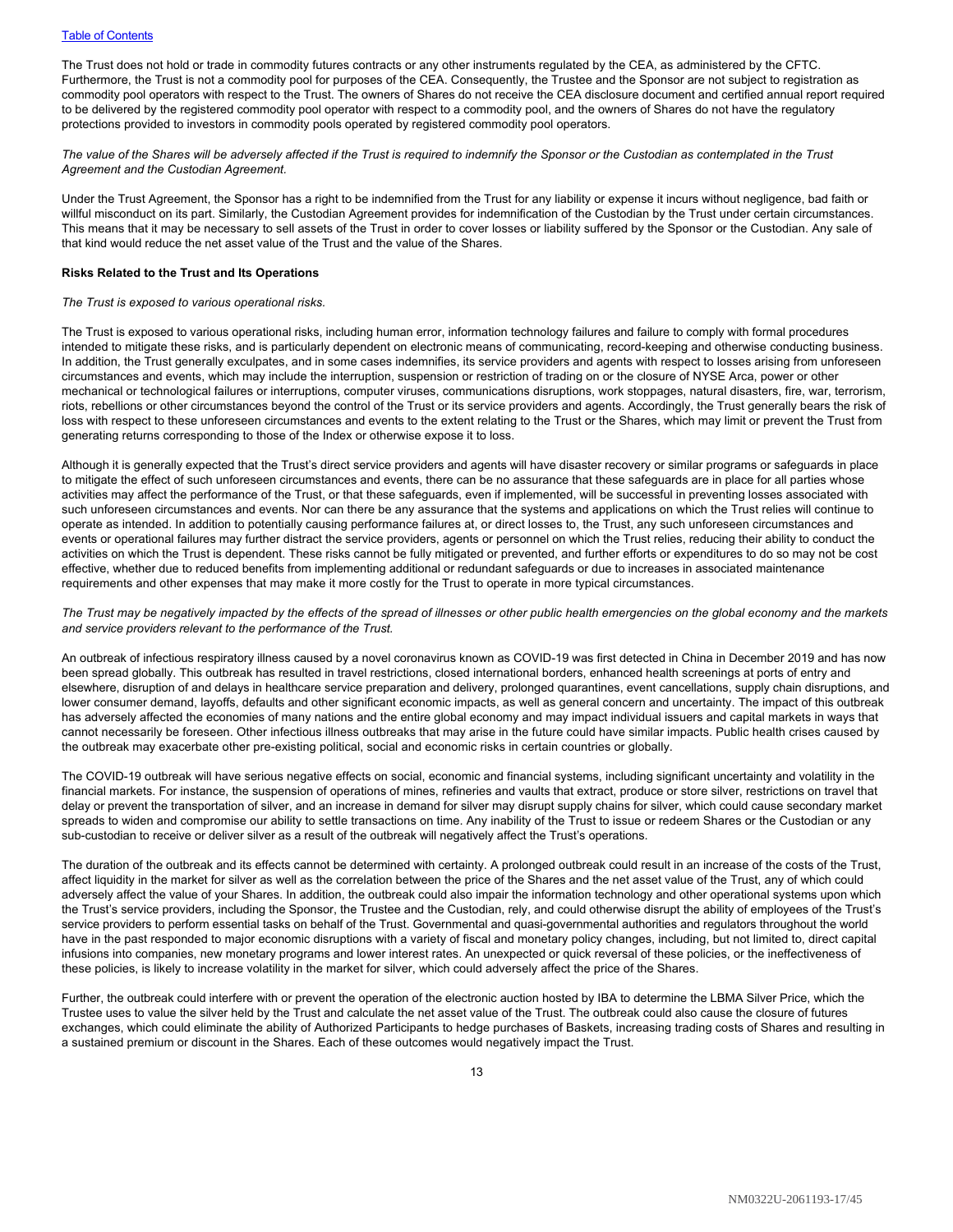The Trust does not hold or trade in commodity futures contracts or any other instruments regulated by the CEA, as administered by the CFTC. Furthermore, the Trust is not a commodity pool for purposes of the CEA. Consequently, the Trustee and the Sponsor are not subject to registration as commodity pool operators with respect to the Trust. The owners of Shares do not receive the CEA disclosure document and certified annual report required to be delivered by the registered commodity pool operator with respect to a commodity pool, and the owners of Shares do not have the regulatory protections provided to investors in commodity pools operated by registered commodity pool operators.

# *The value of the Shares will be adversely affected if the Trust is required to indemnify the Sponsor or the Custodian as contemplated in the Trust Agreement and the Custodian Agreement.*

Under the Trust Agreement, the Sponsor has a right to be indemnified from the Trust for any liability or expense it incurs without negligence, bad faith or willful misconduct on its part. Similarly, the Custodian Agreement provides for indemnification of the Custodian by the Trust under certain circumstances. This means that it may be necessary to sell assets of the Trust in order to cover losses or liability suffered by the Sponsor or the Custodian. Any sale of that kind would reduce the net asset value of the Trust and the value of the Shares.

# **Risks Related to the Trust and Its Operations**

#### *The Trust is exposed to various operational risks.*

The Trust is exposed to various operational risks, including human error, information technology failures and failure to comply with formal procedures intended to mitigate these risks, and is particularly dependent on electronic means of communicating, record-keeping and otherwise conducting business. In addition, the Trust generally exculpates, and in some cases indemnifies, its service providers and agents with respect to losses arising from unforeseen circumstances and events, which may include the interruption, suspension or restriction of trading on or the closure of NYSE Arca, power or other mechanical or technological failures or interruptions, computer viruses, communications disruptions, work stoppages, natural disasters, fire, war, terrorism, riots, rebellions or other circumstances beyond the control of the Trust or its service providers and agents. Accordingly, the Trust generally bears the risk of loss with respect to these unforeseen circumstances and events to the extent relating to the Trust or the Shares, which may limit or prevent the Trust from generating returns corresponding to those of the Index or otherwise expose it to loss.

Although it is generally expected that the Trust's direct service providers and agents will have disaster recovery or similar programs or safeguards in place to mitigate the effect of such unforeseen circumstances and events, there can be no assurance that these safeguards are in place for all parties whose activities may affect the performance of the Trust, or that these safeguards, even if implemented, will be successful in preventing losses associated with such unforeseen circumstances and events. Nor can there be any assurance that the systems and applications on which the Trust relies will continue to operate as intended. In addition to potentially causing performance failures at, or direct losses to, the Trust, any such unforeseen circumstances and events or operational failures may further distract the service providers, agents or personnel on which the Trust relies, reducing their ability to conduct the activities on which the Trust is dependent. These risks cannot be fully mitigated or prevented, and further efforts or expenditures to do so may not be cost effective, whether due to reduced benefits from implementing additional or redundant safeguards or due to increases in associated maintenance requirements and other expenses that may make it more costly for the Trust to operate in more typical circumstances.

*The Trust may be negatively impacted by the effects of the spread of illnesses or other public health emergencies on the global economy and the markets and service providers relevant to the performance of the Trust.*

An outbreak of infectious respiratory illness caused by a novel coronavirus known as COVID-19 was first detected in China in December 2019 and has now been spread globally. This outbreak has resulted in travel restrictions, closed international borders, enhanced health screenings at ports of entry and elsewhere, disruption of and delays in healthcare service preparation and delivery, prolonged quarantines, event cancellations, supply chain disruptions, and lower consumer demand, layoffs, defaults and other significant economic impacts, as well as general concern and uncertainty. The impact of this outbreak has adversely affected the economies of many nations and the entire global economy and may impact individual issuers and capital markets in ways that cannot necessarily be foreseen. Other infectious illness outbreaks that may arise in the future could have similar impacts. Public health crises caused by the outbreak may exacerbate other pre-existing political, social and economic risks in certain countries or globally.

The COVID-19 outbreak will have serious negative effects on social, economic and financial systems, including significant uncertainty and volatility in the financial markets. For instance, the suspension of operations of mines, refineries and vaults that extract, produce or store silver, restrictions on travel that delay or prevent the transportation of silver, and an increase in demand for silver may disrupt supply chains for silver, which could cause secondary market spreads to widen and compromise our ability to settle transactions on time. Any inability of the Trust to issue or redeem Shares or the Custodian or any sub-custodian to receive or deliver silver as a result of the outbreak will negatively affect the Trust's operations.

The duration of the outbreak and its effects cannot be determined with certainty. A prolonged outbreak could result in an increase of the costs of the Trust, affect liquidity in the market for silver as well as the correlation between the price of the Shares and the net asset value of the Trust, any of which could adversely affect the value of your Shares. In addition, the outbreak could also impair the information technology and other operational systems upon which the Trust's service providers, including the Sponsor, the Trustee and the Custodian, rely, and could otherwise disrupt the ability of employees of the Trust's service providers to perform essential tasks on behalf of the Trust. Governmental and quasi-governmental authorities and regulators throughout the world have in the past responded to major economic disruptions with a variety of fiscal and monetary policy changes, including, but not limited to, direct capital infusions into companies, new monetary programs and lower interest rates. An unexpected or quick reversal of these policies, or the ineffectiveness of these policies, is likely to increase volatility in the market for silver, which could adversely affect the price of the Shares.

Further, the outbreak could interfere with or prevent the operation of the electronic auction hosted by IBA to determine the LBMA Silver Price, which the Trustee uses to value the silver held by the Trust and calculate the net asset value of the Trust. The outbreak could also cause the closure of futures exchanges, which could eliminate the ability of Authorized Participants to hedge purchases of Baskets, increasing trading costs of Shares and resulting in a sustained premium or discount in the Shares. Each of these outcomes would negatively impact the Trust.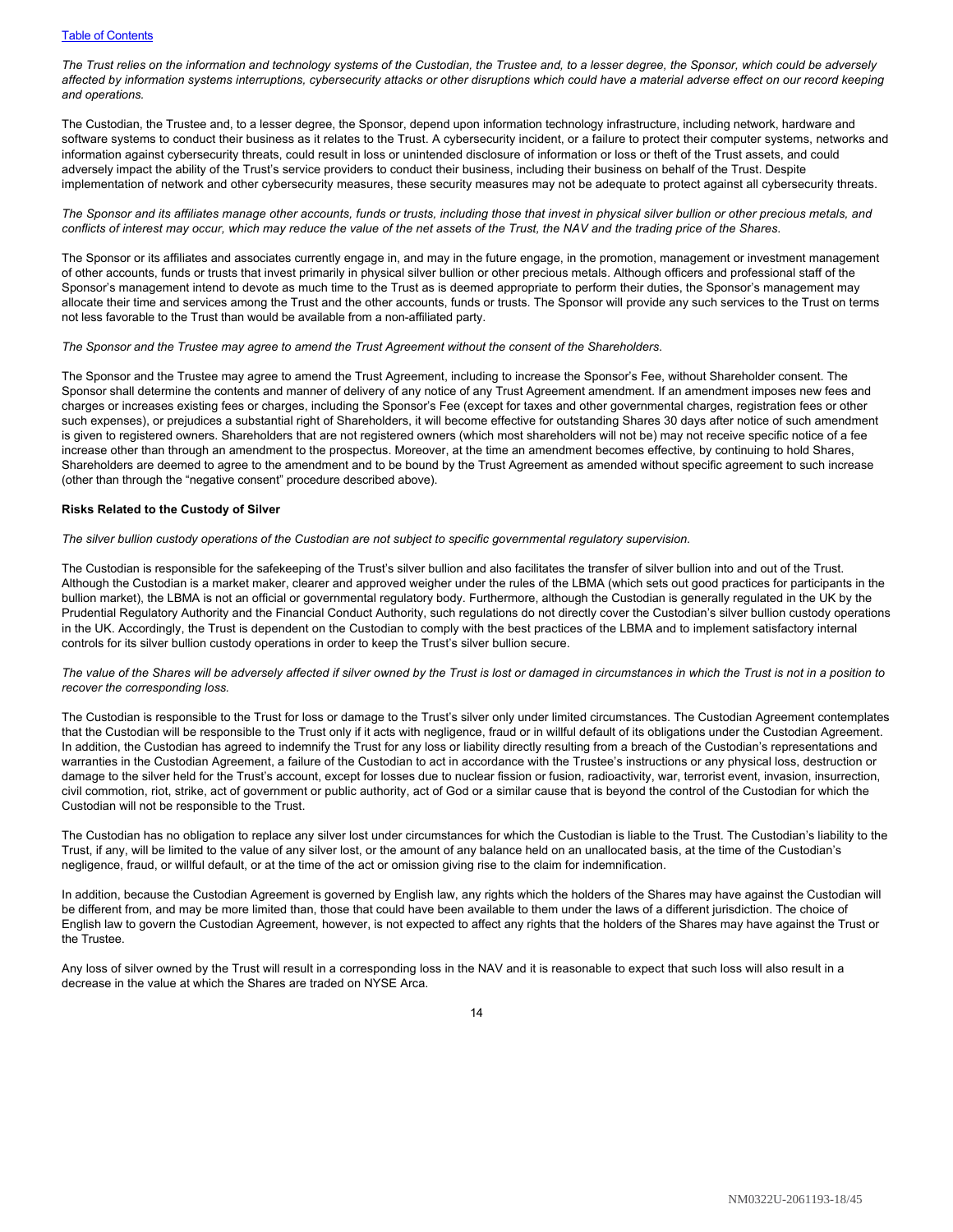# **[Table of Contents](#page-3-0)**

*The Trust relies on the information and technology systems of the Custodian, the Trustee and, to a lesser degree, the Sponsor, which could be adversely affected by information systems interruptions, cybersecurity attacks or other disruptions which could have a material adverse effect on our record keeping and operations.*

The Custodian, the Trustee and, to a lesser degree, the Sponsor, depend upon information technology infrastructure, including network, hardware and software systems to conduct their business as it relates to the Trust. A cybersecurity incident, or a failure to protect their computer systems, networks and information against cybersecurity threats, could result in loss or unintended disclosure of information or loss or theft of the Trust assets, and could adversely impact the ability of the Trust's service providers to conduct their business, including their business on behalf of the Trust. Despite implementation of network and other cybersecurity measures, these security measures may not be adequate to protect against all cybersecurity threats.

# *The Sponsor and its affiliates manage other accounts, funds or trusts, including those that invest in physical silver bullion or other precious metals, and conflicts of interest may occur, which may reduce the value of the net assets of the Trust, the NAV and the trading price of the Shares*.

The Sponsor or its affiliates and associates currently engage in, and may in the future engage, in the promotion, management or investment management of other accounts, funds or trusts that invest primarily in physical silver bullion or other precious metals. Although officers and professional staff of the Sponsor's management intend to devote as much time to the Trust as is deemed appropriate to perform their duties, the Sponsor's management may allocate their time and services among the Trust and the other accounts, funds or trusts. The Sponsor will provide any such services to the Trust on terms not less favorable to the Trust than would be available from a non-affiliated party.

*The Sponsor and the Trustee may agree to amend the Trust Agreement without the consent of the Shareholders*.

The Sponsor and the Trustee may agree to amend the Trust Agreement, including to increase the Sponsor's Fee, without Shareholder consent. The Sponsor shall determine the contents and manner of delivery of any notice of any Trust Agreement amendment. If an amendment imposes new fees and charges or increases existing fees or charges, including the Sponsor's Fee (except for taxes and other governmental charges, registration fees or other such expenses), or prejudices a substantial right of Shareholders, it will become effective for outstanding Shares 30 days after notice of such amendment is given to registered owners. Shareholders that are not registered owners (which most shareholders will not be) may not receive specific notice of a fee increase other than through an amendment to the prospectus. Moreover, at the time an amendment becomes effective, by continuing to hold Shares, Shareholders are deemed to agree to the amendment and to be bound by the Trust Agreement as amended without specific agreement to such increase (other than through the "negative consent" procedure described above).

#### **Risks Related to the Custody of Silver**

*The silver bullion custody operations of the Custodian are not subject to specific governmental regulatory supervision.*

The Custodian is responsible for the safekeeping of the Trust's silver bullion and also facilitates the transfer of silver bullion into and out of the Trust. Although the Custodian is a market maker, clearer and approved weigher under the rules of the LBMA (which sets out good practices for participants in the bullion market), the LBMA is not an official or governmental regulatory body. Furthermore, although the Custodian is generally regulated in the UK by the Prudential Regulatory Authority and the Financial Conduct Authority, such regulations do not directly cover the Custodian's silver bullion custody operations in the UK. Accordingly, the Trust is dependent on the Custodian to comply with the best practices of the LBMA and to implement satisfactory internal controls for its silver bullion custody operations in order to keep the Trust's silver bullion secure.

*The value of the Shares will be adversely affected if silver owned by the Trust is lost or damaged in circumstances in which the Trust is not in a position to recover the corresponding loss.*

The Custodian is responsible to the Trust for loss or damage to the Trust's silver only under limited circumstances. The Custodian Agreement contemplates that the Custodian will be responsible to the Trust only if it acts with negligence, fraud or in willful default of its obligations under the Custodian Agreement. In addition, the Custodian has agreed to indemnify the Trust for any loss or liability directly resulting from a breach of the Custodian's representations and warranties in the Custodian Agreement, a failure of the Custodian to act in accordance with the Trustee's instructions or any physical loss, destruction or damage to the silver held for the Trust's account, except for losses due to nuclear fission or fusion, radioactivity, war, terrorist event, invasion, insurrection, civil commotion, riot, strike, act of government or public authority, act of God or a similar cause that is beyond the control of the Custodian for which the Custodian will not be responsible to the Trust.

The Custodian has no obligation to replace any silver lost under circumstances for which the Custodian is liable to the Trust. The Custodian's liability to the Trust, if any, will be limited to the value of any silver lost, or the amount of any balance held on an unallocated basis, at the time of the Custodian's negligence, fraud, or willful default, or at the time of the act or omission giving rise to the claim for indemnification.

In addition, because the Custodian Agreement is governed by English law, any rights which the holders of the Shares may have against the Custodian will be different from, and may be more limited than, those that could have been available to them under the laws of a different jurisdiction. The choice of English law to govern the Custodian Agreement, however, is not expected to affect any rights that the holders of the Shares may have against the Trust or the Trustee.

Any loss of silver owned by the Trust will result in a corresponding loss in the NAV and it is reasonable to expect that such loss will also result in a decrease in the value at which the Shares are traded on NYSE Arca.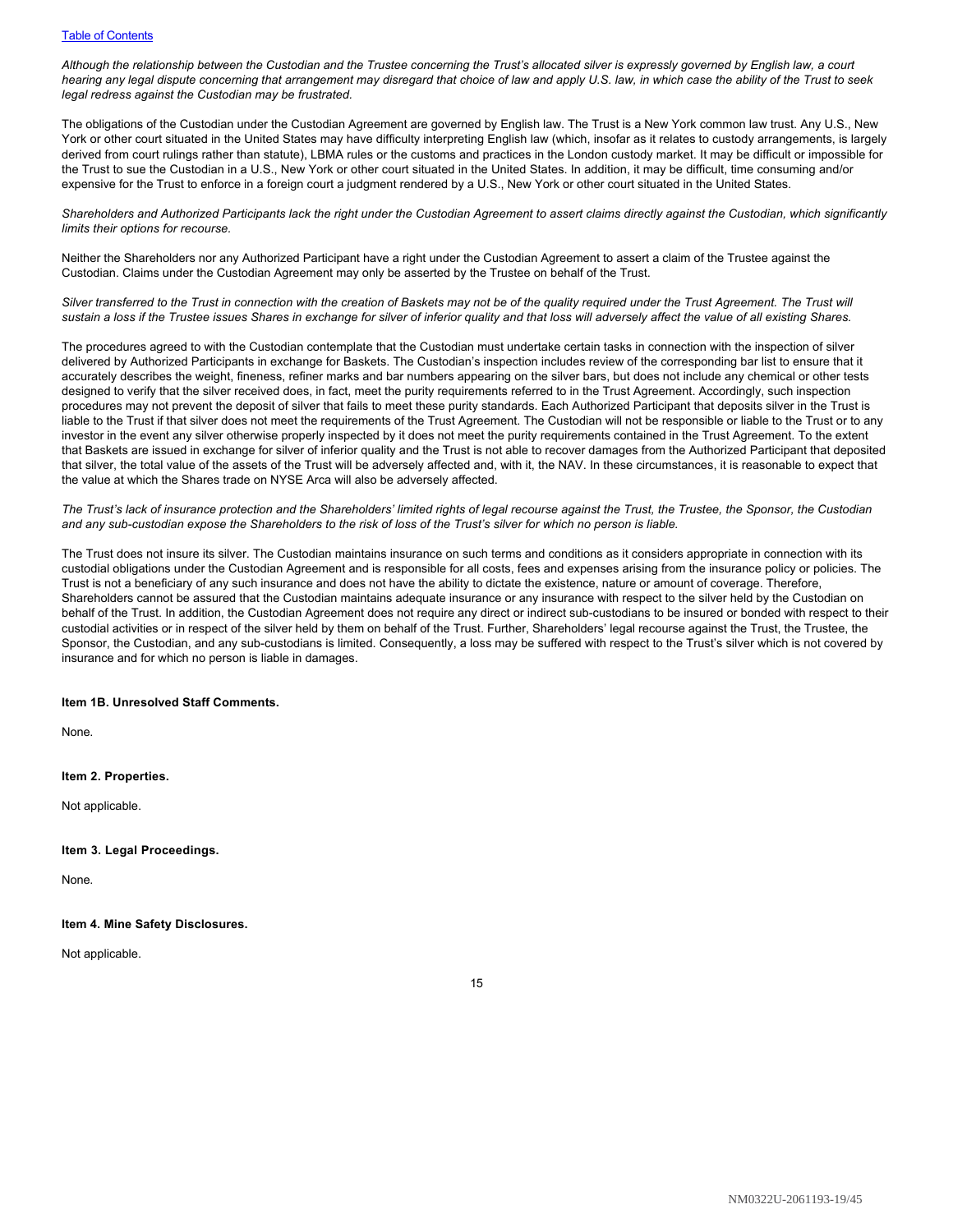*Although the relationship between the Custodian and the Trustee concerning the Trust's allocated silver is expressly governed by English law, a court hearing any legal dispute concerning that arrangement may disregard that choice of law and apply U.S. law, in which case the ability of the Trust to seek legal redress against the Custodian may be frustrated.*

The obligations of the Custodian under the Custodian Agreement are governed by English law. The Trust is a New York common law trust. Any U.S., New York or other court situated in the United States may have difficulty interpreting English law (which, insofar as it relates to custody arrangements, is largely derived from court rulings rather than statute), LBMA rules or the customs and practices in the London custody market. It may be difficult or impossible for the Trust to sue the Custodian in a U.S., New York or other court situated in the United States. In addition, it may be difficult, time consuming and/or expensive for the Trust to enforce in a foreign court a judgment rendered by a U.S., New York or other court situated in the United States.

*Shareholders and Authorized Participants lack the right under the Custodian Agreement to assert claims directly against the Custodian, which significantly limits their options for recourse.*

Neither the Shareholders nor any Authorized Participant have a right under the Custodian Agreement to assert a claim of the Trustee against the Custodian. Claims under the Custodian Agreement may only be asserted by the Trustee on behalf of the Trust.

*Silver transferred to the Trust in connection with the creation of Baskets may not be of the quality required under the Trust Agreement. The Trust will sustain a loss if the Trustee issues Shares in exchange for silver of inferior quality and that loss will adversely affect the value of all existing Shares.*

The procedures agreed to with the Custodian contemplate that the Custodian must undertake certain tasks in connection with the inspection of silver delivered by Authorized Participants in exchange for Baskets. The Custodian's inspection includes review of the corresponding bar list to ensure that it accurately describes the weight, fineness, refiner marks and bar numbers appearing on the silver bars, but does not include any chemical or other tests designed to verify that the silver received does, in fact, meet the purity requirements referred to in the Trust Agreement. Accordingly, such inspection procedures may not prevent the deposit of silver that fails to meet these purity standards. Each Authorized Participant that deposits silver in the Trust is liable to the Trust if that silver does not meet the requirements of the Trust Agreement. The Custodian will not be responsible or liable to the Trust or to any investor in the event any silver otherwise properly inspected by it does not meet the purity requirements contained in the Trust Agreement. To the extent that Baskets are issued in exchange for silver of inferior quality and the Trust is not able to recover damages from the Authorized Participant that deposited that silver, the total value of the assets of the Trust will be adversely affected and, with it, the NAV. In these circumstances, it is reasonable to expect that the value at which the Shares trade on NYSE Arca will also be adversely affected.

*The Trust's lack of insurance protection and the Shareholders' limited rights of legal recourse against the Trust, the Trustee, the Sponsor, the Custodian and any sub-custodian expose the Shareholders to the risk of loss of the Trust's silver for which no person is liable.*

The Trust does not insure its silver. The Custodian maintains insurance on such terms and conditions as it considers appropriate in connection with its custodial obligations under the Custodian Agreement and is responsible for all costs, fees and expenses arising from the insurance policy or policies. The Trust is not a beneficiary of any such insurance and does not have the ability to dictate the existence, nature or amount of coverage. Therefore, Shareholders cannot be assured that the Custodian maintains adequate insurance or any insurance with respect to the silver held by the Custodian on behalf of the Trust. In addition, the Custodian Agreement does not require any direct or indirect sub-custodians to be insured or bonded with respect to their custodial activities or in respect of the silver held by them on behalf of the Trust. Further, Shareholders' legal recourse against the Trust, the Trustee, the Sponsor, the Custodian, and any sub-custodians is limited. Consequently, a loss may be suffered with respect to the Trust's silver which is not covered by insurance and for which no person is liable in damages.

#### <span id="page-18-0"></span>**Item 1B. Unresolved Staff Comments.**

None.

<span id="page-18-1"></span>**Item 2. Properties.**

Not applicable.

<span id="page-18-2"></span>**Item 3. Legal Proceedings.**

None.

# <span id="page-18-3"></span>**Item 4. Mine Safety Disclosures.**

Not applicable.

15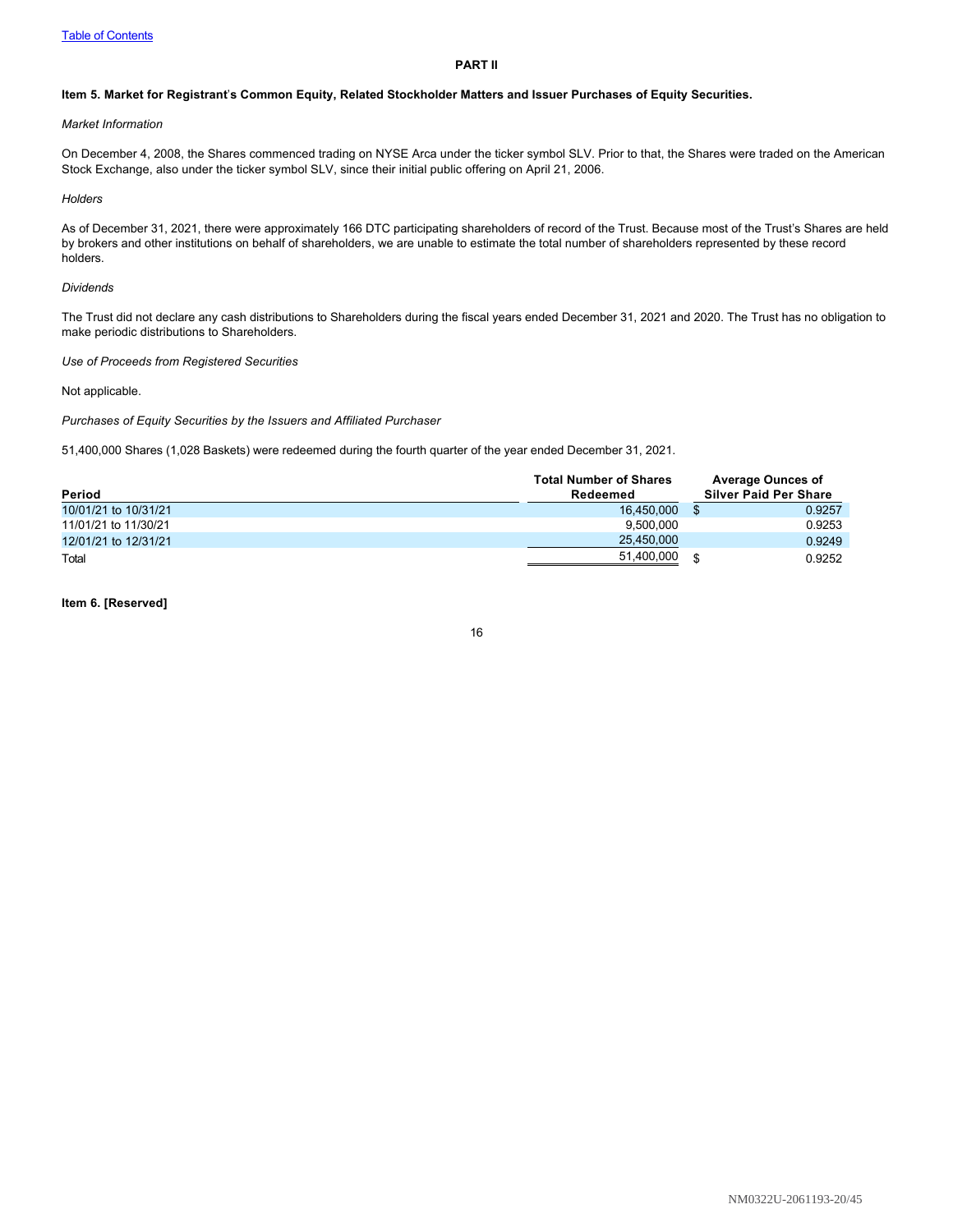# <span id="page-19-0"></span>**PART II**

# <span id="page-19-1"></span>**Item 5. Market for Registrant**'**s Common Equity, Related Stockholder Matters and Issuer Purchases of Equity Securities.**

#### *Market Information*

On December 4, 2008, the Shares commenced trading on NYSE Arca under the ticker symbol SLV. Prior to that, the Shares were traded on the American Stock Exchange, also under the ticker symbol SLV, since their initial public offering on April 21, 2006.

#### *Holders*

As of December 31, 2021, there were approximately 166 DTC participating shareholders of record of the Trust. Because most of the Trust's Shares are held by brokers and other institutions on behalf of shareholders, we are unable to estimate the total number of shareholders represented by these record holders.

#### *Dividends*

The Trust did not declare any cash distributions to Shareholders during the fiscal years ended December 31, 2021 and 2020. The Trust has no obligation to make periodic distributions to Shareholders.

*Use of Proceeds from Registered Securities*

Not applicable.

*Purchases of Equity Securities by the Issuers and Affiliated Purchaser*

51,400,000 Shares (1,028 Baskets) were redeemed during the fourth quarter of the year ended December 31, 2021.

| Period               | <b>Total Number of Shares</b><br>Redeemed | <b>Average Ounces of</b><br><b>Silver Paid Per Share</b> |
|----------------------|-------------------------------------------|----------------------------------------------------------|
| 10/01/21 to 10/31/21 | 16.450.000                                | 0.9257                                                   |
| 11/01/21 to 11/30/21 | 9.500.000                                 | 0.9253                                                   |
| 12/01/21 to 12/31/21 | 25.450.000                                | 0.9249                                                   |
| Total                | 51,400,000                                | 0.9252                                                   |

<span id="page-19-2"></span>**Item 6. [Reserved]**

16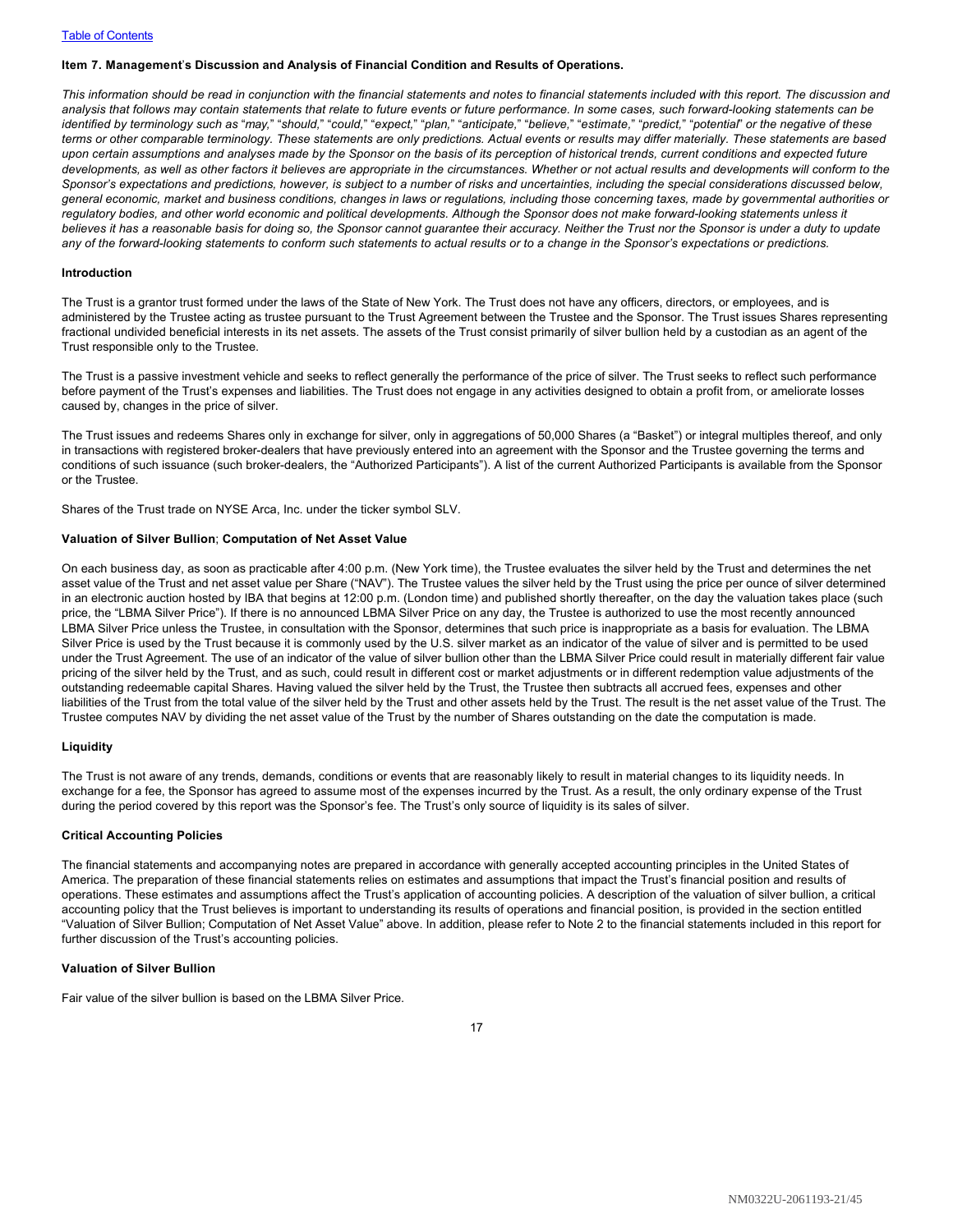#### <span id="page-20-0"></span>**Item 7. Management**'**s Discussion and Analysis of Financial Condition and Results of Operations.**

*This information should be read in conjunction with the financial statements and notes to financial statements included with this report. The discussion and analysis that follows may contain statements that relate to future events or future performance. In some cases, such forward-looking statements can be* identified by terminology such as "may," "should," "could," "expect," "plan," "anticipate," "believe," "estimate," "predict," "potential" or the negative of these *terms or other comparable terminology. These statements are only predictions. Actual events or results may differ materially. These statements are based upon certain assumptions and analyses made by the Sponsor on the basis of its perception of historical trends, current conditions and expected future developments, as well as other factors it believes are appropriate in the circumstances. Whether or not actual results and developments will conform to the Sponsor's expectations and predictions, however, is subject to a number of risks and uncertainties, including the special considerations discussed below, general economic, market and business conditions, changes in laws or regulations, including those concerning taxes, made by governmental authorities or regulatory bodies, and other world economic and political developments. Although the Sponsor does not make forward-looking statements unless it believes it has a reasonable basis for doing so, the Sponsor cannot guarantee their accuracy. Neither the Trust nor the Sponsor is under a duty to update any of the forward-looking statements to conform such statements to actual results or to a change in the Sponsor's expectations or predictions.*

#### **Introduction**

The Trust is a grantor trust formed under the laws of the State of New York. The Trust does not have any officers, directors, or employees, and is administered by the Trustee acting as trustee pursuant to the Trust Agreement between the Trustee and the Sponsor. The Trust issues Shares representing fractional undivided beneficial interests in its net assets. The assets of the Trust consist primarily of silver bullion held by a custodian as an agent of the Trust responsible only to the Trustee.

The Trust is a passive investment vehicle and seeks to reflect generally the performance of the price of silver. The Trust seeks to reflect such performance before payment of the Trust's expenses and liabilities. The Trust does not engage in any activities designed to obtain a profit from, or ameliorate losses caused by, changes in the price of silver.

The Trust issues and redeems Shares only in exchange for silver, only in aggregations of 50,000 Shares (a "Basket") or integral multiples thereof, and only in transactions with registered broker-dealers that have previously entered into an agreement with the Sponsor and the Trustee governing the terms and conditions of such issuance (such broker-dealers, the "Authorized Participants"). A list of the current Authorized Participants is available from the Sponsor or the Trustee.

Shares of the Trust trade on NYSE Arca, Inc. under the ticker symbol SLV.

# **Valuation of Silver Bullion**; **Computation of Net Asset Value**

On each business day, as soon as practicable after 4:00 p.m. (New York time), the Trustee evaluates the silver held by the Trust and determines the net asset value of the Trust and net asset value per Share ("NAV"). The Trustee values the silver held by the Trust using the price per ounce of silver determined in an electronic auction hosted by IBA that begins at 12:00 p.m. (London time) and published shortly thereafter, on the day the valuation takes place (such price, the "LBMA Silver Price"). If there is no announced LBMA Silver Price on any day, the Trustee is authorized to use the most recently announced LBMA Silver Price unless the Trustee, in consultation with the Sponsor, determines that such price is inappropriate as a basis for evaluation. The LBMA Silver Price is used by the Trust because it is commonly used by the U.S. silver market as an indicator of the value of silver and is permitted to be used under the Trust Agreement. The use of an indicator of the value of silver bullion other than the LBMA Silver Price could result in materially different fair value pricing of the silver held by the Trust, and as such, could result in different cost or market adjustments or in different redemption value adjustments of the outstanding redeemable capital Shares. Having valued the silver held by the Trust, the Trustee then subtracts all accrued fees, expenses and other liabilities of the Trust from the total value of the silver held by the Trust and other assets held by the Trust. The result is the net asset value of the Trust. The Trustee computes NAV by dividing the net asset value of the Trust by the number of Shares outstanding on the date the computation is made.

#### **Liquidity**

The Trust is not aware of any trends, demands, conditions or events that are reasonably likely to result in material changes to its liquidity needs. In exchange for a fee, the Sponsor has agreed to assume most of the expenses incurred by the Trust. As a result, the only ordinary expense of the Trust during the period covered by this report was the Sponsor's fee. The Trust's only source of liquidity is its sales of silver.

#### **Critical Accounting Policies**

The financial statements and accompanying notes are prepared in accordance with generally accepted accounting principles in the United States of America. The preparation of these financial statements relies on estimates and assumptions that impact the Trust's financial position and results of operations. These estimates and assumptions affect the Trust's application of accounting policies. A description of the valuation of silver bullion, a critical accounting policy that the Trust believes is important to understanding its results of operations and financial position, is provided in the section entitled "Valuation of Silver Bullion; Computation of Net Asset Value" above. In addition, please refer to Note 2 to the financial statements included in this report for further discussion of the Trust's accounting policies.

#### **Valuation of Silver Bullion**

Fair value of the silver bullion is based on the LBMA Silver Price.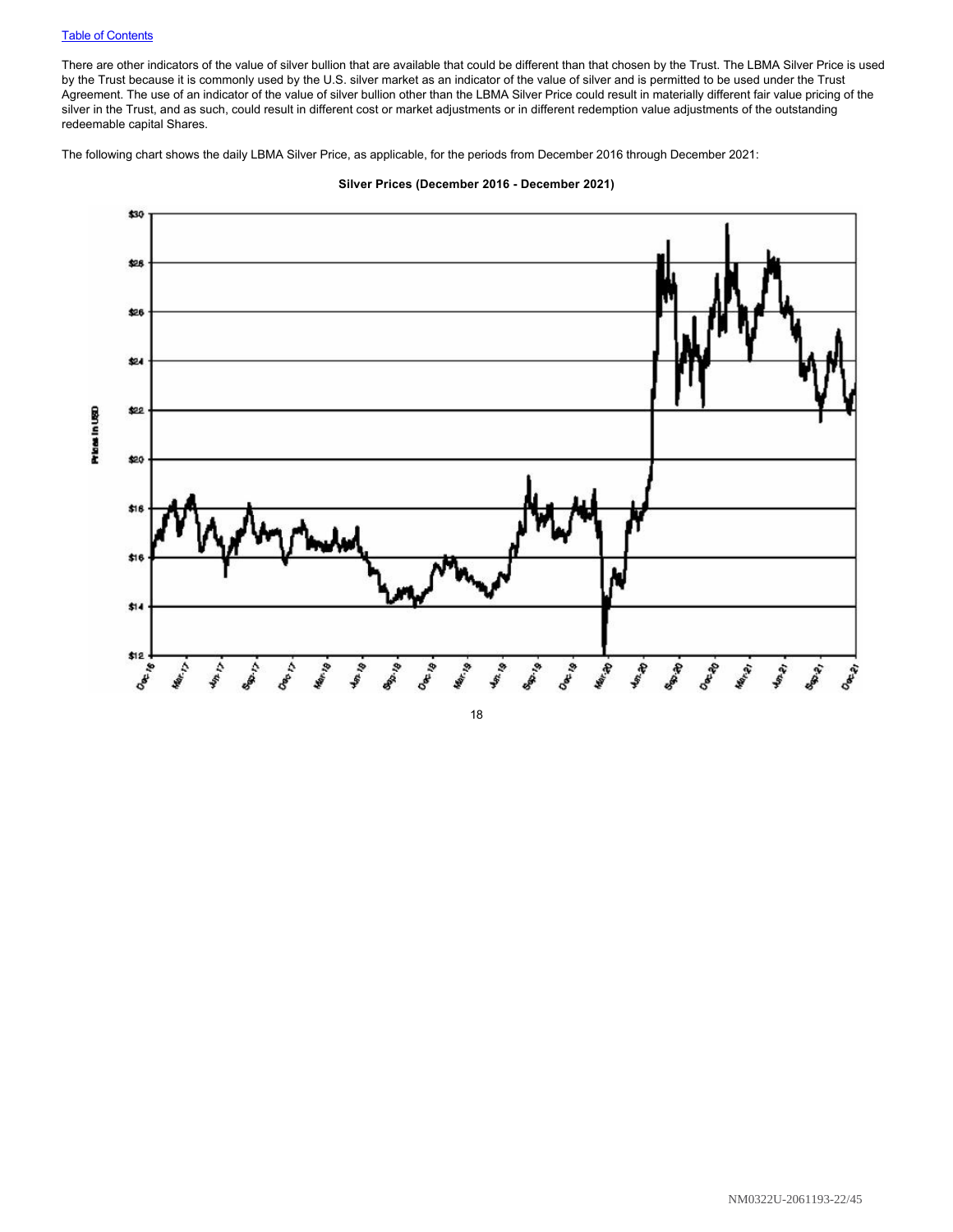# **[Table of Contents](#page-3-0)**

There are other indicators of the value of silver bullion that are available that could be different than that chosen by the Trust. The LBMA Silver Price is used by the Trust because it is commonly used by the U.S. silver market as an indicator of the value of silver and is permitted to be used under the Trust Agreement. The use of an indicator of the value of silver bullion other than the LBMA Silver Price could result in materially different fair value pricing of the silver in the Trust, and as such, could result in different cost or market adjustments or in different redemption value adjustments of the outstanding redeemable capital Shares.

The following chart shows the daily LBMA Silver Price, as applicable, for the periods from December 2016 through December 2021:



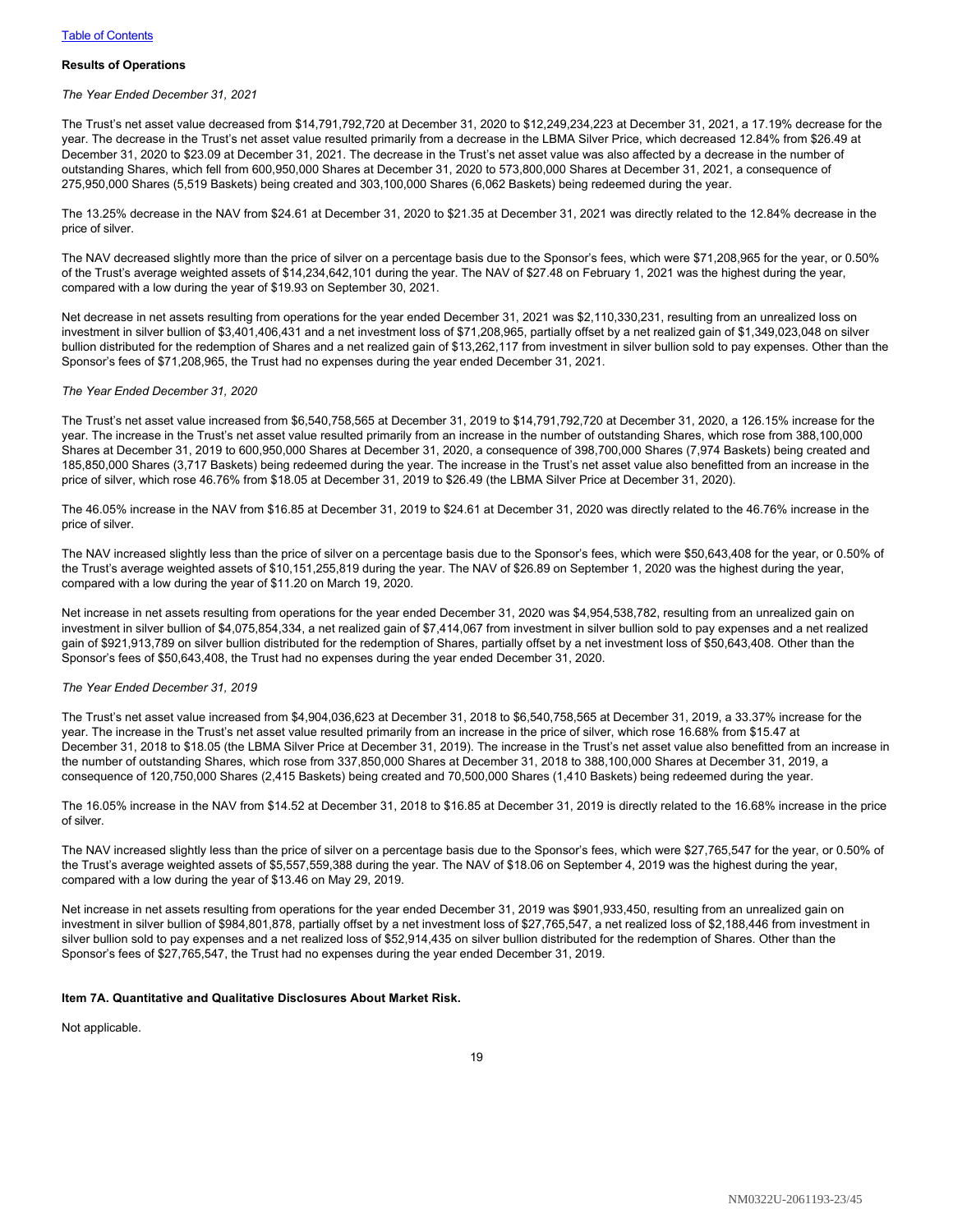#### **Results of Operations**

*The Year Ended December 31, 2021*

The Trust's net asset value decreased from \$14,791,792,720 at December 31, 2020 to \$12,249,234,223 at December 31, 2021, a 17.19% decrease for the year. The decrease in the Trust's net asset value resulted primarily from a decrease in the LBMA Silver Price, which decreased 12.84% from \$26.49 at December 31, 2020 to \$23.09 at December 31, 2021. The decrease in the Trust's net asset value was also affected by a decrease in the number of outstanding Shares, which fell from 600,950,000 Shares at December 31, 2020 to 573,800,000 Shares at December 31, 2021, a consequence of 275,950,000 Shares (5,519 Baskets) being created and 303,100,000 Shares (6,062 Baskets) being redeemed during the year.

The 13.25% decrease in the NAV from \$24.61 at December 31, 2020 to \$21.35 at December 31, 2021 was directly related to the 12.84% decrease in the price of silver.

The NAV decreased slightly more than the price of silver on a percentage basis due to the Sponsor's fees, which were \$71,208,965 for the year, or 0.50% of the Trust's average weighted assets of \$14,234,642,101 during the year. The NAV of \$27.48 on February 1, 2021 was the highest during the year, compared with a low during the year of \$19.93 on September 30, 2021.

Net decrease in net assets resulting from operations for the year ended December 31, 2021 was \$2,110,330,231, resulting from an unrealized loss on investment in silver bullion of \$3,401,406,431 and a net investment loss of \$71,208,965, partially offset by a net realized gain of \$1,349,023,048 on silver bullion distributed for the redemption of Shares and a net realized gain of \$13,262,117 from investment in silver bullion sold to pay expenses. Other than the Sponsor's fees of \$71,208,965, the Trust had no expenses during the year ended December 31, 2021.

#### *The Year Ended December 31, 2020*

The Trust's net asset value increased from \$6,540,758,565 at December 31, 2019 to \$14,791,792,720 at December 31, 2020, a 126.15% increase for the year. The increase in the Trust's net asset value resulted primarily from an increase in the number of outstanding Shares, which rose from 388,100,000 Shares at December 31, 2019 to 600,950,000 Shares at December 31, 2020, a consequence of 398,700,000 Shares (7,974 Baskets) being created and 185,850,000 Shares (3,717 Baskets) being redeemed during the year. The increase in the Trust's net asset value also benefitted from an increase in the price of silver, which rose 46.76% from \$18.05 at December 31, 2019 to \$26.49 (the LBMA Silver Price at December 31, 2020).

The 46.05% increase in the NAV from \$16.85 at December 31, 2019 to \$24.61 at December 31, 2020 was directly related to the 46.76% increase in the price of silver.

The NAV increased slightly less than the price of silver on a percentage basis due to the Sponsor's fees, which were \$50,643,408 for the year, or 0.50% of the Trust's average weighted assets of \$10,151,255,819 during the year. The NAV of \$26.89 on September 1, 2020 was the highest during the year, compared with a low during the year of \$11.20 on March 19, 2020.

Net increase in net assets resulting from operations for the year ended December 31, 2020 was \$4,954,538,782, resulting from an unrealized gain on investment in silver bullion of \$4,075,854,334, a net realized gain of \$7,414,067 from investment in silver bullion sold to pay expenses and a net realized gain of \$921,913,789 on silver bullion distributed for the redemption of Shares, partially offset by a net investment loss of \$50,643,408. Other than the Sponsor's fees of \$50,643,408, the Trust had no expenses during the year ended December 31, 2020.

#### *The Year Ended December 31, 2019*

The Trust's net asset value increased from \$4,904,036,623 at December 31, 2018 to \$6,540,758,565 at December 31, 2019, a 33.37% increase for the year. The increase in the Trust's net asset value resulted primarily from an increase in the price of silver, which rose 16.68% from \$15.47 at December 31, 2018 to \$18.05 (the LBMA Silver Price at December 31, 2019). The increase in the Trust's net asset value also benefitted from an increase in the number of outstanding Shares, which rose from 337,850,000 Shares at December 31, 2018 to 388,100,000 Shares at December 31, 2019, a consequence of 120,750,000 Shares (2,415 Baskets) being created and 70,500,000 Shares (1,410 Baskets) being redeemed during the year.

The 16.05% increase in the NAV from \$14.52 at December 31, 2018 to \$16.85 at December 31, 2019 is directly related to the 16.68% increase in the price of silver.

The NAV increased slightly less than the price of silver on a percentage basis due to the Sponsor's fees, which were \$27,765,547 for the year, or 0.50% of the Trust's average weighted assets of \$5,557,559,388 during the year. The NAV of \$18.06 on September 4, 2019 was the highest during the year, compared with a low during the year of \$13.46 on May 29, 2019.

Net increase in net assets resulting from operations for the year ended December 31, 2019 was \$901,933,450, resulting from an unrealized gain on investment in silver bullion of \$984,801,878, partially offset by a net investment loss of \$27,765,547, a net realized loss of \$2,188,446 from investment in silver bullion sold to pay expenses and a net realized loss of \$52,914,435 on silver bullion distributed for the redemption of Shares. Other than the Sponsor's fees of \$27,765,547, the Trust had no expenses during the year ended December 31, 2019.

#### <span id="page-22-0"></span>**Item 7A. Quantitative and Qualitative Disclosures About Market Risk.**

#### Not applicable.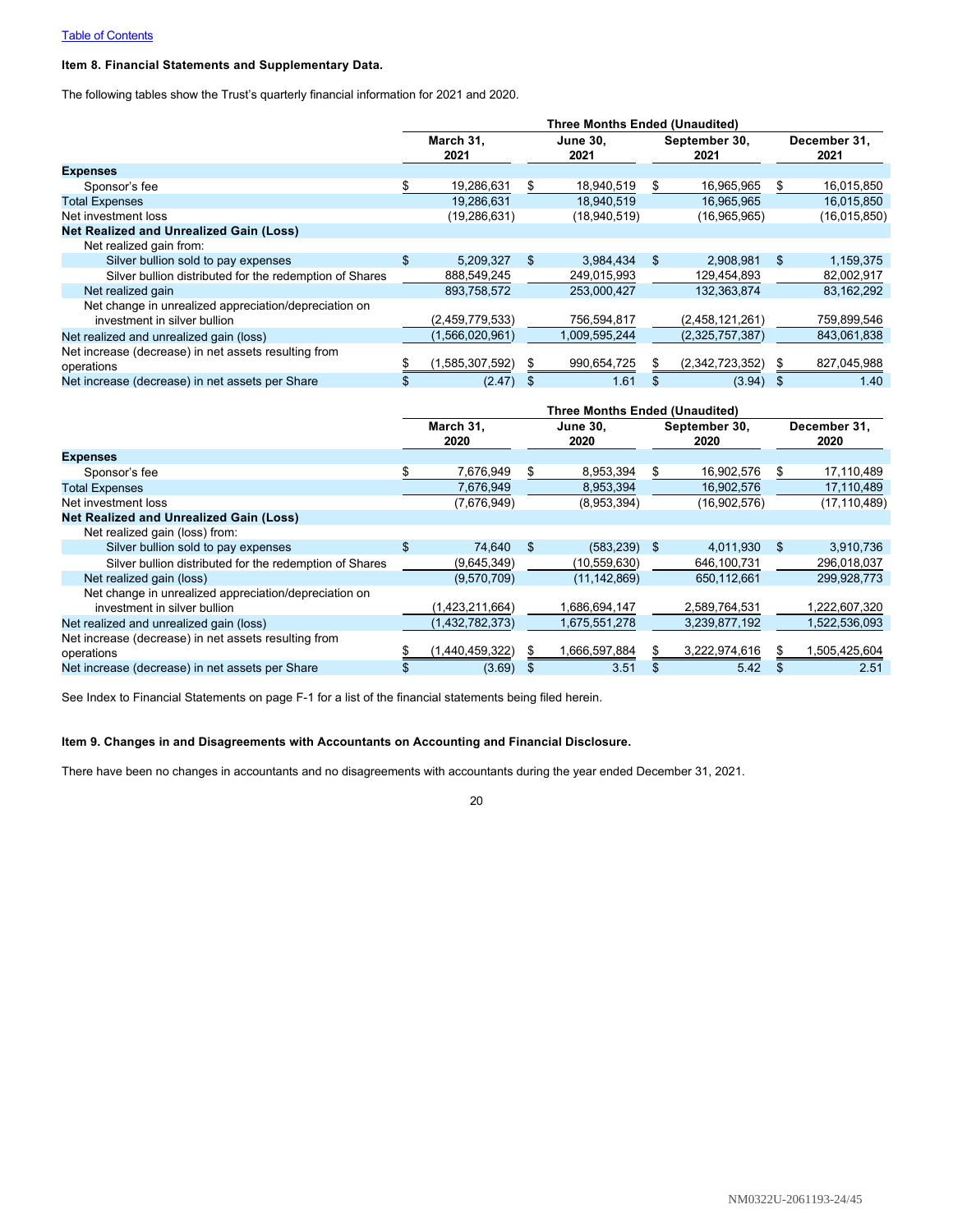# <span id="page-23-0"></span>**Item 8. Financial Statements and Supplementary Data.**

The following tables show the Trust's quarterly financial information for 2021 and 2020.

|                                                         | <b>Three Months Ended (Unaudited)</b> |                   |    |                         |     |                       |      |                      |
|---------------------------------------------------------|---------------------------------------|-------------------|----|-------------------------|-----|-----------------------|------|----------------------|
|                                                         |                                       | March 31,<br>2021 |    | <b>June 30.</b><br>2021 |     | September 30,<br>2021 |      | December 31,<br>2021 |
| <b>Expenses</b>                                         |                                       |                   |    |                         |     |                       |      |                      |
| Sponsor's fee                                           |                                       | 19,286,631        | \$ | 18,940,519              |     | 16,965,965            |      | 16,015,850           |
| <b>Total Expenses</b>                                   |                                       | 19,286,631        |    | 18,940,519              |     | 16,965,965            |      | 16,015,850           |
| Net investment loss                                     |                                       | (19, 286, 631)    |    | (18,940,519)            |     | (16,965,965)          |      | (16,015,850)         |
| Net Realized and Unrealized Gain (Loss)                 |                                       |                   |    |                         |     |                       |      |                      |
| Net realized gain from:                                 |                                       |                   |    |                         |     |                       |      |                      |
| Silver bullion sold to pay expenses                     | \$                                    | 5.209.327         | \$ | 3.984.434               | \$. | 2.908.981             | - \$ | 1,159,375            |
| Silver bullion distributed for the redemption of Shares |                                       | 888,549,245       |    | 249,015,993             |     | 129.454.893           |      | 82,002,917           |
| Net realized gain                                       |                                       | 893,758,572       |    | 253,000,427             |     | 132,363,874           |      | 83,162,292           |
| Net change in unrealized appreciation/depreciation on   |                                       |                   |    |                         |     |                       |      |                      |
| investment in silver bullion                            |                                       | (2,459,779,533)   |    | 756,594,817             |     | (2,458,121,261)       |      | 759,899,546          |
| Net realized and unrealized gain (loss)                 |                                       | (1,566,020,961)   |    | 1,009,595,244           |     | (2,325,757,387)       |      | 843.061.838          |
| Net increase (decrease) in net assets resulting from    |                                       |                   |    |                         |     |                       |      |                      |
| operations                                              |                                       | (1,585,307,592)   | S. | 990,654,725             |     | (2,342,723,352)       |      | 827,045,988          |
| Net increase (decrease) in net assets per Share         |                                       | (2.47)            |    | 1.61                    |     | (3.94)                |      | 1.40                 |

|                                                                                       | <b>Three Months Ended (Unaudited)</b> |                   |    |                         |    |                       |      |                      |
|---------------------------------------------------------------------------------------|---------------------------------------|-------------------|----|-------------------------|----|-----------------------|------|----------------------|
|                                                                                       |                                       | March 31,<br>2020 |    | <b>June 30,</b><br>2020 |    | September 30,<br>2020 |      | December 31,<br>2020 |
| <b>Expenses</b>                                                                       |                                       |                   |    |                         |    |                       |      |                      |
| Sponsor's fee                                                                         |                                       | 7,676,949         | \$ | 8,953,394               | S. | 16,902,576            | S.   | 17,110,489           |
| <b>Total Expenses</b>                                                                 |                                       | 7.676.949         |    | 8,953,394               |    | 16,902,576            |      | 17,110,489           |
| Net investment loss                                                                   |                                       | (7,676,949)       |    | (8,953,394)             |    | (16,902,576)          |      | (17, 110, 489)       |
| <b>Net Realized and Unrealized Gain (Loss)</b>                                        |                                       |                   |    |                         |    |                       |      |                      |
| Net realized gain (loss) from:                                                        |                                       |                   |    |                         |    |                       |      |                      |
| Silver bullion sold to pay expenses                                                   | S                                     | 74,640            | \$ | $(583, 239)$ \$         |    | 4,011,930             | - \$ | 3,910,736            |
| Silver bullion distributed for the redemption of Shares                               |                                       | (9,645,349)       |    | (10, 559, 630)          |    | 646,100,731           |      | 296,018,037          |
| Net realized gain (loss)                                                              |                                       | (9,570,709)       |    | (11, 142, 869)          |    | 650,112,661           |      | 299,928,773          |
| Net change in unrealized appreciation/depreciation on<br>investment in silver bullion |                                       | (1,423,211,664)   |    | 1,686,694,147           |    | 2,589,764,531         |      | 1,222,607,320        |
|                                                                                       |                                       |                   |    |                         |    |                       |      |                      |
| Net realized and unrealized gain (loss)                                               |                                       | (1,432,782,373)   |    | 1,675,551,278           |    | 3,239,877,192         |      | 1,522,536,093        |
| Net increase (decrease) in net assets resulting from<br>operations                    |                                       | 1,440,459,322)    | S  | 1,666,597,884           |    | 3,222,974,616         |      | 1,505,425,604        |
| Net increase (decrease) in net assets per Share                                       |                                       | (3.69)            |    | 3.51                    |    | 5.42                  |      | 2.51                 |

See Index to Financial Statements on page F-1 for a list of the financial statements being filed herein.

# <span id="page-23-1"></span>**Item 9. Changes in and Disagreements with Accountants on Accounting and Financial Disclosure.**

There have been no changes in accountants and no disagreements with accountants during the year ended December 31, 2021.

#### 20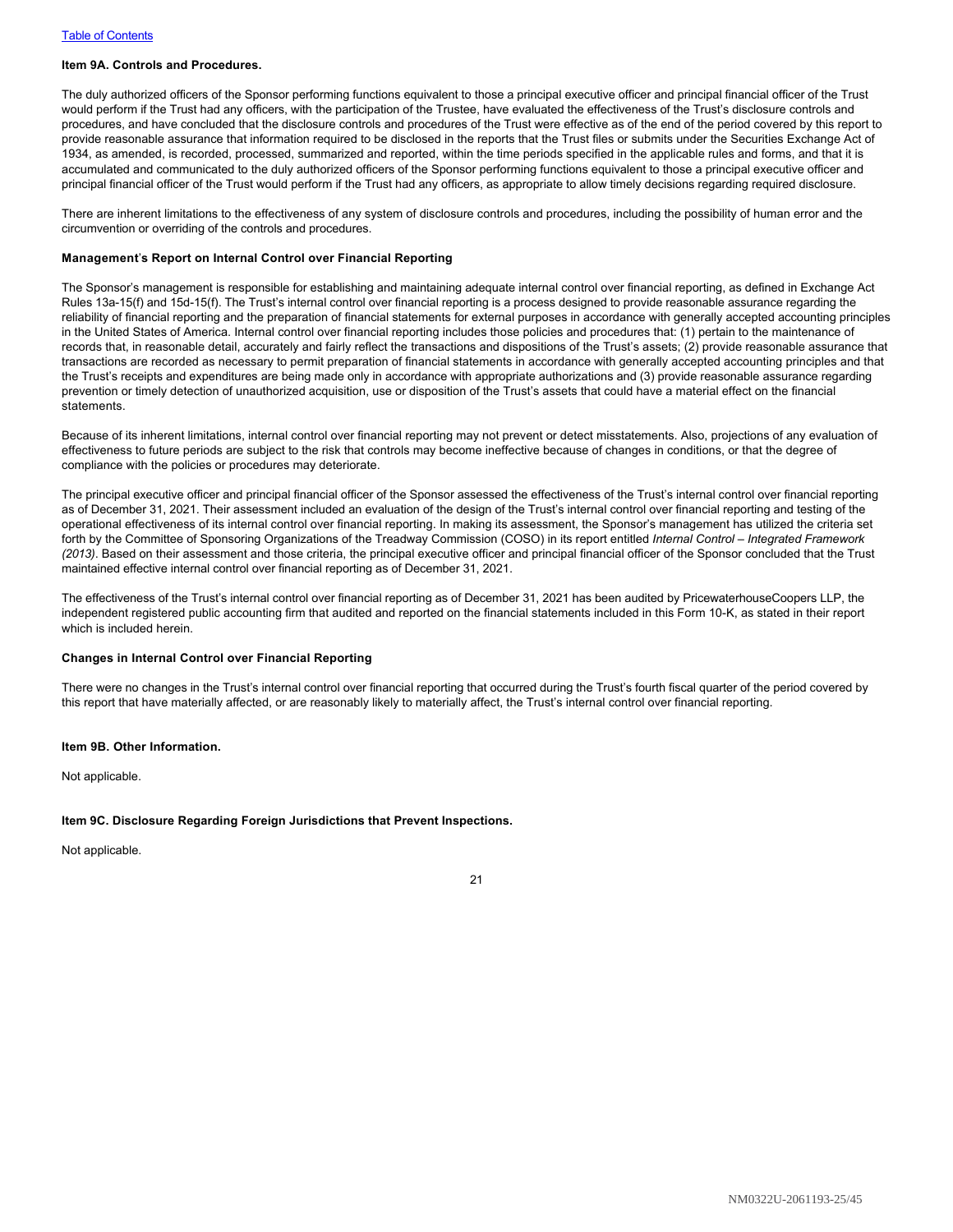#### <span id="page-24-0"></span>**Item 9A. Controls and Procedures.**

The duly authorized officers of the Sponsor performing functions equivalent to those a principal executive officer and principal financial officer of the Trust would perform if the Trust had any officers, with the participation of the Trustee, have evaluated the effectiveness of the Trust's disclosure controls and procedures, and have concluded that the disclosure controls and procedures of the Trust were effective as of the end of the period covered by this report to provide reasonable assurance that information required to be disclosed in the reports that the Trust files or submits under the Securities Exchange Act of 1934, as amended, is recorded, processed, summarized and reported, within the time periods specified in the applicable rules and forms, and that it is accumulated and communicated to the duly authorized officers of the Sponsor performing functions equivalent to those a principal executive officer and principal financial officer of the Trust would perform if the Trust had any officers, as appropriate to allow timely decisions regarding required disclosure.

There are inherent limitations to the effectiveness of any system of disclosure controls and procedures, including the possibility of human error and the circumvention or overriding of the controls and procedures.

#### **Management**'**s Report on Internal Control over Financial Reporting**

The Sponsor's management is responsible for establishing and maintaining adequate internal control over financial reporting, as defined in Exchange Act Rules 13a-15(f) and 15d-15(f). The Trust's internal control over financial reporting is a process designed to provide reasonable assurance regarding the reliability of financial reporting and the preparation of financial statements for external purposes in accordance with generally accepted accounting principles in the United States of America. Internal control over financial reporting includes those policies and procedures that: (1) pertain to the maintenance of records that, in reasonable detail, accurately and fairly reflect the transactions and dispositions of the Trust's assets; (2) provide reasonable assurance that transactions are recorded as necessary to permit preparation of financial statements in accordance with generally accepted accounting principles and that the Trust's receipts and expenditures are being made only in accordance with appropriate authorizations and (3) provide reasonable assurance regarding prevention or timely detection of unauthorized acquisition, use or disposition of the Trust's assets that could have a material effect on the financial statements.

Because of its inherent limitations, internal control over financial reporting may not prevent or detect misstatements. Also, projections of any evaluation of effectiveness to future periods are subject to the risk that controls may become ineffective because of changes in conditions, or that the degree of compliance with the policies or procedures may deteriorate.

The principal executive officer and principal financial officer of the Sponsor assessed the effectiveness of the Trust's internal control over financial reporting as of December 31, 2021. Their assessment included an evaluation of the design of the Trust's internal control over financial reporting and testing of the operational effectiveness of its internal control over financial reporting. In making its assessment, the Sponsor's management has utilized the criteria set forth by the Committee of Sponsoring Organizations of the Treadway Commission (COSO) in its report entitled *Internal Control* – *Integrated Framework (2013)*. Based on their assessment and those criteria, the principal executive officer and principal financial officer of the Sponsor concluded that the Trust maintained effective internal control over financial reporting as of December 31, 2021.

The effectiveness of the Trust's internal control over financial reporting as of December 31, 2021 has been audited by PricewaterhouseCoopers LLP, the independent registered public accounting firm that audited and reported on the financial statements included in this Form 10-K, as stated in their report which is included herein.

#### **Changes in Internal Control over Financial Reporting**

There were no changes in the Trust's internal control over financial reporting that occurred during the Trust's fourth fiscal quarter of the period covered by this report that have materially affected, or are reasonably likely to materially affect, the Trust's internal control over financial reporting.

#### <span id="page-24-1"></span>**Item 9B. Other Information.**

Not applicable.

#### <span id="page-24-2"></span>**Item 9C. Disclosure Regarding Foreign Jurisdictions that Prevent Inspections.**

Not applicable.

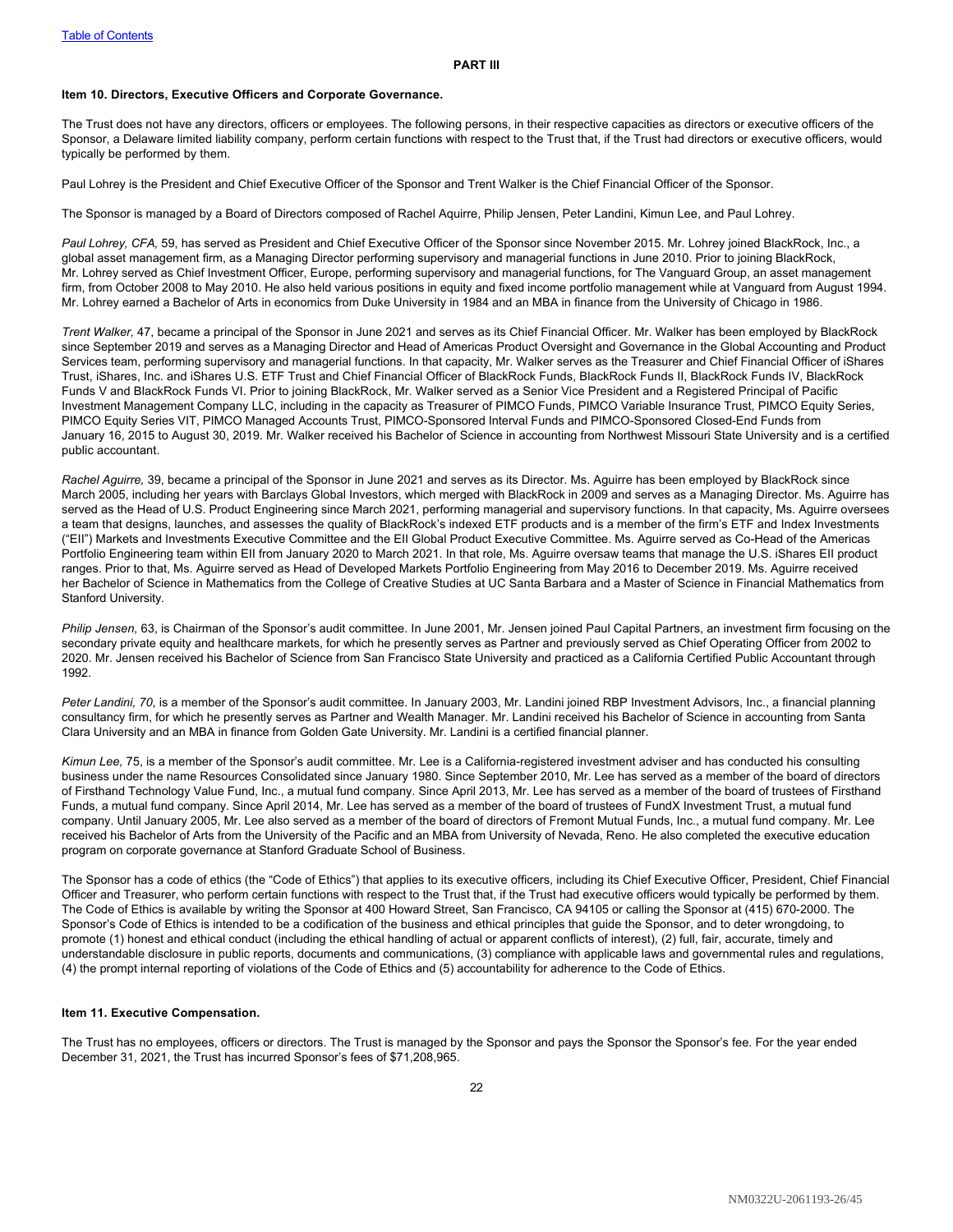# <span id="page-25-1"></span><span id="page-25-0"></span>**Item 10. Directors, Executive Officers and Corporate Governance.**

The Trust does not have any directors, officers or employees. The following persons, in their respective capacities as directors or executive officers of the Sponsor, a Delaware limited liability company, perform certain functions with respect to the Trust that, if the Trust had directors or executive officers, would typically be performed by them.

Paul Lohrey is the President and Chief Executive Officer of the Sponsor and Trent Walker is the Chief Financial Officer of the Sponsor.

The Sponsor is managed by a Board of Directors composed of Rachel Aquirre, Philip Jensen, Peter Landini, Kimun Lee, and Paul Lohrey.

*Paul Lohrey, CFA,* 59, has served as President and Chief Executive Officer of the Sponsor since November 2015. Mr. Lohrey joined BlackRock, Inc., a global asset management firm, as a Managing Director performing supervisory and managerial functions in June 2010. Prior to joining BlackRock, Mr. Lohrey served as Chief Investment Officer, Europe, performing supervisory and managerial functions, for The Vanguard Group, an asset management firm, from October 2008 to May 2010. He also held various positions in equity and fixed income portfolio management while at Vanguard from August 1994. Mr. Lohrey earned a Bachelor of Arts in economics from Duke University in 1984 and an MBA in finance from the University of Chicago in 1986.

*Trent Walker,* 47, became a principal of the Sponsor in June 2021 and serves as its Chief Financial Officer. Mr. Walker has been employed by BlackRock since September 2019 and serves as a Managing Director and Head of Americas Product Oversight and Governance in the Global Accounting and Product Services team, performing supervisory and managerial functions. In that capacity, Mr. Walker serves as the Treasurer and Chief Financial Officer of iShares Trust, iShares, Inc. and iShares U.S. ETF Trust and Chief Financial Officer of BlackRock Funds, BlackRock Funds II, BlackRock Funds IV, BlackRock Funds V and BlackRock Funds VI. Prior to joining BlackRock, Mr. Walker served as a Senior Vice President and a Registered Principal of Pacific Investment Management Company LLC, including in the capacity as Treasurer of PIMCO Funds, PIMCO Variable Insurance Trust, PIMCO Equity Series, PIMCO Equity Series VIT, PIMCO Managed Accounts Trust, PIMCO-Sponsored Interval Funds and PIMCO-Sponsored Closed-End Funds from January 16, 2015 to August 30, 2019. Mr. Walker received his Bachelor of Science in accounting from Northwest Missouri State University and is a certified public accountant.

*Rachel Aguirre,* 39, became a principal of the Sponsor in June 2021 and serves as its Director. Ms. Aguirre has been employed by BlackRock since March 2005, including her years with Barclays Global Investors, which merged with BlackRock in 2009 and serves as a Managing Director. Ms. Aguirre has served as the Head of U.S. Product Engineering since March 2021, performing managerial and supervisory functions. In that capacity, Ms. Aguirre oversees a team that designs, launches, and assesses the quality of BlackRock's indexed ETF products and is a member of the firm's ETF and Index Investments ("EII") Markets and Investments Executive Committee and the EII Global Product Executive Committee. Ms. Aguirre served as Co-Head of the Americas Portfolio Engineering team within EII from January 2020 to March 2021. In that role, Ms. Aguirre oversaw teams that manage the U.S. iShares EII product ranges. Prior to that, Ms. Aguirre served as Head of Developed Markets Portfolio Engineering from May 2016 to December 2019. Ms. Aguirre received her Bachelor of Science in Mathematics from the College of Creative Studies at UC Santa Barbara and a Master of Science in Financial Mathematics from Stanford University.

*Philip Jensen,* 63, is Chairman of the Sponsor's audit committee. In June 2001, Mr. Jensen joined Paul Capital Partners, an investment firm focusing on the secondary private equity and healthcare markets, for which he presently serves as Partner and previously served as Chief Operating Officer from 2002 to 2020. Mr. Jensen received his Bachelor of Science from San Francisco State University and practiced as a California Certified Public Accountant through 1992.

Peter Landini, 70, is a member of the Sponsor's audit committee. In January 2003, Mr. Landini joined RBP Investment Advisors, Inc., a financial planning consultancy firm, for which he presently serves as Partner and Wealth Manager. Mr. Landini received his Bachelor of Science in accounting from Santa Clara University and an MBA in finance from Golden Gate University. Mr. Landini is a certified financial planner.

*Kimun Lee,* 75, is a member of the Sponsor's audit committee. Mr. Lee is a California-registered investment adviser and has conducted his consulting business under the name Resources Consolidated since January 1980. Since September 2010, Mr. Lee has served as a member of the board of directors of Firsthand Technology Value Fund, Inc., a mutual fund company. Since April 2013, Mr. Lee has served as a member of the board of trustees of Firsthand Funds, a mutual fund company. Since April 2014, Mr. Lee has served as a member of the board of trustees of FundX Investment Trust, a mutual fund company. Until January 2005, Mr. Lee also served as a member of the board of directors of Fremont Mutual Funds, Inc., a mutual fund company. Mr. Lee received his Bachelor of Arts from the University of the Pacific and an MBA from University of Nevada, Reno. He also completed the executive education program on corporate governance at Stanford Graduate School of Business.

The Sponsor has a code of ethics (the "Code of Ethics") that applies to its executive officers, including its Chief Executive Officer, President, Chief Financial Officer and Treasurer, who perform certain functions with respect to the Trust that, if the Trust had executive officers would typically be performed by them. The Code of Ethics is available by writing the Sponsor at 400 Howard Street, San Francisco, CA 94105 or calling the Sponsor at (415) 670-2000. The Sponsor's Code of Ethics is intended to be a codification of the business and ethical principles that guide the Sponsor, and to deter wrongdoing, to promote (1) honest and ethical conduct (including the ethical handling of actual or apparent conflicts of interest), (2) full, fair, accurate, timely and understandable disclosure in public reports, documents and communications, (3) compliance with applicable laws and governmental rules and regulations, (4) the prompt internal reporting of violations of the Code of Ethics and (5) accountability for adherence to the Code of Ethics.

#### <span id="page-25-2"></span>**Item 11. Executive Compensation.**

The Trust has no employees, officers or directors. The Trust is managed by the Sponsor and pays the Sponsor the Sponsor's fee. For the year ended December 31, 2021, the Trust has incurred Sponsor's fees of \$71,208,965.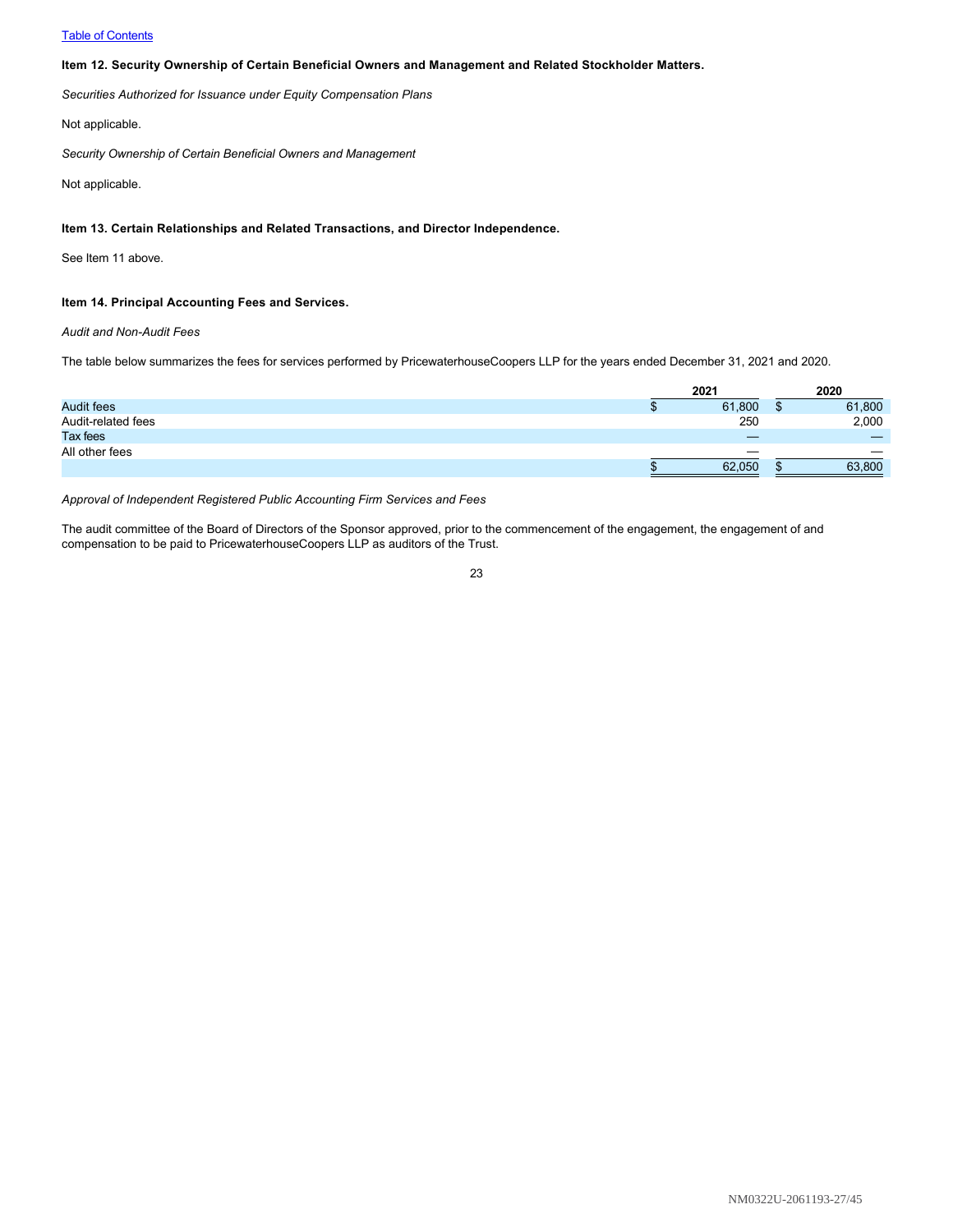# **[Table of Contents](#page-3-0)**

# <span id="page-26-0"></span>**Item 12. Security Ownership of Certain Beneficial Owners and Management and Related Stockholder Matters.**

*Securities Authorized for Issuance under Equity Compensation Plans*

Not applicable.

*Security Ownership of Certain Beneficial Owners and Management*

Not applicable.

# <span id="page-26-1"></span>**Item 13. Certain Relationships and Related Transactions, and Director Independence.**

See Item 11 above.

#### <span id="page-26-2"></span>**Item 14. Principal Accounting Fees and Services.**

# *Audit and Non-Audit Fees*

The table below summarizes the fees for services performed by PricewaterhouseCoopers LLP for the years ended December 31, 2021 and 2020.

|                    | 2021   |        | 2020   |
|--------------------|--------|--------|--------|
| <b>Audit fees</b>  | 61,800 | œ<br>ъ | 61,800 |
| Audit-related fees | 250    |        | 2,000  |
| Tax fees           | _      |        |        |
| All other fees     |        |        |        |
|                    | 62.050 |        | 63.800 |

*Approval of Independent Registered Public Accounting Firm Services and Fees*

The audit committee of the Board of Directors of the Sponsor approved, prior to the commencement of the engagement, the engagement of and compensation to be paid to PricewaterhouseCoopers LLP as auditors of the Trust.

23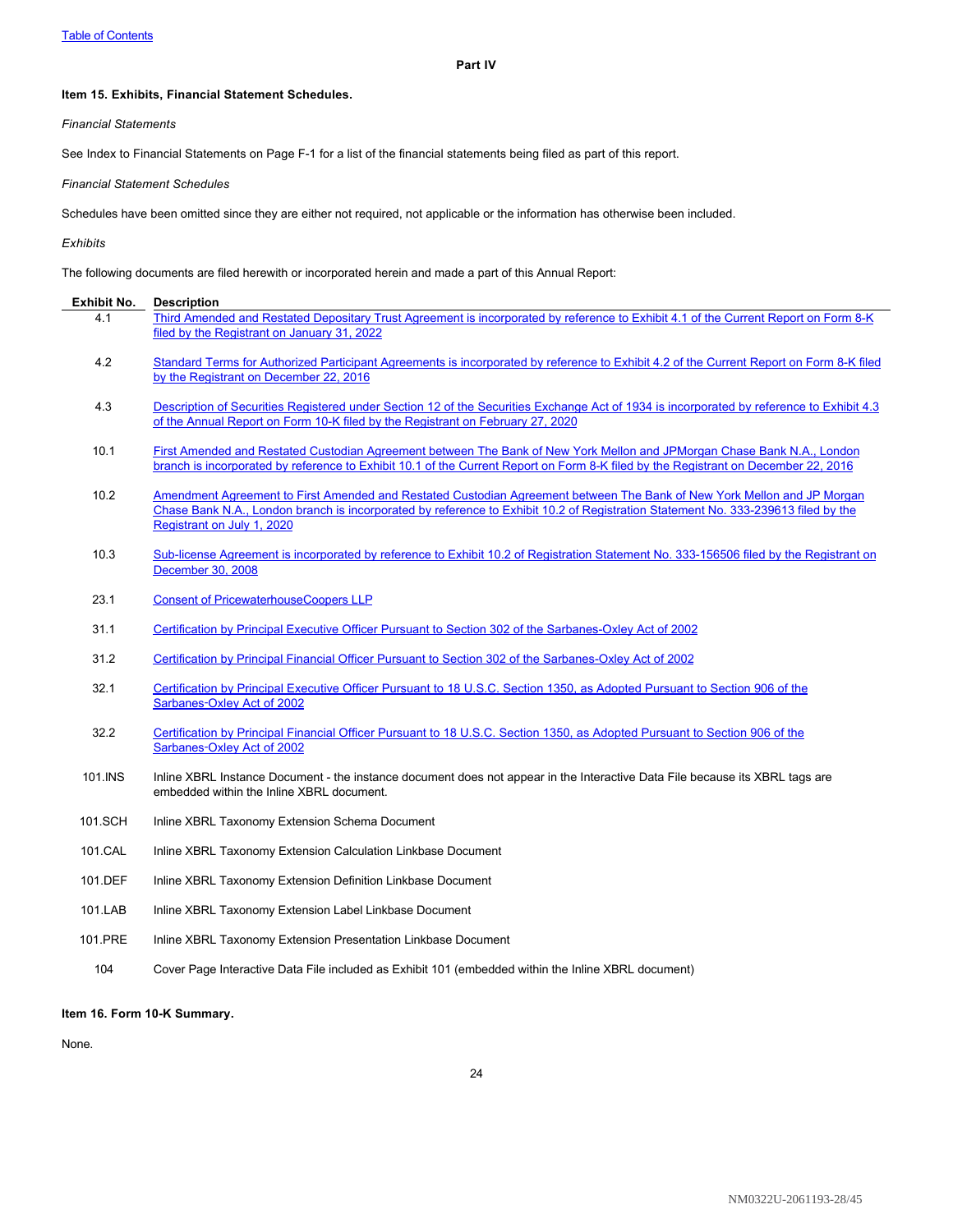# <span id="page-27-1"></span><span id="page-27-0"></span>**Item 15. Exhibits, Financial Statement Schedules.**

# *Financial Statements*

See Index to Financial Statements on Page F-1 for a list of the financial statements being filed as part of this report.

#### *Financial Statement Schedules*

Schedules have been omitted since they are either not required, not applicable or the information has otherwise been included.

*Exhibits*

The following documents are filed herewith or incorporated herein and made a part of this Annual Report:

| <b>Exhibit No.</b> | <b>Description</b>                                                                                                                                                        |
|--------------------|---------------------------------------------------------------------------------------------------------------------------------------------------------------------------|
| 4.1                | Third Amended and Restated Depositary Trust Agreement is incorporated by reference to Exhibit 4.1 of the Current Report on Form 8-K                                       |
|                    | filed by the Registrant on January 31, 2022                                                                                                                               |
| 4.2                | Standard Terms for Authorized Participant Agreements is incorporated by reference to Exhibit 4.2 of the Current Report on Form 8-K filed                                  |
|                    | by the Registrant on December 22, 2016                                                                                                                                    |
|                    |                                                                                                                                                                           |
| 4.3                | Description of Securities Registered under Section 12 of the Securities Exchange Act of 1934 is incorporated by reference to Exhibit 4.3                                  |
|                    | of the Annual Report on Form 10-K filed by the Registrant on February 27, 2020                                                                                            |
| 10.1               | First Amended and Restated Custodian Agreement between The Bank of New York Mellon and JPMorgan Chase Bank N.A., London                                                   |
|                    | branch is incorporated by reference to Exhibit 10.1 of the Current Report on Form 8-K filed by the Registrant on December 22, 2016                                        |
|                    |                                                                                                                                                                           |
| 10.2               | Amendment Agreement to First Amended and Restated Custodian Agreement between The Bank of New York Mellon and JP Morgan                                                   |
|                    | Chase Bank N.A., London branch is incorporated by reference to Exhibit 10.2 of Registration Statement No. 333-239613 filed by the                                         |
|                    | Registrant on July 1, 2020                                                                                                                                                |
| 10.3               | Sub-license Agreement is incorporated by reference to Exhibit 10.2 of Registration Statement No. 333-156506 filed by the Registrant on                                    |
|                    | December 30, 2008                                                                                                                                                         |
|                    |                                                                                                                                                                           |
| 23.1               | <b>Consent of PricewaterhouseCoopers LLP</b>                                                                                                                              |
| 31.1               | Certification by Principal Executive Officer Pursuant to Section 302 of the Sarbanes-Oxley Act of 2002                                                                    |
|                    |                                                                                                                                                                           |
| 31.2               | Certification by Principal Financial Officer Pursuant to Section 302 of the Sarbanes-Oxley Act of 2002                                                                    |
|                    |                                                                                                                                                                           |
| 32.1               | Certification by Principal Executive Officer Pursuant to 18 U.S.C. Section 1350, as Adopted Pursuant to Section 906 of the<br>Sarbanes-Oxley Act of 2002                  |
|                    |                                                                                                                                                                           |
| 32.2               | Certification by Principal Financial Officer Pursuant to 18 U.S.C. Section 1350, as Adopted Pursuant to Section 906 of the                                                |
|                    | Sarbanes-Oxley Act of 2002                                                                                                                                                |
|                    |                                                                                                                                                                           |
| 101.INS            | Inline XBRL Instance Document - the instance document does not appear in the Interactive Data File because its XBRL tags are<br>embedded within the Inline XBRL document. |
|                    |                                                                                                                                                                           |
| 101.SCH            | Inline XBRL Taxonomy Extension Schema Document                                                                                                                            |
|                    |                                                                                                                                                                           |
| 101.CAL            | Inline XBRL Taxonomy Extension Calculation Linkbase Document                                                                                                              |
| 101.DEF            | Inline XBRL Taxonomy Extension Definition Linkbase Document                                                                                                               |
|                    |                                                                                                                                                                           |
| 101.LAB            | Inline XBRL Taxonomy Extension Label Linkbase Document                                                                                                                    |
|                    |                                                                                                                                                                           |
| 101.PRE            | Inline XBRL Taxonomy Extension Presentation Linkbase Document                                                                                                             |
| 104                | Cover Page Interactive Data File included as Exhibit 101 (embedded within the Inline XBRL document)                                                                       |
|                    |                                                                                                                                                                           |

# <span id="page-27-2"></span>**Item 16. Form 10-K Summary.**

None.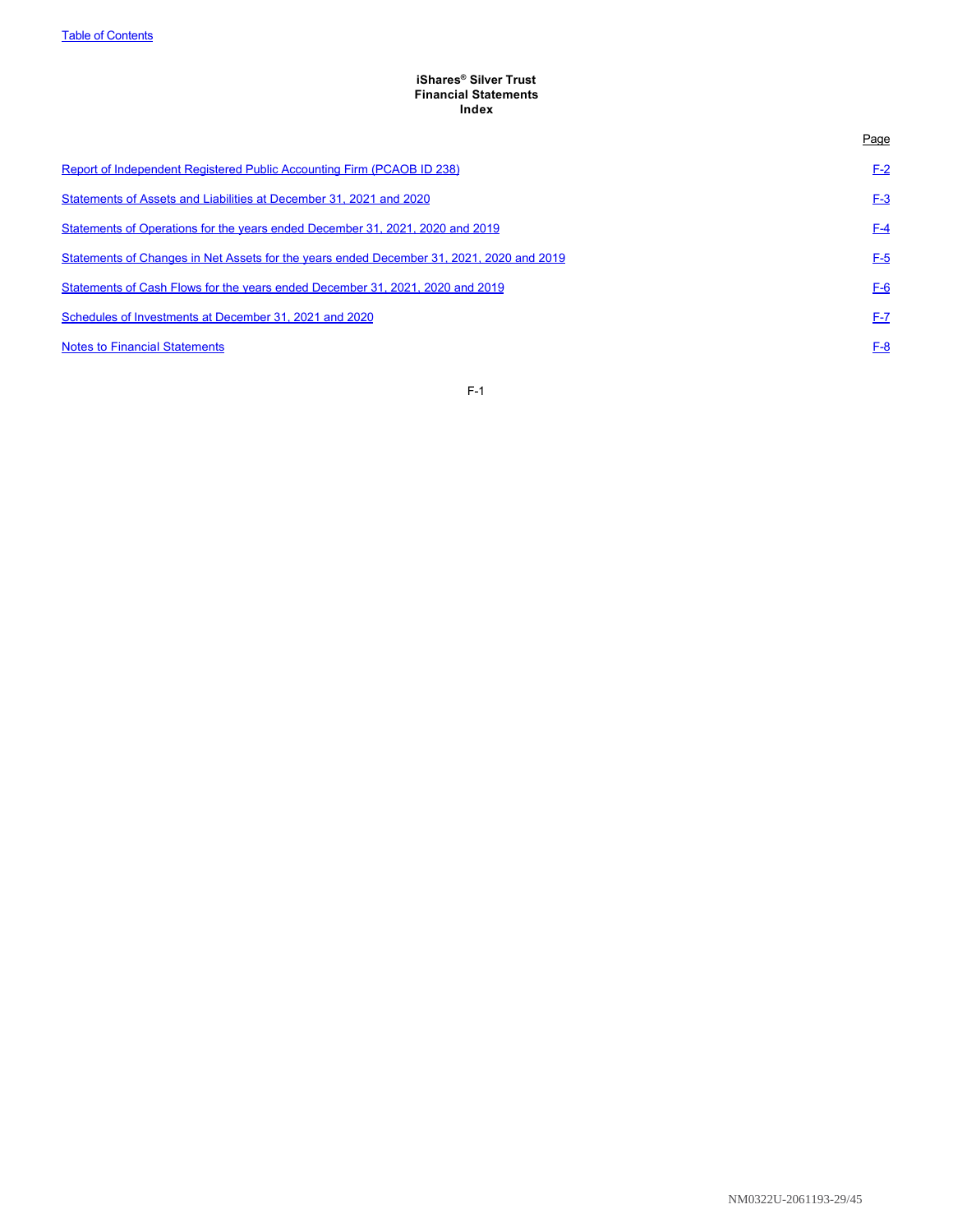# **iShares® Silver Trust Financial Statements Index**

|                                                                                          | Page  |
|------------------------------------------------------------------------------------------|-------|
| Report of Independent Registered Public Accounting Firm (PCAOB ID 238)                   | $F-2$ |
| Statements of Assets and Liabilities at December 31, 2021 and 2020                       | $F-3$ |
| Statements of Operations for the years ended December 31, 2021, 2020 and 2019            | $F-4$ |
| Statements of Changes in Net Assets for the years ended December 31, 2021, 2020 and 2019 | $F-5$ |
| Statements of Cash Flows for the years ended December 31, 2021, 2020 and 2019            | $F-6$ |
| Schedules of Investments at December 31, 2021 and 2020                                   | $F-7$ |
| <b>Notes to Financial Statements</b>                                                     | $F-8$ |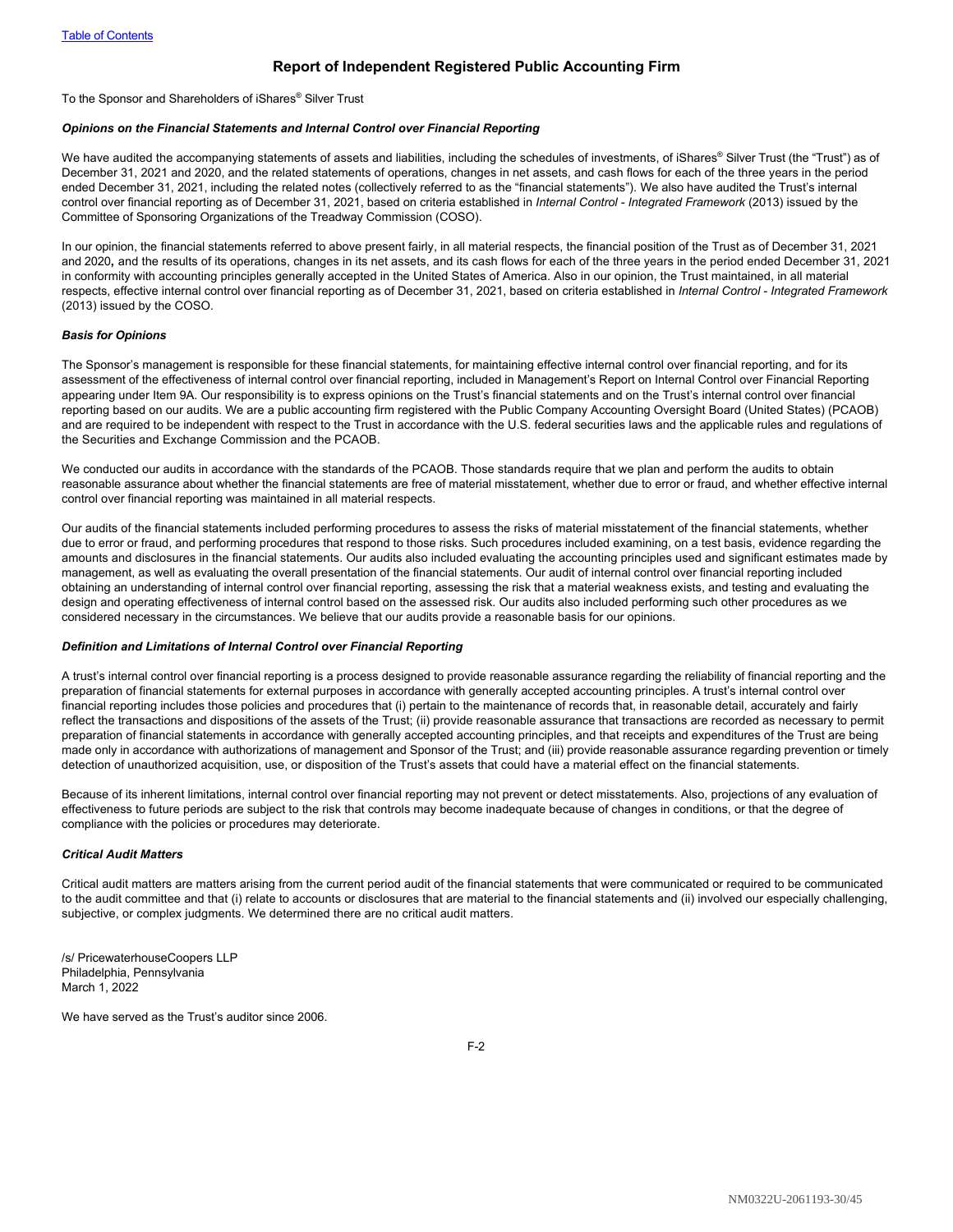# <span id="page-29-0"></span>**Report of Independent Registered Public Accounting Firm**

To the Sponsor and Shareholders of iShares® Silver Trust

#### *Opinions on the Financial Statements and Internal Control over Financial Reporting*

We have audited the accompanying statements of assets and liabilities, including the schedules of investments, of iShares® Silver Trust (the "Trust") as of December 31, 2021 and 2020, and the related statements of operations, changes in net assets, and cash flows for each of the three years in the period ended December 31, 2021, including the related notes (collectively referred to as the "financial statements"). We also have audited the Trust's internal control over financial reporting as of December 31, 2021, based on criteria established in *Internal Control - Integrated Framework* (2013) issued by the Committee of Sponsoring Organizations of the Treadway Commission (COSO).

In our opinion, the financial statements referred to above present fairly, in all material respects, the financial position of the Trust as of December 31, 2021 and 2020**,** and the results of its operations, changes in its net assets, and its cash flows for each of the three years in the period ended December 31, 2021 in conformity with accounting principles generally accepted in the United States of America. Also in our opinion, the Trust maintained, in all material respects, effective internal control over financial reporting as of December 31, 2021, based on criteria established in *Internal Control - Integrated Framework* (2013) issued by the COSO.

#### *Basis for Opinions*

The Sponsor's management is responsible for these financial statements, for maintaining effective internal control over financial reporting, and for its assessment of the effectiveness of internal control over financial reporting, included in Management's Report on Internal Control over Financial Reporting appearing under Item 9A. Our responsibility is to express opinions on the Trust's financial statements and on the Trust's internal control over financial reporting based on our audits. We are a public accounting firm registered with the Public Company Accounting Oversight Board (United States) (PCAOB) and are required to be independent with respect to the Trust in accordance with the U.S. federal securities laws and the applicable rules and regulations of the Securities and Exchange Commission and the PCAOB.

We conducted our audits in accordance with the standards of the PCAOB. Those standards require that we plan and perform the audits to obtain reasonable assurance about whether the financial statements are free of material misstatement, whether due to error or fraud, and whether effective internal control over financial reporting was maintained in all material respects.

Our audits of the financial statements included performing procedures to assess the risks of material misstatement of the financial statements, whether due to error or fraud, and performing procedures that respond to those risks. Such procedures included examining, on a test basis, evidence regarding the amounts and disclosures in the financial statements. Our audits also included evaluating the accounting principles used and significant estimates made by management, as well as evaluating the overall presentation of the financial statements. Our audit of internal control over financial reporting included obtaining an understanding of internal control over financial reporting, assessing the risk that a material weakness exists, and testing and evaluating the design and operating effectiveness of internal control based on the assessed risk. Our audits also included performing such other procedures as we considered necessary in the circumstances. We believe that our audits provide a reasonable basis for our opinions.

#### *Definition and Limitations of Internal Control over Financial Reporting*

A trust's internal control over financial reporting is a process designed to provide reasonable assurance regarding the reliability of financial reporting and the preparation of financial statements for external purposes in accordance with generally accepted accounting principles. A trust's internal control over financial reporting includes those policies and procedures that (i) pertain to the maintenance of records that, in reasonable detail, accurately and fairly reflect the transactions and dispositions of the assets of the Trust; (ii) provide reasonable assurance that transactions are recorded as necessary to permit preparation of financial statements in accordance with generally accepted accounting principles, and that receipts and expenditures of the Trust are being made only in accordance with authorizations of management and Sponsor of the Trust; and (iii) provide reasonable assurance regarding prevention or timely detection of unauthorized acquisition, use, or disposition of the Trust's assets that could have a material effect on the financial statements.

Because of its inherent limitations, internal control over financial reporting may not prevent or detect misstatements. Also, projections of any evaluation of effectiveness to future periods are subject to the risk that controls may become inadequate because of changes in conditions, or that the degree of compliance with the policies or procedures may deteriorate.

#### *Critical Audit Matters*

Critical audit matters are matters arising from the current period audit of the financial statements that were communicated or required to be communicated to the audit committee and that (i) relate to accounts or disclosures that are material to the financial statements and (ii) involved our especially challenging, subjective, or complex judgments. We determined there are no critical audit matters.

/s/ PricewaterhouseCoopers LLP Philadelphia, Pennsylvania March 1, 2022

We have served as the Trust's auditor since 2006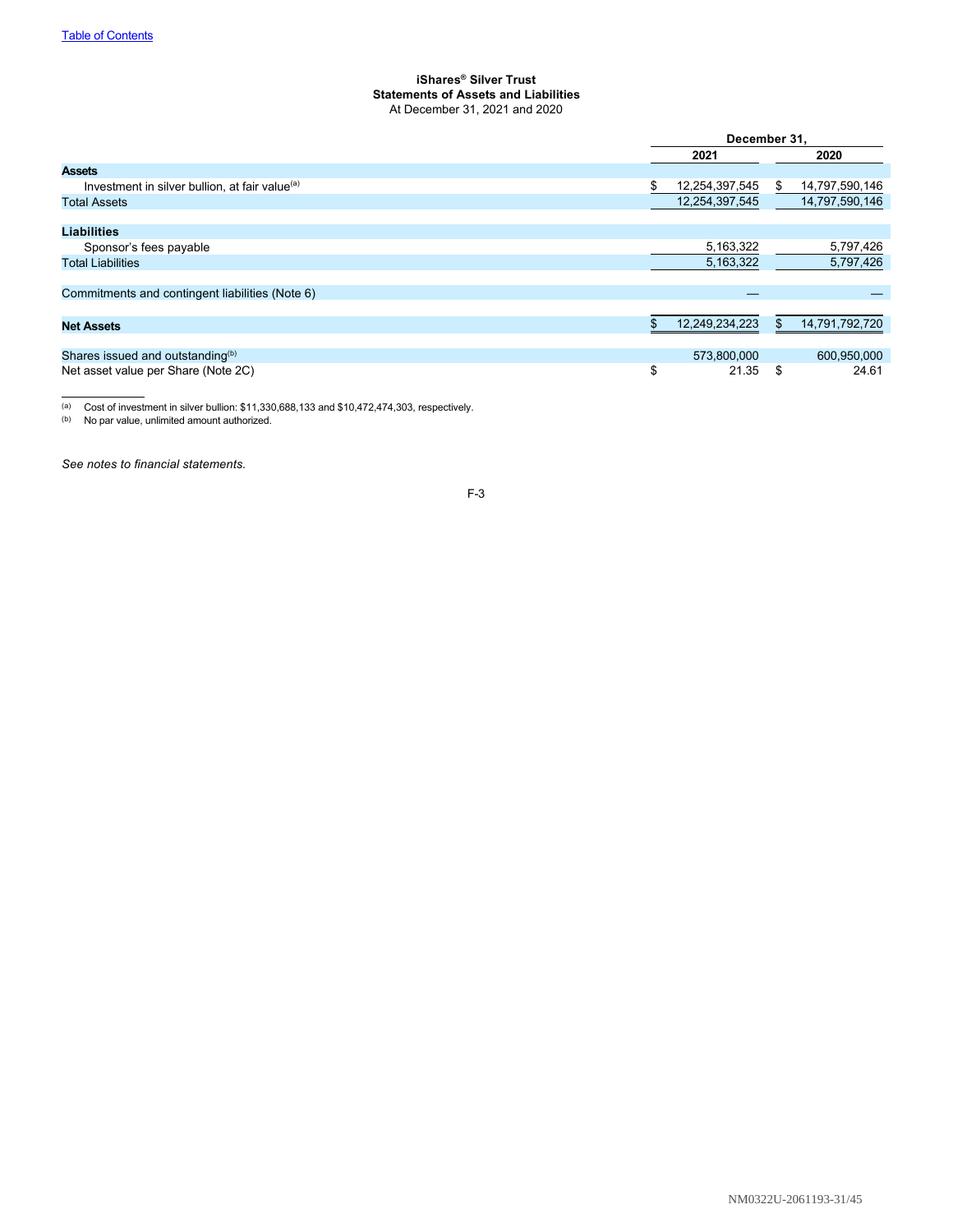# <span id="page-30-0"></span>**iShares® Silver Trust Statements of Assets and Liabilities** At December 31, 2021 and 2020

|                                                            | December 31,   |     |                |  |  |
|------------------------------------------------------------|----------------|-----|----------------|--|--|
|                                                            | 2021           |     | 2020           |  |  |
| <b>Assets</b>                                              |                |     |                |  |  |
| Investment in silver bullion, at fair value <sup>(a)</sup> | 12,254,397,545 | \$  | 14,797,590,146 |  |  |
| <b>Total Assets</b>                                        | 12,254,397,545 |     | 14,797,590,146 |  |  |
|                                                            |                |     |                |  |  |
| <b>Liabilities</b>                                         |                |     |                |  |  |
| Sponsor's fees payable                                     | 5,163,322      |     | 5,797,426      |  |  |
| <b>Total Liabilities</b>                                   | 5,163,322      |     | 5,797,426      |  |  |
|                                                            |                |     |                |  |  |
| Commitments and contingent liabilities (Note 6)            |                |     |                |  |  |
|                                                            |                |     |                |  |  |
| <b>Net Assets</b>                                          | 12,249,234,223 | \$. | 14,791,792,720 |  |  |
|                                                            |                |     |                |  |  |
| Shares issued and outstanding <sup>(b)</sup>               | 573,800,000    |     | 600,950,000    |  |  |
| Net asset value per Share (Note 2C)                        | \$<br>21.35    | \$  | 24.61          |  |  |

(a) Cost of investment in silver bullion: \$11,330,688,133 and \$10,472,474,303, respectively.

(b) No par value, unlimited amount authorized.

*See notes to financial statements.*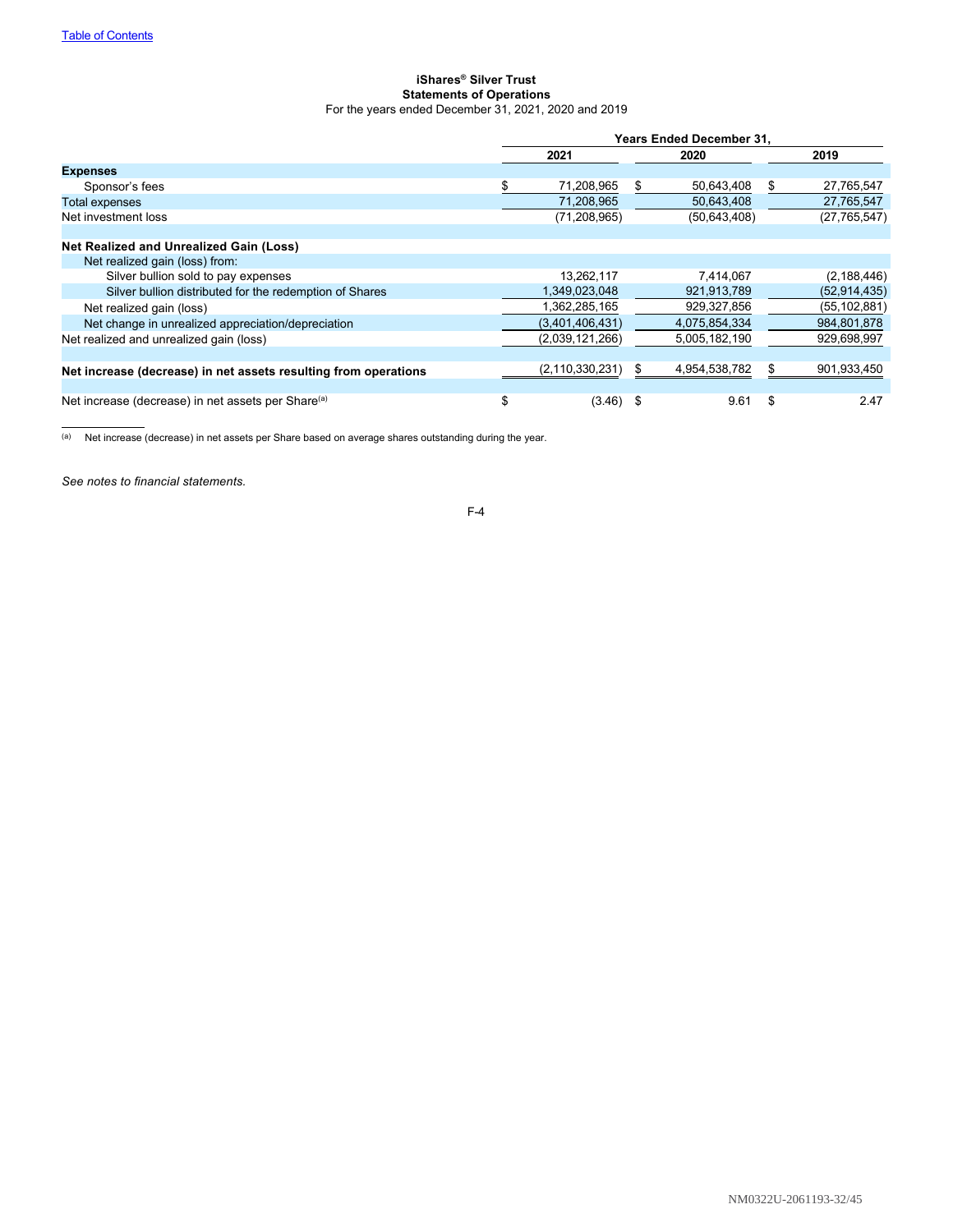# <span id="page-31-0"></span>**iShares® Silver Trust Statements of Operations** For the years ended December 31, 2021, 2020 and 2019

|                                                                 | <b>Years Ended December 31.</b> |                    |    |                |    |                |  |
|-----------------------------------------------------------------|---------------------------------|--------------------|----|----------------|----|----------------|--|
|                                                                 | 2021                            |                    |    | 2020           |    | 2019           |  |
| <b>Expenses</b>                                                 |                                 |                    |    |                |    |                |  |
| Sponsor's fees                                                  | \$                              | 71,208,965         | S. | 50,643,408     | S. | 27,765,547     |  |
| <b>Total expenses</b>                                           |                                 | 71,208,965         |    | 50,643,408     |    | 27,765,547     |  |
| Net investment loss                                             |                                 | (71, 208, 965)     |    | (50, 643, 408) |    | (27, 765, 547) |  |
|                                                                 |                                 |                    |    |                |    |                |  |
| Net Realized and Unrealized Gain (Loss)                         |                                 |                    |    |                |    |                |  |
| Net realized gain (loss) from:                                  |                                 |                    |    |                |    |                |  |
| Silver bullion sold to pay expenses                             |                                 | 13,262,117         |    | 7,414,067      |    | (2, 188, 446)  |  |
| Silver bullion distributed for the redemption of Shares         |                                 | 1,349,023,048      |    | 921,913,789    |    | (52, 914, 435) |  |
| Net realized gain (loss)                                        |                                 | 1,362,285,165      |    | 929,327,856    |    | (55, 102, 881) |  |
| Net change in unrealized appreciation/depreciation              |                                 | (3,401,406,431)    |    | 4,075,854,334  |    | 984,801,878    |  |
| Net realized and unrealized gain (loss)                         |                                 | (2,039,121,266)    |    | 5,005,182,190  |    | 929,698,997    |  |
|                                                                 |                                 |                    |    |                |    |                |  |
| Net increase (decrease) in net assets resulting from operations |                                 | (2, 110, 330, 231) | \$ | 4,954,538,782  | S  | 901,933,450    |  |
|                                                                 |                                 |                    |    |                |    |                |  |
| Net increase (decrease) in net assets per Share <sup>(a)</sup>  | \$                              | $(3.46)$ \$        |    | 9.61           | \$ | 2.47           |  |

(a) Net increase (decrease) in net assets per Share based on average shares outstanding during the year.

*See notes to financial statements.*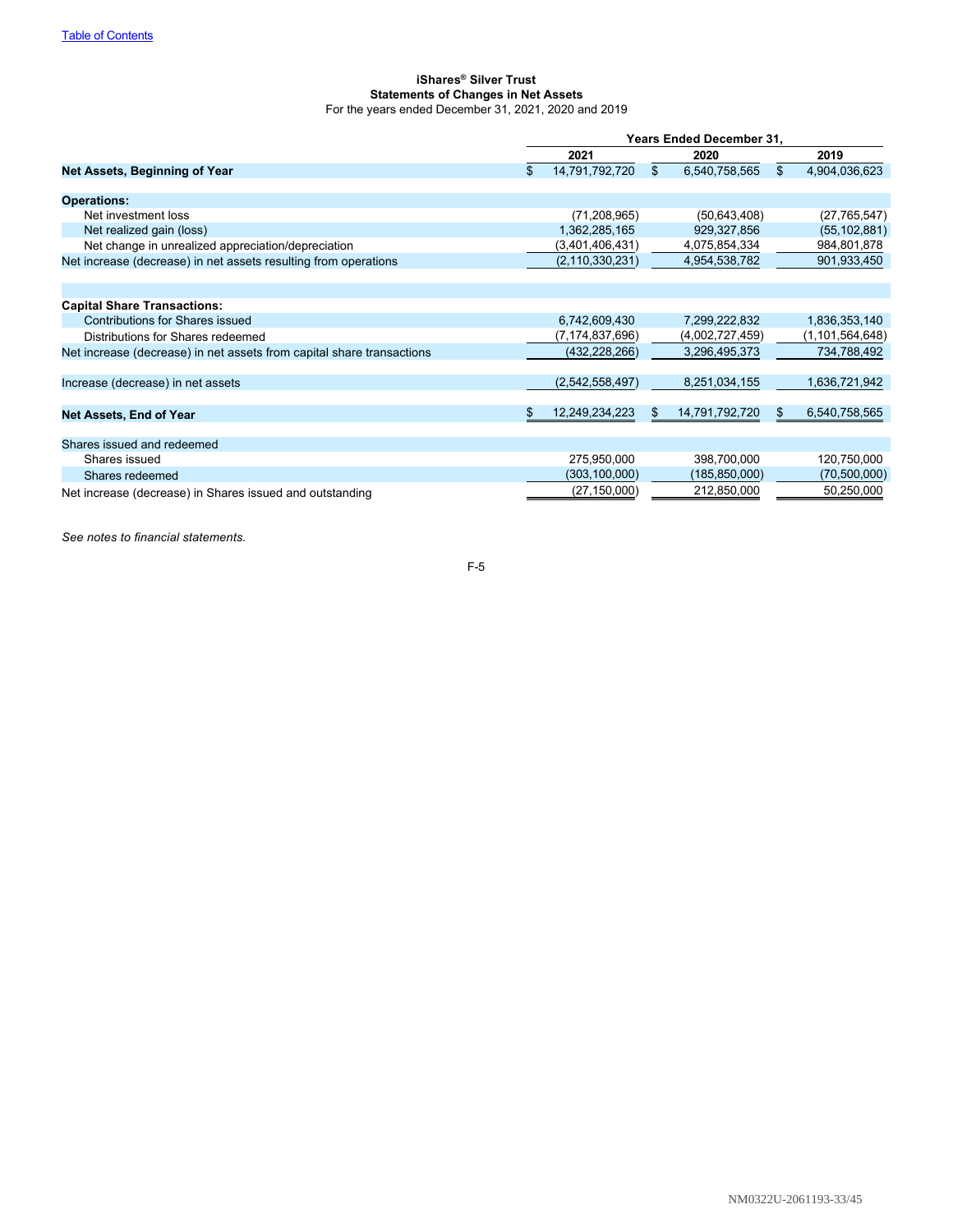# <span id="page-32-0"></span>**iShares® Silver Trust Statements of Changes in Net Assets** For the years ended December 31, 2021, 2020 and 2019

|                                                                       | <b>Years Ended December 31,</b> |                    |    |                 |    |                    |  |
|-----------------------------------------------------------------------|---------------------------------|--------------------|----|-----------------|----|--------------------|--|
|                                                                       |                                 | 2021               |    | 2020            |    | 2019               |  |
| Net Assets, Beginning of Year                                         | \$                              | 14,791,792,720     | \$ | 6,540,758,565   | \$ | 4,904,036,623      |  |
| <b>Operations:</b>                                                    |                                 |                    |    |                 |    |                    |  |
| Net investment loss                                                   |                                 | (71, 208, 965)     |    | (50, 643, 408)  |    | (27, 765, 547)     |  |
| Net realized gain (loss)                                              |                                 | 1,362,285,165      |    | 929,327,856     |    | (55, 102, 881)     |  |
| Net change in unrealized appreciation/depreciation                    |                                 | (3,401,406,431)    |    | 4,075,854,334   |    | 984,801,878        |  |
| Net increase (decrease) in net assets resulting from operations       |                                 | (2, 110, 330, 231) |    | 4,954,538,782   |    | 901,933,450        |  |
|                                                                       |                                 |                    |    |                 |    |                    |  |
| <b>Capital Share Transactions:</b>                                    |                                 |                    |    |                 |    |                    |  |
| Contributions for Shares issued                                       |                                 | 6,742,609,430      |    | 7,299,222,832   |    | 1,836,353,140      |  |
| Distributions for Shares redeemed                                     |                                 | (7,174,837,696)    |    | (4,002,727,459) |    | (1, 101, 564, 648) |  |
| Net increase (decrease) in net assets from capital share transactions |                                 | (432, 228, 266)    |    | 3,296,495,373   |    | 734,788,492        |  |
| Increase (decrease) in net assets                                     |                                 | (2,542,558,497)    |    | 8,251,034,155   |    | 1,636,721,942      |  |
|                                                                       |                                 |                    |    |                 |    |                    |  |
| Net Assets, End of Year                                               | \$                              | 12,249,234,223     |    | 14,791,792,720  |    | 6,540,758,565      |  |
| Shares issued and redeemed                                            |                                 |                    |    |                 |    |                    |  |
| Shares issued                                                         |                                 | 275,950,000        |    | 398,700,000     |    | 120,750,000        |  |
| Shares redeemed                                                       |                                 | (303, 100, 000)    |    | (185, 850, 000) |    | (70,500,000)       |  |
| Net increase (decrease) in Shares issued and outstanding              |                                 | (27, 150, 000)     |    | 212,850,000     |    | 50,250,000         |  |

*See notes to financial statements.*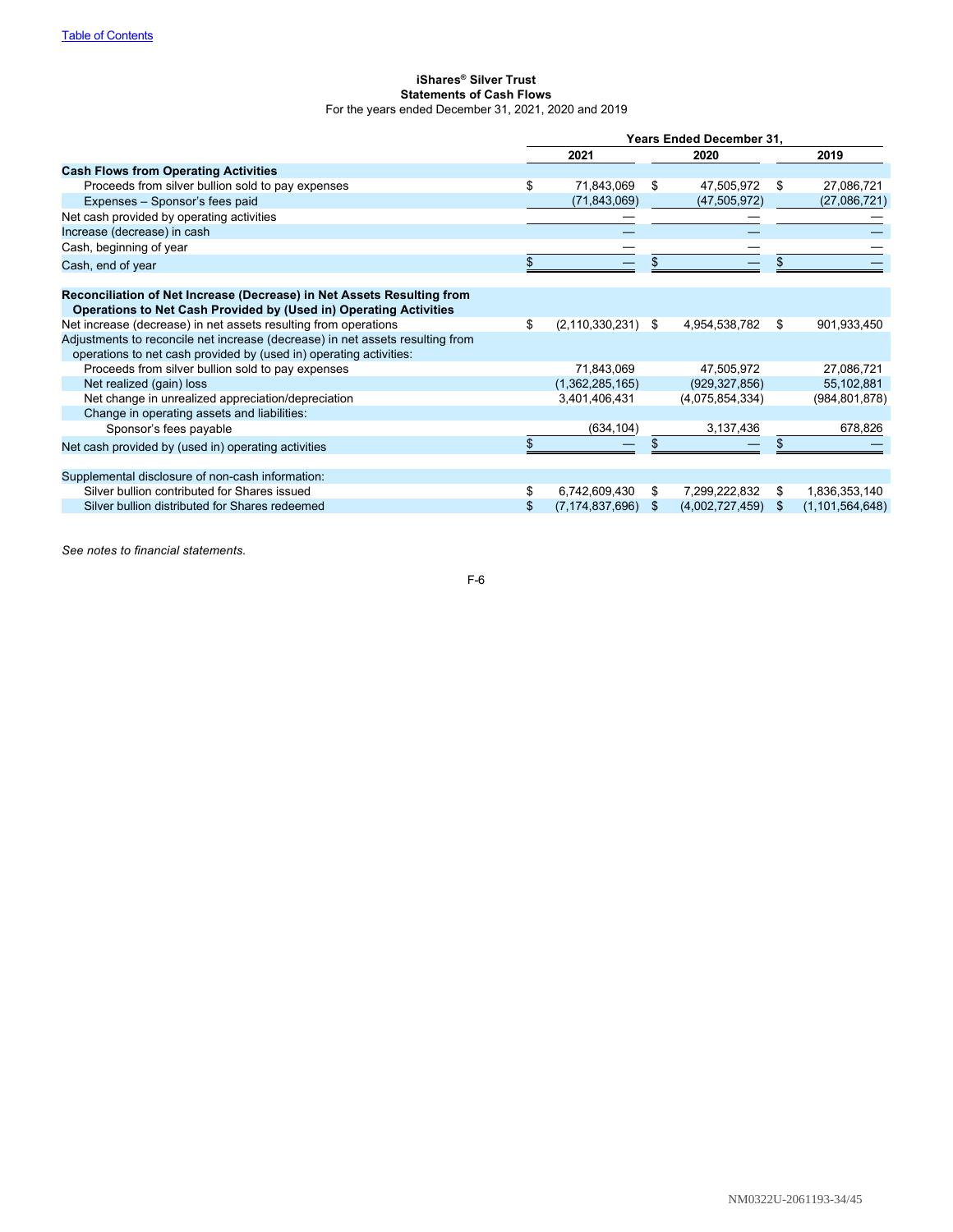# <span id="page-33-0"></span>**iShares® Silver Trust Statements of Cash Flows** For the years ended December 31, 2021, 2020 and 2019

|                                                                                                                                             | <b>Years Ended December 31,</b> |                         |    |                      |    |                    |
|---------------------------------------------------------------------------------------------------------------------------------------------|---------------------------------|-------------------------|----|----------------------|----|--------------------|
|                                                                                                                                             |                                 | 2021                    |    | 2020                 |    | 2019               |
| <b>Cash Flows from Operating Activities</b>                                                                                                 |                                 |                         |    |                      |    |                    |
| Proceeds from silver bullion sold to pay expenses                                                                                           | \$                              | 71,843,069              | \$ | 47,505,972           | S  | 27,086,721         |
| Expenses - Sponsor's fees paid                                                                                                              |                                 | (71, 843, 069)          |    | (47, 505, 972)       |    | (27,086,721)       |
| Net cash provided by operating activities                                                                                                   |                                 |                         |    |                      |    |                    |
| Increase (decrease) in cash                                                                                                                 |                                 |                         |    |                      |    |                    |
| Cash, beginning of year                                                                                                                     |                                 |                         |    |                      |    |                    |
| Cash, end of year                                                                                                                           | \$.                             |                         |    |                      |    |                    |
| Reconciliation of Net Increase (Decrease) in Net Assets Resulting from<br>Operations to Net Cash Provided by (Used in) Operating Activities |                                 |                         |    |                      |    |                    |
| Net increase (decrease) in net assets resulting from operations                                                                             | \$                              | $(2, 110, 330, 231)$ \$ |    | 4,954,538,782        | S. | 901,933,450        |
| Adjustments to reconcile net increase (decrease) in net assets resulting from                                                               |                                 |                         |    |                      |    |                    |
| operations to net cash provided by (used in) operating activities:                                                                          |                                 |                         |    |                      |    |                    |
| Proceeds from silver bullion sold to pay expenses                                                                                           |                                 | 71,843,069              |    | 47,505,972           |    | 27,086,721         |
| Net realized (gain) loss                                                                                                                    |                                 | (1,362,285,165)         |    | (929, 327, 856)      |    | 55,102,881         |
| Net change in unrealized appreciation/depreciation                                                                                          |                                 | 3,401,406,431           |    | (4,075,854,334)      |    | (984, 801, 878)    |
| Change in operating assets and liabilities:                                                                                                 |                                 |                         |    |                      |    |                    |
| Sponsor's fees payable                                                                                                                      |                                 | (634, 104)              |    | 3,137,436            |    | 678,826            |
| Net cash provided by (used in) operating activities                                                                                         |                                 |                         |    |                      |    |                    |
| Supplemental disclosure of non-cash information:                                                                                            |                                 |                         |    |                      |    |                    |
| Silver bullion contributed for Shares issued                                                                                                | \$                              | 6,742,609,430           | \$ | 7,299,222,832        | \$ | 1,836,353,140      |
| Silver bullion distributed for Shares redeemed                                                                                              | \$                              | (7, 174, 837, 696)      | S. | $(4,002,727,459)$ \$ |    | (1, 101, 564, 648) |
|                                                                                                                                             |                                 |                         |    |                      |    |                    |

*See notes to financial statements.*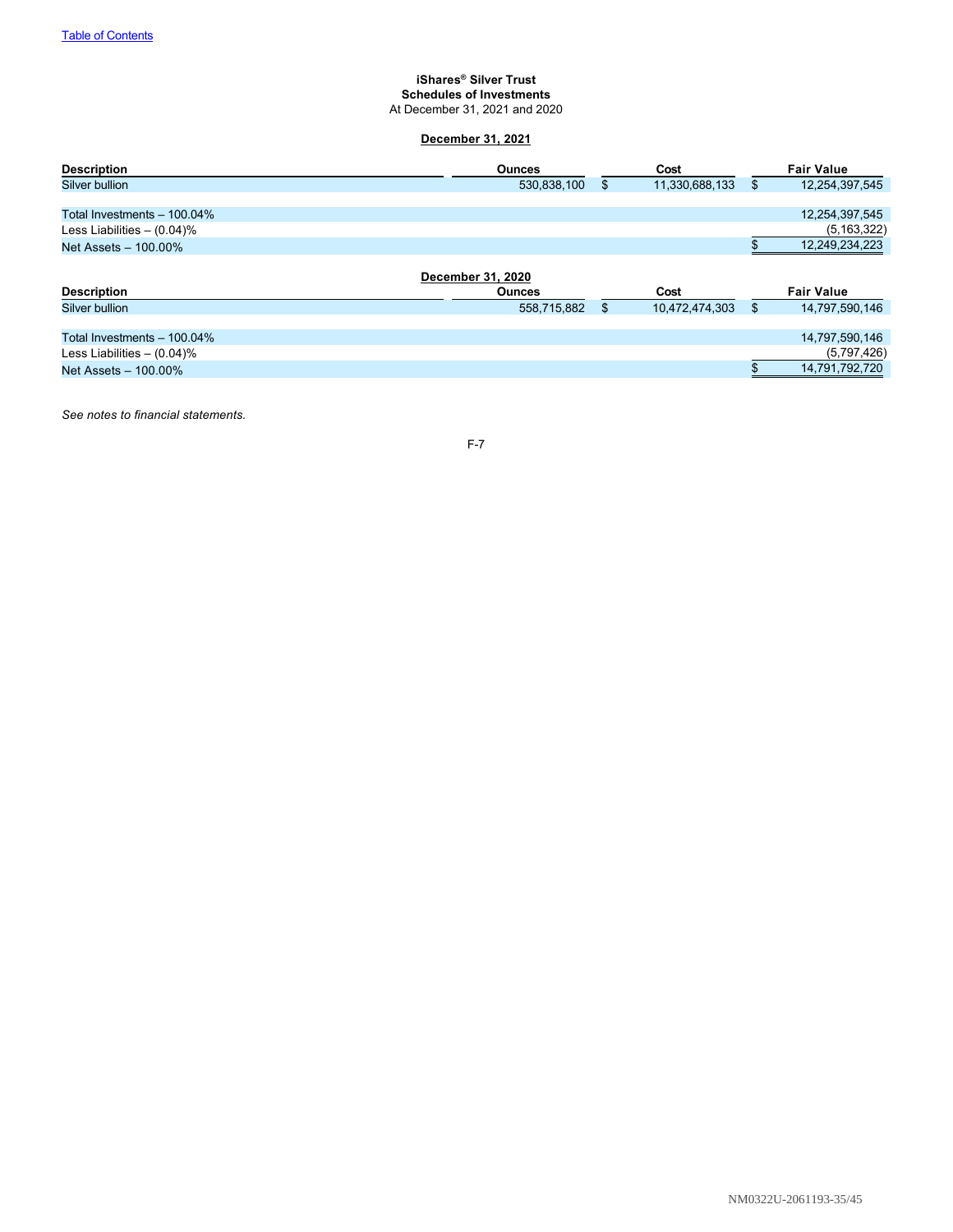# <span id="page-34-0"></span>**iShares® Silver Trust Schedules of Investments** At December 31, 2021 and 2020

# **December 31, 2021**

| <b>Description</b>                                           | <b>Ounces</b>                      |                | Cost           |     | <b>Fair Value</b>             |
|--------------------------------------------------------------|------------------------------------|----------------|----------------|-----|-------------------------------|
| Silver bullion                                               | 530,838,100                        | $\mathfrak{s}$ | 11,330,688,133 | \$  | 12,254,397,545                |
|                                                              |                                    |                |                |     |                               |
| Total Investments - 100.04%                                  |                                    |                |                |     | 12,254,397,545                |
| Less Liabilities $- (0.04)\%$                                |                                    |                |                |     | (5, 163, 322)                 |
| Net Assets - 100.00%                                         |                                    |                |                |     | 12,249,234,223                |
| <b>Description</b>                                           | December 31, 2020<br><b>Ounces</b> |                | Cost           |     | <b>Fair Value</b>             |
| Silver bullion                                               | 558,715,882                        |                | 10,472,474,303 | \$. | 14,797,590,146                |
|                                                              |                                    |                |                |     |                               |
| Total Investments - 100.04%<br>Less Liabilities $- (0.04)\%$ |                                    |                |                |     | 14,797,590,146<br>(5,797,426) |

*See notes to financial statements.*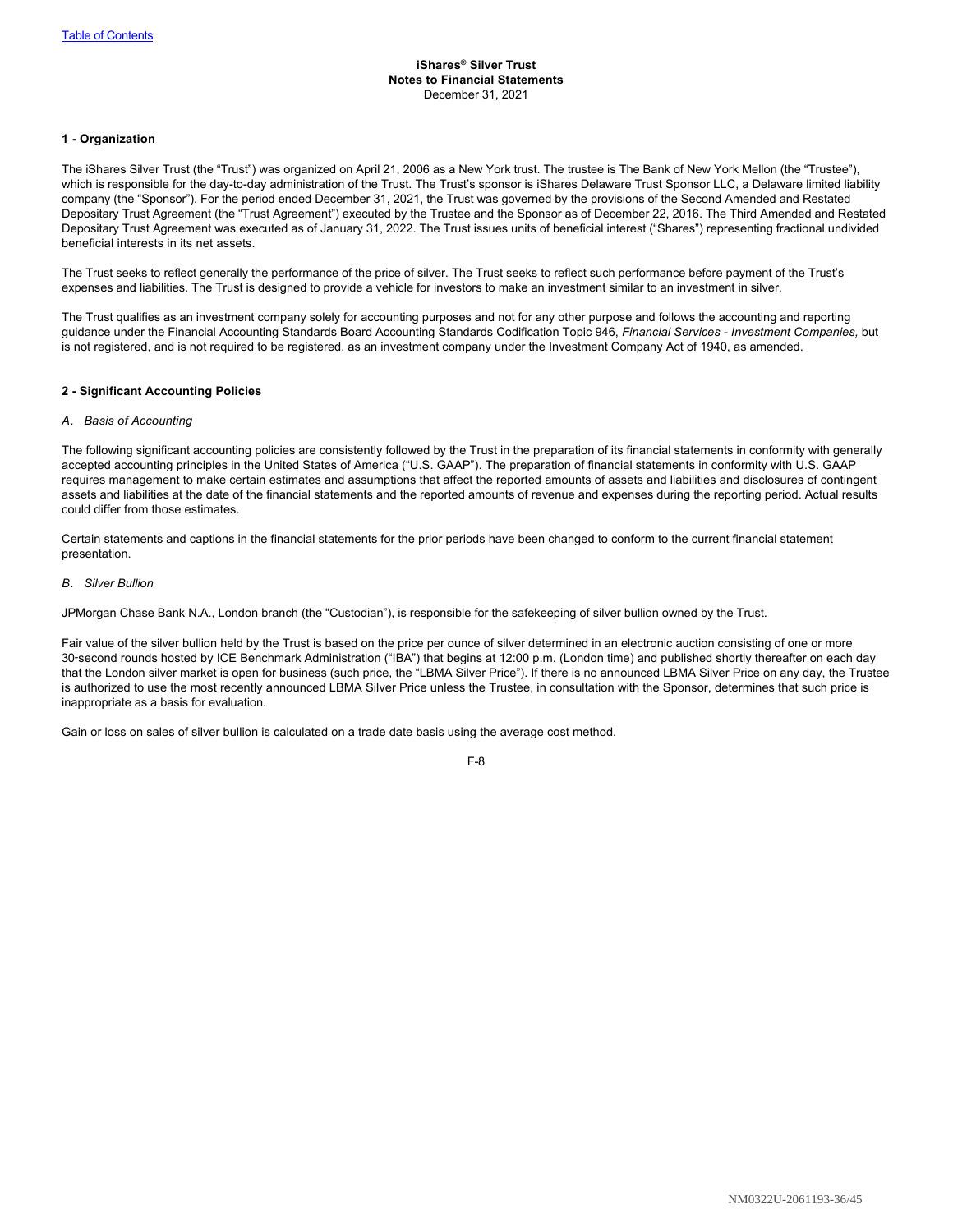# <span id="page-35-0"></span>**iShares® Silver Trust Notes to Financial Statements** December 31, 2021

# **1 - Organization**

The iShares Silver Trust (the "Trust") was organized on April 21, 2006 as a New York trust. The trustee is The Bank of New York Mellon (the "Trustee"), which is responsible for the day-to-day administration of the Trust. The Trust's sponsor is iShares Delaware Trust Sponsor LLC, a Delaware limited liability company (the "Sponsor"). For the period ended December 31, 2021, the Trust was governed by the provisions of the Second Amended and Restated Depositary Trust Agreement (the "Trust Agreement") executed by the Trustee and the Sponsor as of December 22, 2016. The Third Amended and Restated Depositary Trust Agreement was executed as of January 31, 2022. The Trust issues units of beneficial interest ("Shares") representing fractional undivided beneficial interests in its net assets.

The Trust seeks to reflect generally the performance of the price of silver. The Trust seeks to reflect such performance before payment of the Trust's expenses and liabilities. The Trust is designed to provide a vehicle for investors to make an investment similar to an investment in silver.

The Trust qualifies as an investment company solely for accounting purposes and not for any other purpose and follows the accounting and reporting guidance under the Financial Accounting Standards Board Accounting Standards Codification Topic 946, *Financial Services - Investment Companies,* but is not registered, and is not required to be registered, as an investment company under the Investment Company Act of 1940, as amended.

#### **2 - Significant Accounting Policies**

# *A. Basis of Accounting*

The following significant accounting policies are consistently followed by the Trust in the preparation of its financial statements in conformity with generally accepted accounting principles in the United States of America ("U.S. GAAP"). The preparation of financial statements in conformity with U.S. GAAP requires management to make certain estimates and assumptions that affect the reported amounts of assets and liabilities and disclosures of contingent assets and liabilities at the date of the financial statements and the reported amounts of revenue and expenses during the reporting period. Actual results could differ from those estimates.

Certain statements and captions in the financial statements for the prior periods have been changed to conform to the current financial statement presentation.

#### *B. Silver Bullion*

JPMorgan Chase Bank N.A., London branch (the "Custodian"), is responsible for the safekeeping of silver bullion owned by the Trust.

Fair value of the silver bullion held by the Trust is based on the price per ounce of silver determined in an electronic auction consisting of one or more 30‑second rounds hosted by ICE Benchmark Administration ("IBA") that begins at 12:00 p.m. (London time) and published shortly thereafter on each day that the London silver market is open for business (such price, the "LBMA Silver Price"). If there is no announced LBMA Silver Price on any day, the Trustee is authorized to use the most recently announced LBMA Silver Price unless the Trustee, in consultation with the Sponsor, determines that such price is inappropriate as a basis for evaluation.

Gain or loss on sales of silver bullion is calculated on a trade date basis using the average cost method.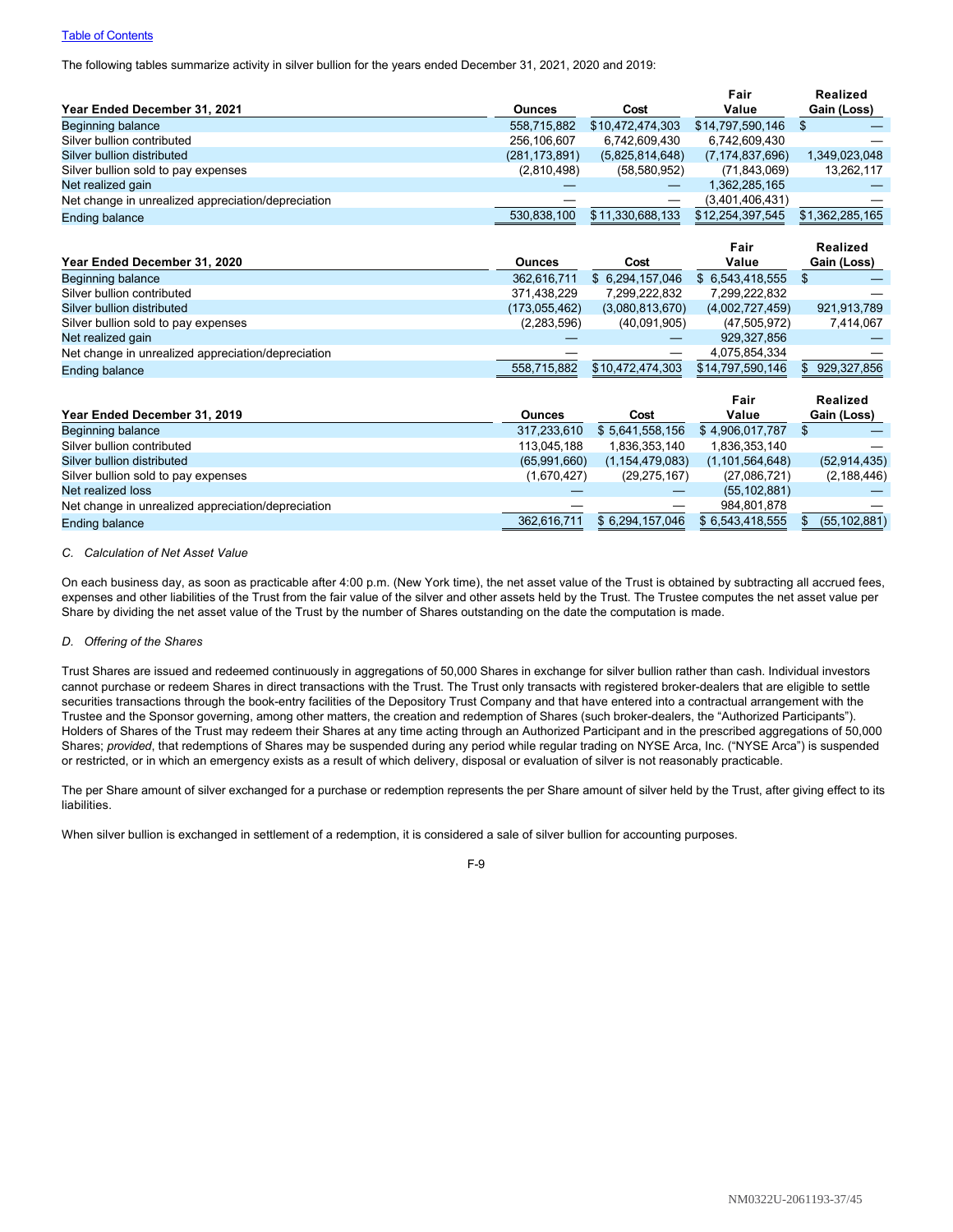# **[Table of Contents](#page-3-0)**

The following tables summarize activity in silver bullion for the years ended December 31, 2021, 2020 and 2019:

|                                                    |               |                  | Fair               | <b>Realized</b> |
|----------------------------------------------------|---------------|------------------|--------------------|-----------------|
| Year Ended December 31, 2021                       | <b>Ounces</b> | Cost             | Value              | Gain (Loss)     |
| <b>Beginning balance</b>                           | 558,715,882   | \$10,472,474,303 | \$14,797,590,146   | \$.             |
| Silver bullion contributed                         | 256,106,607   | 6,742,609,430    | 6,742,609,430      |                 |
| Silver bullion distributed                         | (281,173,891) | (5,825,814,648)  | (7, 174, 837, 696) | 1,349,023,048   |
| Silver bullion sold to pay expenses                | (2,810,498)   | (58, 580, 952)   | (71, 843, 069)     | 13,262,117      |
| Net realized gain                                  |               |                  | 1,362,285,165      |                 |
| Net change in unrealized appreciation/depreciation |               |                  | (3,401,406,431)    |                 |
| Ending balance                                     | 530,838,100   | \$11.330.688.133 | \$12,254,397,545   | \$1,362,285,165 |
|                                                    |               |                  | Fair               | Realized        |
| Year Ended December 31, 2020                       | <b>Ounces</b> | Cost             | Value              | Gain (Loss)     |
| Beginning balance                                  | 362.616.711   | \$6.294.157.046  | \$ 6.543.418.555   |                 |

| Beginning balance                                  | 362.616.711   | \$ 6.294.157.046 | \$ 6.543.418.555 |             |
|----------------------------------------------------|---------------|------------------|------------------|-------------|
| Silver bullion contributed                         | 371,438,229   | 7.299.222.832    | 7.299.222.832    |             |
| Silver bullion distributed                         | (173.055.462) | (3,080,813,670)  | (4,002,727,459)  | 921,913,789 |
| Silver bullion sold to pay expenses                | (2,283,596)   | (40,091,905)     | (47, 505, 972)   | 7.414.067   |
| Net realized gain                                  |               |                  | 929,327,856      |             |
| Net change in unrealized appreciation/depreciation |               |                  | 4.075.854.334    |             |
| Ending balance                                     | 558.715.882   | \$10,472,474,303 | \$14.797.590.146 | 929,327,856 |

|                                                    |               |                    | Fair               | Realized       |
|----------------------------------------------------|---------------|--------------------|--------------------|----------------|
| Year Ended December 31, 2019                       | <b>Ounces</b> | Cost               | Value              | Gain (Loss)    |
| Beginning balance                                  | 317,233,610   | \$5,641,558,156    | \$4,906,017,787    |                |
| Silver bullion contributed                         | 113,045,188   | 1,836,353,140      | 1,836,353,140      |                |
| Silver bullion distributed                         | (65,991,660)  | (1, 154, 479, 083) | (1, 101, 564, 648) | (52, 914, 435) |
| Silver bullion sold to pay expenses                | (1,670,427)   | (29, 275, 167)     | (27,086,721)       | (2, 188, 446)  |
| Net realized loss                                  |               |                    | (55, 102, 881)     |                |
| Net change in unrealized appreciation/depreciation |               |                    | 984,801,878        |                |
| Ending balance                                     | 362.616.711   | \$6,294,157,046    | \$6,543,418,555    | (55, 102, 881) |

#### *C. Calculation of Net Asset Value*

On each business day, as soon as practicable after 4:00 p.m. (New York time), the net asset value of the Trust is obtained by subtracting all accrued fees, expenses and other liabilities of the Trust from the fair value of the silver and other assets held by the Trust. The Trustee computes the net asset value per Share by dividing the net asset value of the Trust by the number of Shares outstanding on the date the computation is made.

#### *D. Offering of the Shares*

Trust Shares are issued and redeemed continuously in aggregations of 50,000 Shares in exchange for silver bullion rather than cash. Individual investors cannot purchase or redeem Shares in direct transactions with the Trust. The Trust only transacts with registered broker-dealers that are eligible to settle securities transactions through the book-entry facilities of the Depository Trust Company and that have entered into a contractual arrangement with the Trustee and the Sponsor governing, among other matters, the creation and redemption of Shares (such broker-dealers, the "Authorized Participants"). Holders of Shares of the Trust may redeem their Shares at any time acting through an Authorized Participant and in the prescribed aggregations of 50,000 Shares; *provided*, that redemptions of Shares may be suspended during any period while regular trading on NYSE Arca, Inc. ("NYSE Arca") is suspended or restricted, or in which an emergency exists as a result of which delivery, disposal or evaluation of silver is not reasonably practicable.

The per Share amount of silver exchanged for a purchase or redemption represents the per Share amount of silver held by the Trust, after giving effect to its liabilities.

When silver bullion is exchanged in settlement of a redemption, it is considered a sale of silver bullion for accounting purposes.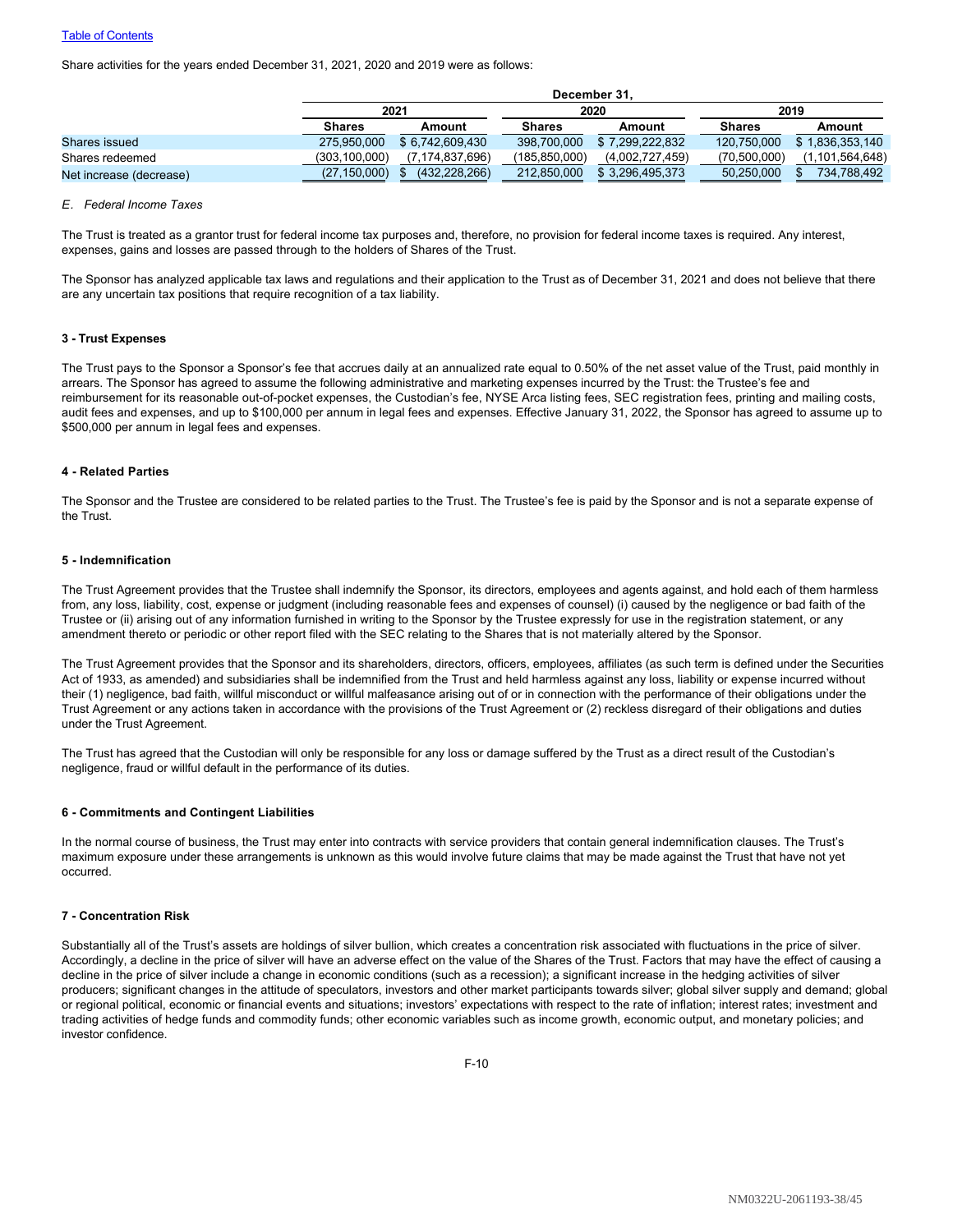Share activities for the years ended December 31, 2021, 2020 and 2019 were as follows:

|                         |                 | December 31.    |                         |                 |               |                 |  |  |
|-------------------------|-----------------|-----------------|-------------------------|-----------------|---------------|-----------------|--|--|
|                         |                 | 2021            |                         | 2020            | 2019          |                 |  |  |
|                         | <b>Shares</b>   | Amount          | <b>Shares</b><br>Amount |                 | <b>Shares</b> | Amount          |  |  |
| Shares issued           | 275.950.000     | \$6.742,609.430 | 398.700.000             | \$7.299.222.832 | 120.750.000   | \$1.836.353.140 |  |  |
| Shares redeemed         | (303, 100, 000) | (7.174.837.696) | (185.850.000)           | (4.002.727.459) | (70.500.000)  | (1.101.564.648) |  |  |
| Net increase (decrease) | (27, 150, 000)  | (432.228.266)   | 212,850,000             | \$3,296,495,373 | 50,250,000    | 734,788,492     |  |  |

#### *E. Federal Income Taxes*

The Trust is treated as a grantor trust for federal income tax purposes and, therefore, no provision for federal income taxes is required. Any interest, expenses, gains and losses are passed through to the holders of Shares of the Trust.

The Sponsor has analyzed applicable tax laws and regulations and their application to the Trust as of December 31, 2021 and does not believe that there are any uncertain tax positions that require recognition of a tax liability.

# **3 - Trust Expenses**

The Trust pays to the Sponsor a Sponsor's fee that accrues daily at an annualized rate equal to 0.50% of the net asset value of the Trust, paid monthly in arrears. The Sponsor has agreed to assume the following administrative and marketing expenses incurred by the Trust: the Trustee's fee and reimbursement for its reasonable out-of-pocket expenses, the Custodian's fee, NYSE Arca listing fees, SEC registration fees, printing and mailing costs, audit fees and expenses, and up to \$100,000 per annum in legal fees and expenses. Effective January 31, 2022, the Sponsor has agreed to assume up to \$500,000 per annum in legal fees and expenses.

# **4 - Related Parties**

The Sponsor and the Trustee are considered to be related parties to the Trust. The Trustee's fee is paid by the Sponsor and is not a separate expense of the Trust.

# **5 - Indemnification**

The Trust Agreement provides that the Trustee shall indemnify the Sponsor, its directors, employees and agents against, and hold each of them harmless from, any loss, liability, cost, expense or judgment (including reasonable fees and expenses of counsel) (i) caused by the negligence or bad faith of the Trustee or (ii) arising out of any information furnished in writing to the Sponsor by the Trustee expressly for use in the registration statement, or any amendment thereto or periodic or other report filed with the SEC relating to the Shares that is not materially altered by the Sponsor.

The Trust Agreement provides that the Sponsor and its shareholders, directors, officers, employees, affiliates (as such term is defined under the Securities Act of 1933, as amended) and subsidiaries shall be indemnified from the Trust and held harmless against any loss, liability or expense incurred without their (1) negligence, bad faith, willful misconduct or willful malfeasance arising out of or in connection with the performance of their obligations under the Trust Agreement or any actions taken in accordance with the provisions of the Trust Agreement or (2) reckless disregard of their obligations and duties under the Trust Agreement.

The Trust has agreed that the Custodian will only be responsible for any loss or damage suffered by the Trust as a direct result of the Custodian's negligence, fraud or willful default in the performance of its duties.

#### **6 - Commitments and Contingent Liabilities**

In the normal course of business, the Trust may enter into contracts with service providers that contain general indemnification clauses. The Trust's maximum exposure under these arrangements is unknown as this would involve future claims that may be made against the Trust that have not yet occurred.

#### **7 - Concentration Risk**

Substantially all of the Trust's assets are holdings of silver bullion, which creates a concentration risk associated with fluctuations in the price of silver. Accordingly, a decline in the price of silver will have an adverse effect on the value of the Shares of the Trust. Factors that may have the effect of causing a decline in the price of silver include a change in economic conditions (such as a recession); a significant increase in the hedging activities of silver producers; significant changes in the attitude of speculators, investors and other market participants towards silver; global silver supply and demand; global or regional political, economic or financial events and situations; investors' expectations with respect to the rate of inflation; interest rates; investment and trading activities of hedge funds and commodity funds; other economic variables such as income growth, economic output, and monetary policies; and investor confidence.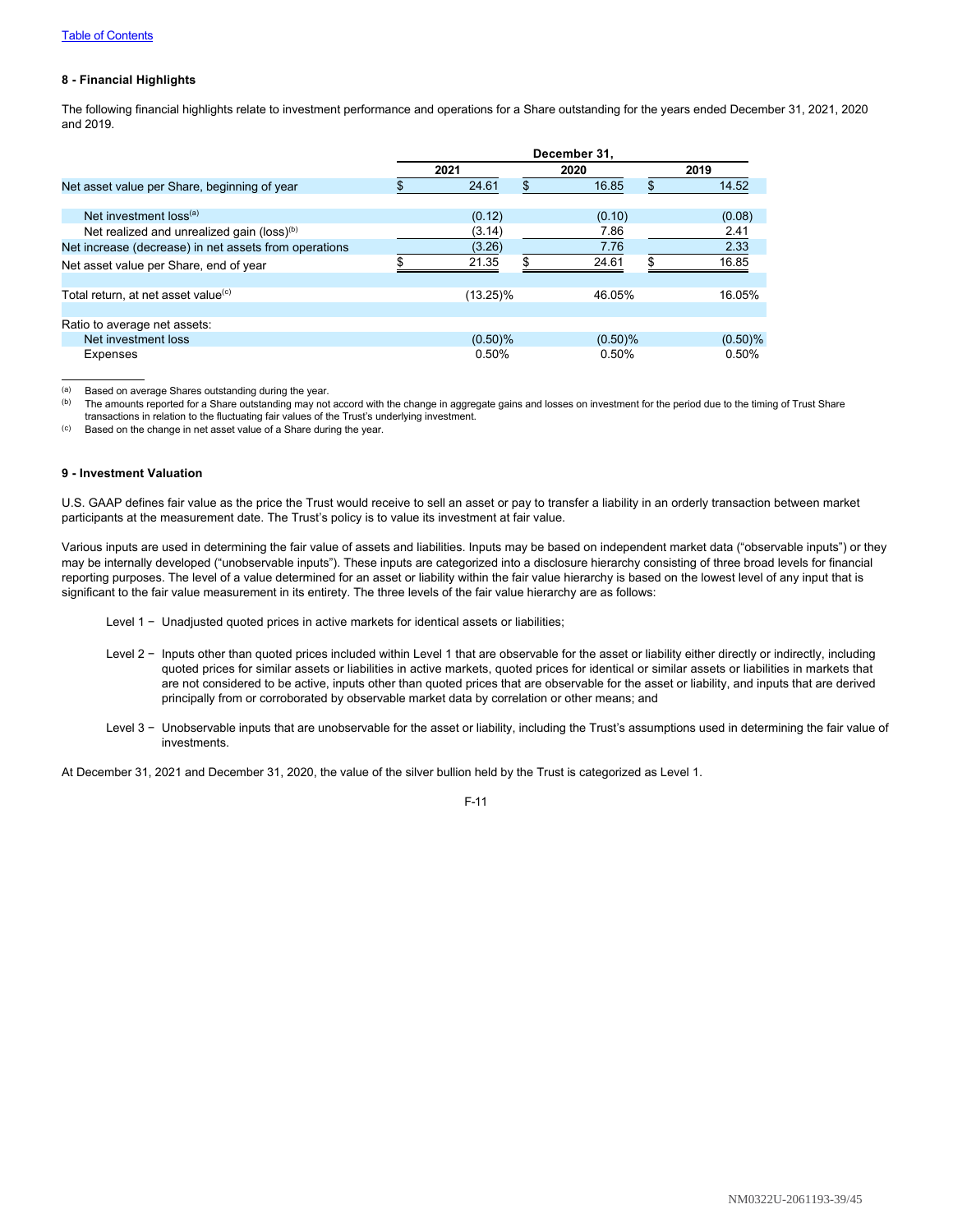# **8 - Financial Highlights**

The following financial highlights relate to investment performance and operations for a Share outstanding for the years ended December 31, 2021, 2020 and 2019.

|                                                        | December 31. |             |  |         |    |         |
|--------------------------------------------------------|--------------|-------------|--|---------|----|---------|
|                                                        |              | 2021        |  | 2020    |    | 2019    |
| Net asset value per Share, beginning of year           |              | 24.61       |  | 16.85   | £. | 14.52   |
| Net investment $loss^{(a)}$                            |              | (0.12)      |  | (0.10)  |    | (0.08)  |
| Net realized and unrealized gain (loss) <sup>(b)</sup> |              | (3.14)      |  | 7.86    |    | 2.41    |
| Net increase (decrease) in net assets from operations  |              | (3.26)      |  | 7.76    |    | 2.33    |
| Net asset value per Share, end of year                 |              | 21.35       |  | 24.61   |    | 16.85   |
| Total return, at net asset value <sup>(c)</sup>        |              | $(13.25)\%$ |  | 46.05%  |    | 16.05%  |
| Ratio to average net assets:                           |              |             |  |         |    |         |
| Net investment loss                                    |              | (0.50)%     |  | (0.50)% |    | (0.50)% |
| Expenses                                               |              | 0.50%       |  | 0.50%   |    | 0.50%   |

(a) Based on average Shares outstanding during the year.<br>(b) The amounts reported for a Share outstanding may not

The amounts reported for a Share outstanding may not accord with the change in aggregate gains and losses on investment for the period due to the timing of Trust Share

transactions in relation to the fluctuating fair values of the Trust's underlying investment.

(c) Based on the change in net asset value of a Share during the year.

# **9 - Investment Valuation**

U.S. GAAP defines fair value as the price the Trust would receive to sell an asset or pay to transfer a liability in an orderly transaction between market participants at the measurement date. The Trust's policy is to value its investment at fair value.

Various inputs are used in determining the fair value of assets and liabilities. Inputs may be based on independent market data ("observable inputs") or they may be internally developed ("unobservable inputs"). These inputs are categorized into a disclosure hierarchy consisting of three broad levels for financial reporting purposes. The level of a value determined for an asset or liability within the fair value hierarchy is based on the lowest level of any input that is significant to the fair value measurement in its entirety. The three levels of the fair value hierarchy are as follows:

- Level 1 Unadjusted quoted prices in active markets for identical assets or liabilities;
- Level 2 −  Inputs other than quoted prices included within Level 1 that are observable for the asset or liability either directly or indirectly, including quoted prices for similar assets or liabilities in active markets, quoted prices for identical or similar assets or liabilities in markets that are not considered to be active, inputs other than quoted prices that are observable for the asset or liability, and inputs that are derived principally from or corroborated by observable market data by correlation or other means; and
- Level 3 −  Unobservable inputs that are unobservable for the asset or liability, including the Trust's assumptions used in determining the fair value of investments.

At December 31, 2021 and December 31, 2020, the value of the silver bullion held by the Trust is categorized as Level 1.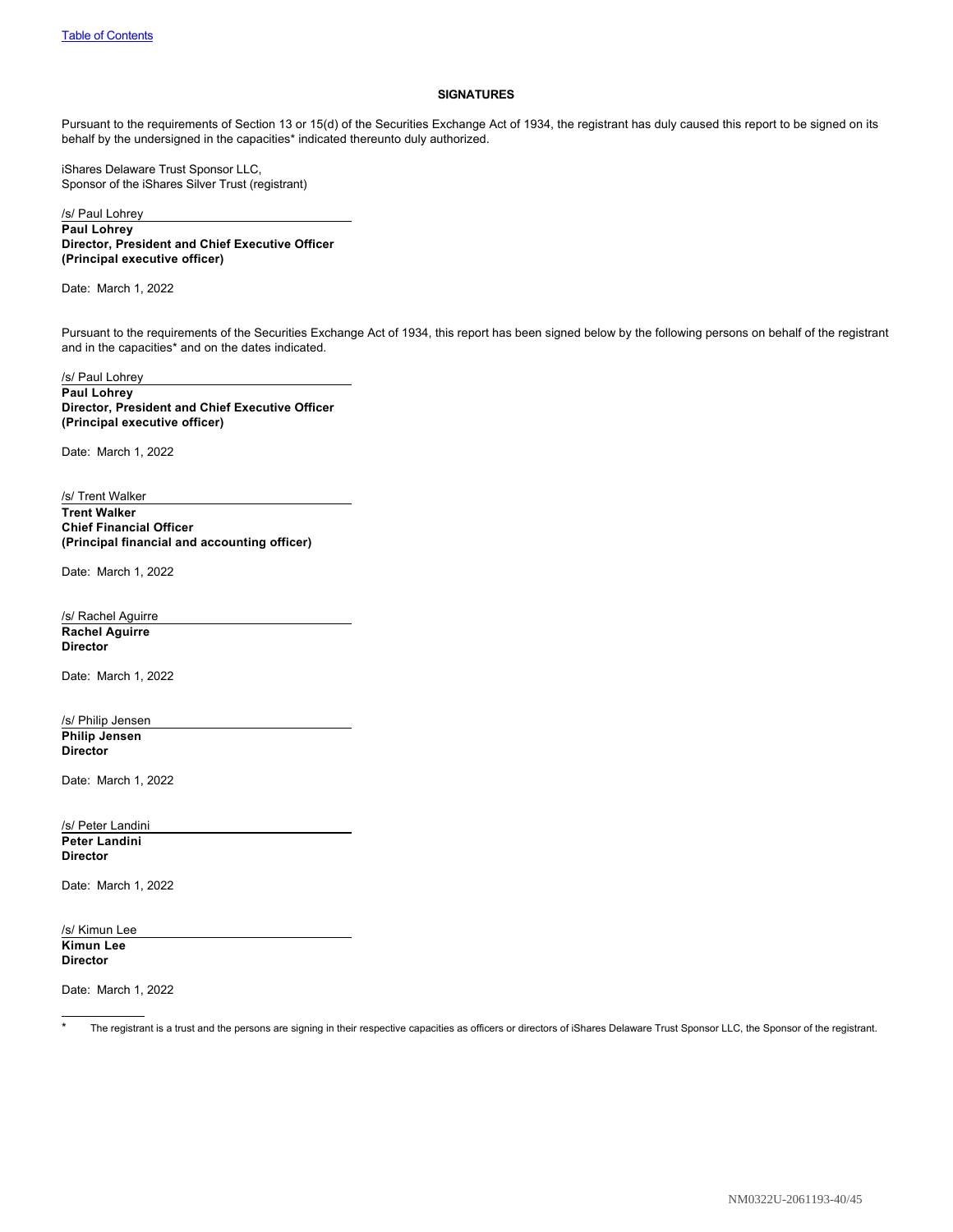# **SIGNATURES**

Pursuant to the requirements of Section 13 or 15(d) of the Securities Exchange Act of 1934, the registrant has duly caused this report to be signed on its behalf by the undersigned in the capacities\* indicated thereunto duly authorized.

iShares Delaware Trust Sponsor LLC, Sponsor of the iShares Silver Trust (registrant)

/s/ Paul Lohrey **Paul Lohrey Director, President and Chief Executive Officer (Principal executive officer)**

Date: March 1, 2022

Pursuant to the requirements of the Securities Exchange Act of 1934, this report has been signed below by the following persons on behalf of the registrant and in the capacities\* and on the dates indicated.

/s/ Paul Lohrey **Paul Lohrey Director, President and Chief Executive Officer (Principal executive officer)**

Date: March 1, 2022

/s/ Trent Walker

**Trent Walker Chief Financial Officer (Principal financial and accounting officer)**

Date: March 1, 2022

/s/ Rachel Aguirre **Rachel Aguirre Director**

Date: March 1, 2022

/s/ Philip Jensen **Philip Jensen**

**Director**

Date: March 1, 2022

/s/ Peter Landini **Peter Landini Director**

Date: March 1, 2022

/s/ Kimun Lee **Kimun Lee Director**

Date: March 1, 2022

The registrant is a trust and the persons are signing in their respective capacities as officers or directors of iShares Delaware Trust Sponsor LLC, the Sponsor of the registrant.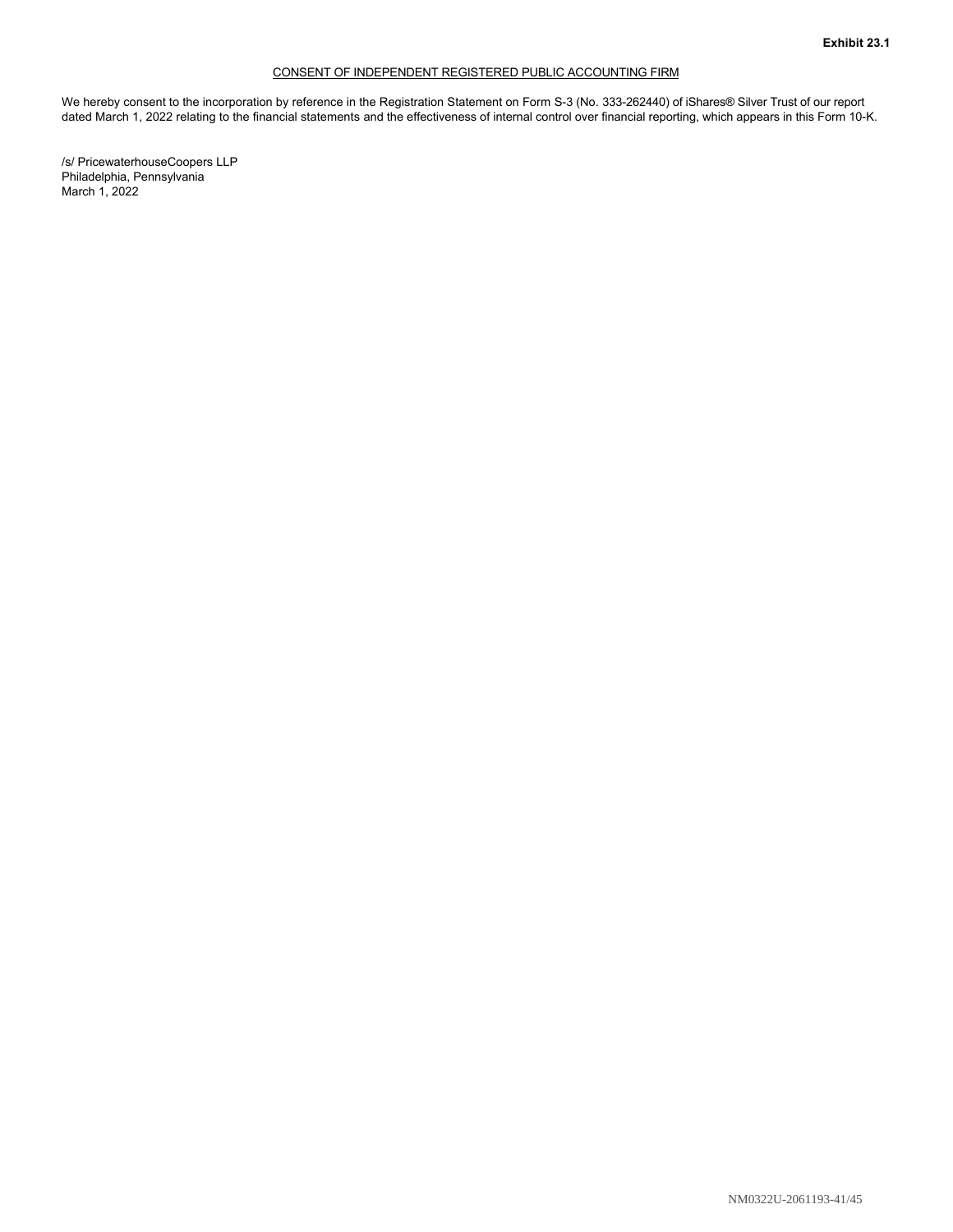# CONSENT OF INDEPENDENT REGISTERED PUBLIC ACCOUNTING FIRM

<span id="page-40-0"></span>We hereby consent to the incorporation by reference in the Registration Statement on Form S-3 (No. 333-262440) of iShares® Silver Trust of our report dated March 1, 2022 relating to the financial statements and the effectiveness of internal control over financial reporting, which appears in this Form 10-K.

/s/ PricewaterhouseCoopers LLP Philadelphia, Pennsylvania March 1, 2022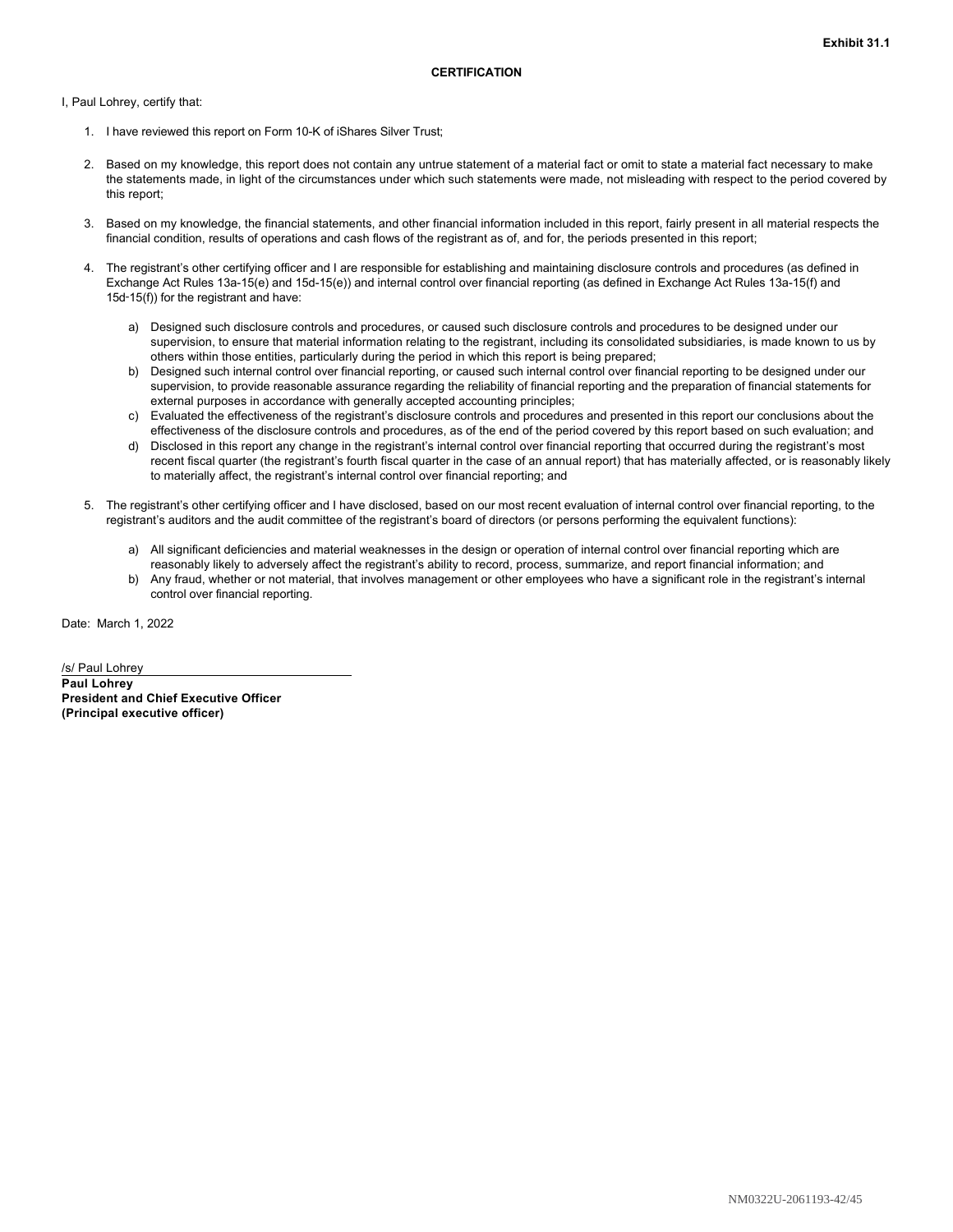<span id="page-41-0"></span>I, Paul Lohrey, certify that:

- 1. I have reviewed this report on Form 10-K of iShares Silver Trust;
- 2. Based on my knowledge, this report does not contain any untrue statement of a material fact or omit to state a material fact necessary to make the statements made, in light of the circumstances under which such statements were made, not misleading with respect to the period covered by this report;
- 3. Based on my knowledge, the financial statements, and other financial information included in this report, fairly present in all material respects the financial condition, results of operations and cash flows of the registrant as of, and for, the periods presented in this report;
- 4. The registrant's other certifying officer and I are responsible for establishing and maintaining disclosure controls and procedures (as defined in Exchange Act Rules 13a-15(e) and 15d-15(e)) and internal control over financial reporting (as defined in Exchange Act Rules 13a-15(f) and 15d‑15(f)) for the registrant and have:
	- a) Designed such disclosure controls and procedures, or caused such disclosure controls and procedures to be designed under our supervision, to ensure that material information relating to the registrant, including its consolidated subsidiaries, is made known to us by others within those entities, particularly during the period in which this report is being prepared;
	- b) Designed such internal control over financial reporting, or caused such internal control over financial reporting to be designed under our supervision, to provide reasonable assurance regarding the reliability of financial reporting and the preparation of financial statements for external purposes in accordance with generally accepted accounting principles;
	- c) Evaluated the effectiveness of the registrant's disclosure controls and procedures and presented in this report our conclusions about the effectiveness of the disclosure controls and procedures, as of the end of the period covered by this report based on such evaluation; and
	- d) Disclosed in this report any change in the registrant's internal control over financial reporting that occurred during the registrant's most recent fiscal quarter (the registrant's fourth fiscal quarter in the case of an annual report) that has materially affected, or is reasonably likely to materially affect, the registrant's internal control over financial reporting; and
- 5. The registrant's other certifying officer and I have disclosed, based on our most recent evaluation of internal control over financial reporting, to the registrant's auditors and the audit committee of the registrant's board of directors (or persons performing the equivalent functions):
	- a) All significant deficiencies and material weaknesses in the design or operation of internal control over financial reporting which are reasonably likely to adversely affect the registrant's ability to record, process, summarize, and report financial information; and
	- b) Any fraud, whether or not material, that involves management or other employees who have a significant role in the registrant's internal control over financial reporting.

Date: March 1, 2022

/s/ Paul Lohrey **Paul Lohrey President and Chief Executive Officer (Principal executive officer)**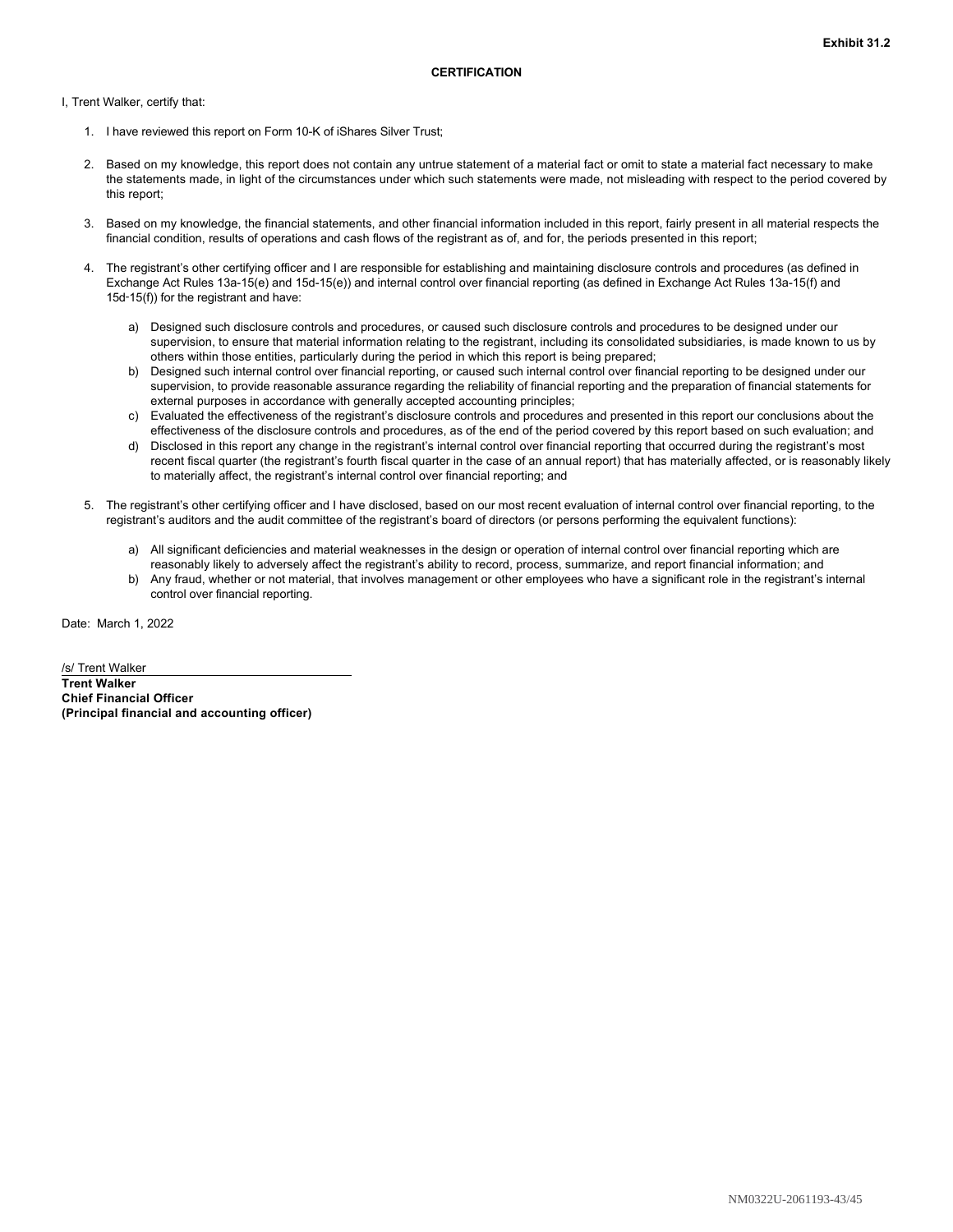<span id="page-42-0"></span>I, Trent Walker, certify that:

- 1. I have reviewed this report on Form 10-K of iShares Silver Trust;
- 2. Based on my knowledge, this report does not contain any untrue statement of a material fact or omit to state a material fact necessary to make the statements made, in light of the circumstances under which such statements were made, not misleading with respect to the period covered by this report;
- 3. Based on my knowledge, the financial statements, and other financial information included in this report, fairly present in all material respects the financial condition, results of operations and cash flows of the registrant as of, and for, the periods presented in this report;
- 4. The registrant's other certifying officer and I are responsible for establishing and maintaining disclosure controls and procedures (as defined in Exchange Act Rules 13a-15(e) and 15d-15(e)) and internal control over financial reporting (as defined in Exchange Act Rules 13a-15(f) and 15d‑15(f)) for the registrant and have:
	- a) Designed such disclosure controls and procedures, or caused such disclosure controls and procedures to be designed under our supervision, to ensure that material information relating to the registrant, including its consolidated subsidiaries, is made known to us by others within those entities, particularly during the period in which this report is being prepared;
	- b) Designed such internal control over financial reporting, or caused such internal control over financial reporting to be designed under our supervision, to provide reasonable assurance regarding the reliability of financial reporting and the preparation of financial statements for external purposes in accordance with generally accepted accounting principles;
	- c) Evaluated the effectiveness of the registrant's disclosure controls and procedures and presented in this report our conclusions about the effectiveness of the disclosure controls and procedures, as of the end of the period covered by this report based on such evaluation; and
	- d) Disclosed in this report any change in the registrant's internal control over financial reporting that occurred during the registrant's most recent fiscal quarter (the registrant's fourth fiscal quarter in the case of an annual report) that has materially affected, or is reasonably likely to materially affect, the registrant's internal control over financial reporting; and
- 5. The registrant's other certifying officer and I have disclosed, based on our most recent evaluation of internal control over financial reporting, to the registrant's auditors and the audit committee of the registrant's board of directors (or persons performing the equivalent functions):
	- a) All significant deficiencies and material weaknesses in the design or operation of internal control over financial reporting which are reasonably likely to adversely affect the registrant's ability to record, process, summarize, and report financial information; and
	- b) Any fraud, whether or not material, that involves management or other employees who have a significant role in the registrant's internal control over financial reporting.

Date: March 1, 2022

/s/ Trent Walker **Trent Walker Chief Financial Officer (Principal financial and accounting officer)**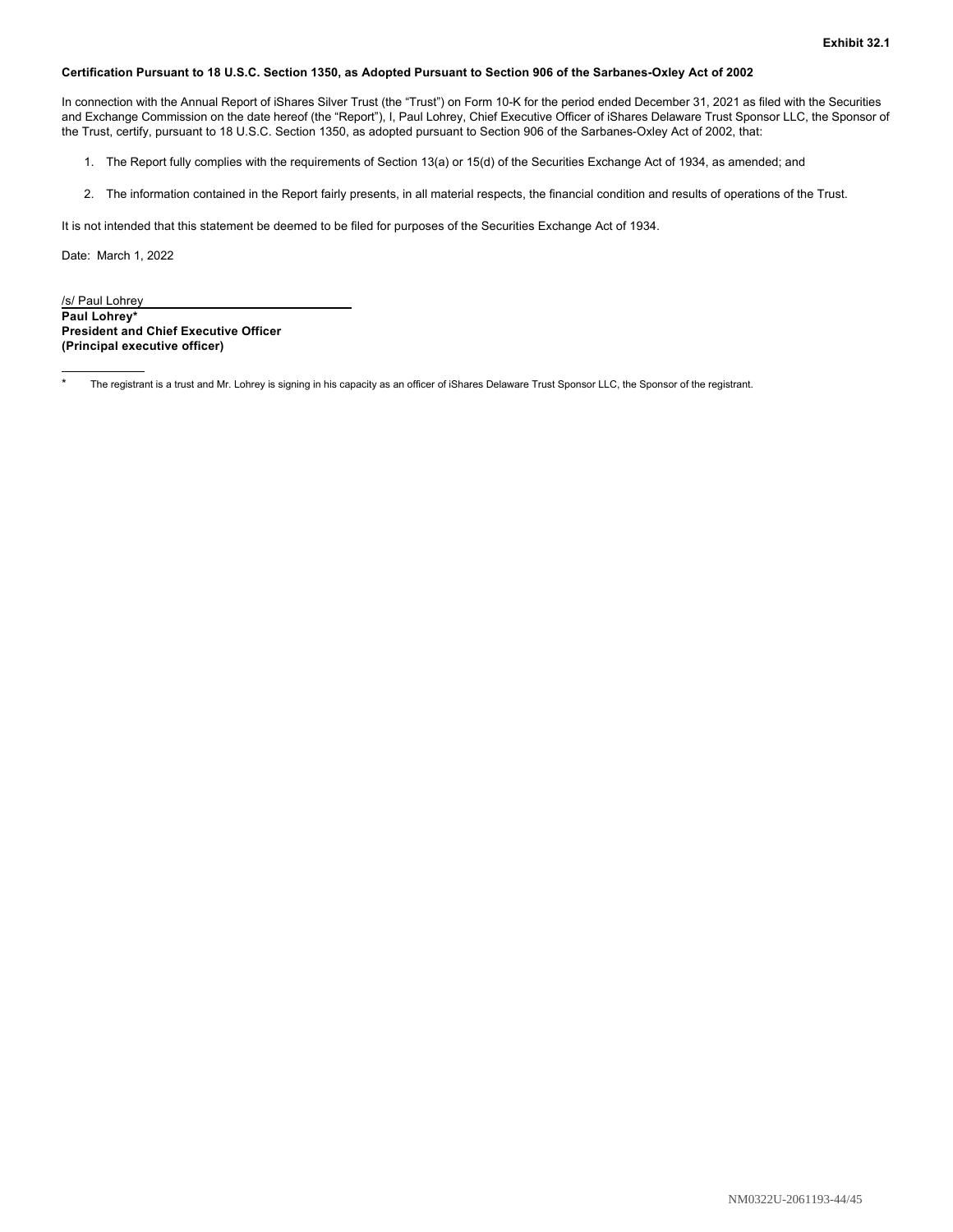# <span id="page-43-0"></span>**Certification Pursuant to 18 U.S.C. Section 1350, as Adopted Pursuant to Section 906 of the Sarbanes-Oxley Act of 2002**

In connection with the Annual Report of iShares Silver Trust (the "Trust") on Form 10-K for the period ended December 31, 2021 as filed with the Securities and Exchange Commission on the date hereof (the "Report"), I, Paul Lohrey, Chief Executive Officer of iShares Delaware Trust Sponsor LLC, the Sponsor of the Trust, certify, pursuant to 18 U.S.C. Section 1350, as adopted pursuant to Section 906 of the Sarbanes-Oxley Act of 2002, that:

- 1. The Report fully complies with the requirements of Section 13(a) or 15(d) of the Securities Exchange Act of 1934, as amended; and
- 2. The information contained in the Report fairly presents, in all material respects, the financial condition and results of operations of the Trust.

It is not intended that this statement be deemed to be filed for purposes of the Securities Exchange Act of 1934.

Date: March 1, 2022

/s/ Paul Lohrey **Paul Lohrey\* President and Chief Executive Officer (Principal executive officer)**

The registrant is a trust and Mr. Lohrey is signing in his capacity as an officer of iShares Delaware Trust Sponsor LLC, the Sponsor of the registrant.